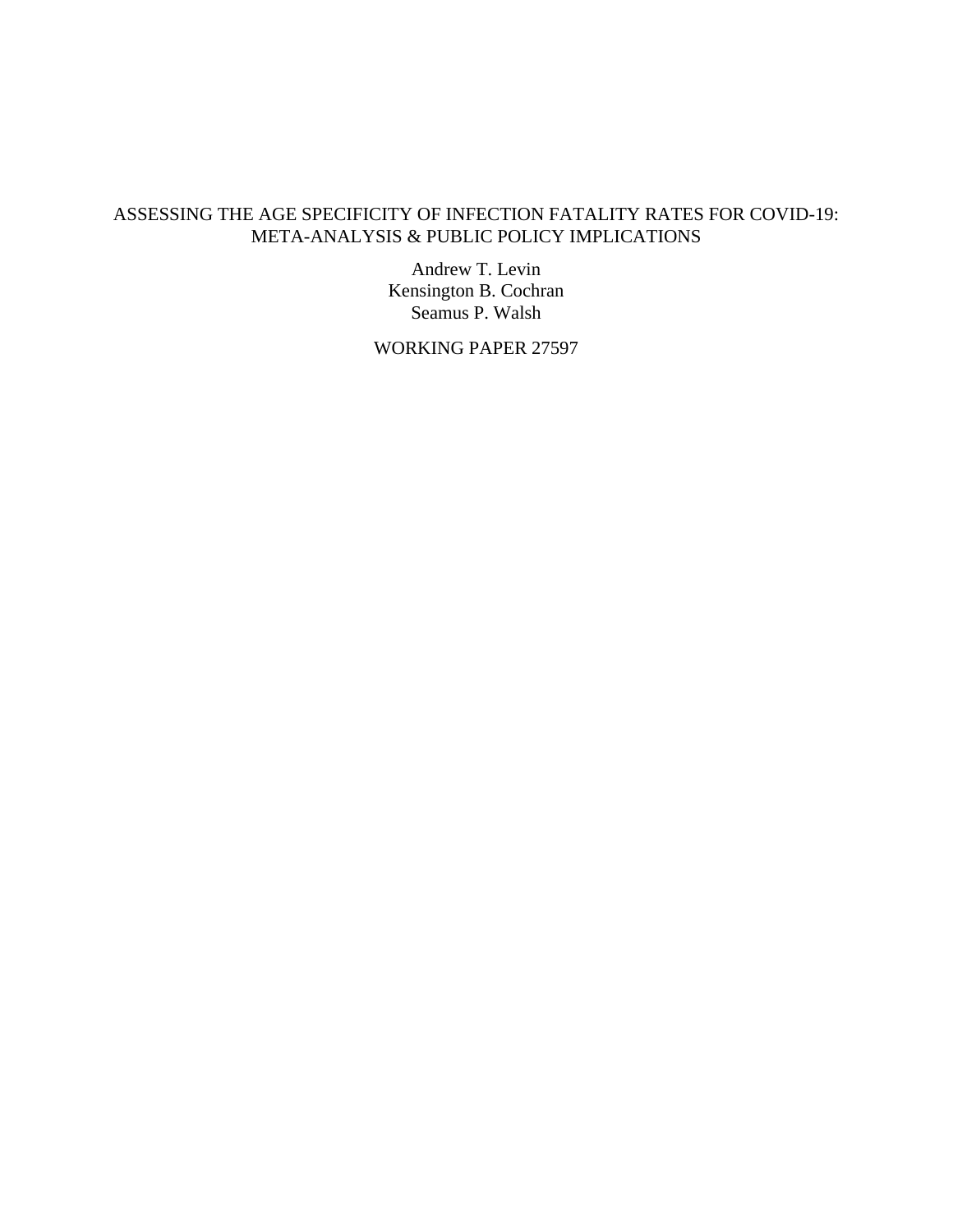## ASSESSING THE AGE SPECIFICITY OF INFECTION FATALITY RATES FOR COVID-19: META-ANALYSIS & PUBLIC POLICY IMPLICATIONS

Andrew T. Levin Kensington B. Cochran Seamus P. Walsh

WORKING PAPER 27597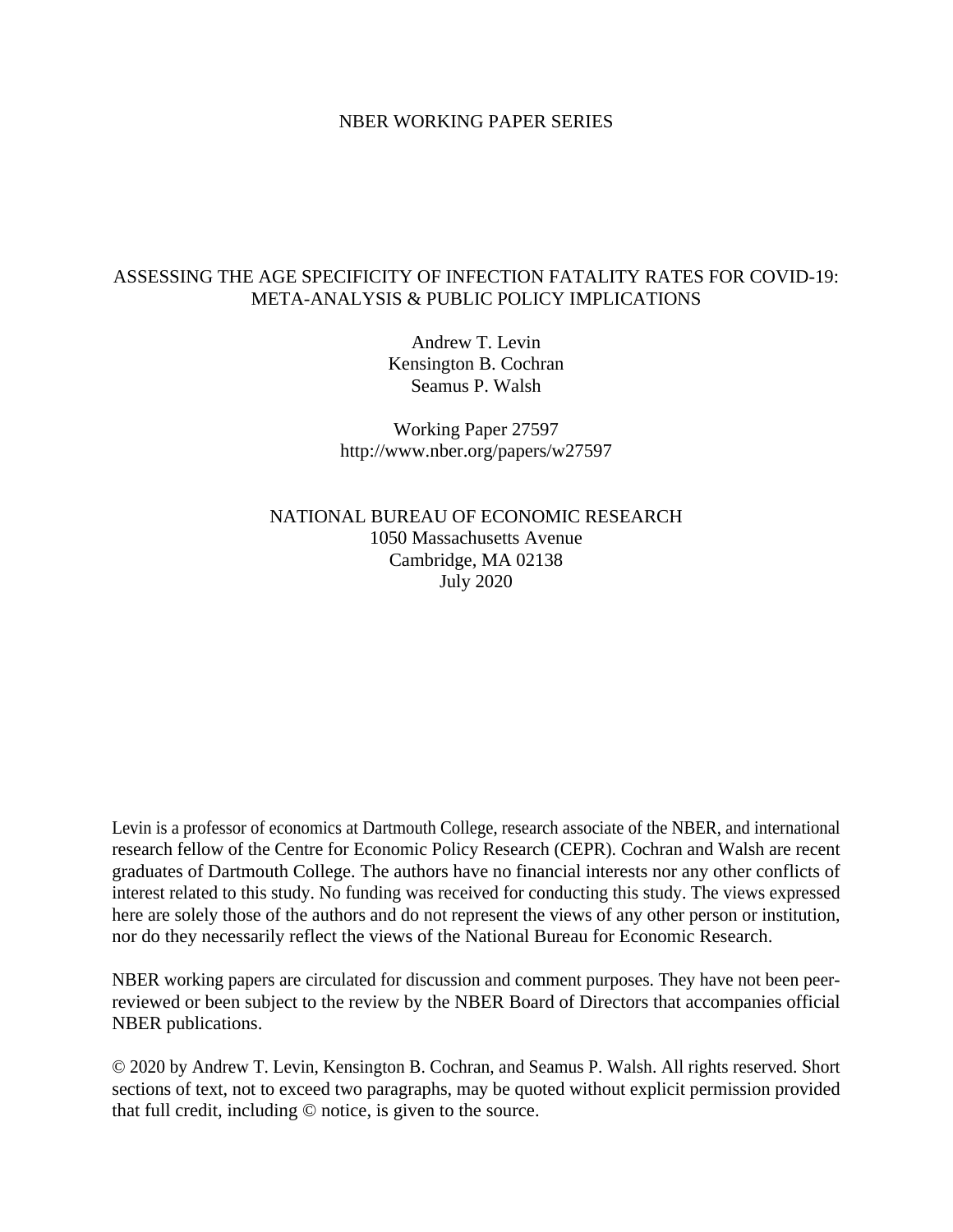#### NBER WORKING PAPER SERIES

### ASSESSING THE AGE SPECIFICITY OF INFECTION FATALITY RATES FOR COVID-19: META-ANALYSIS & PUBLIC POLICY IMPLICATIONS

Andrew T. Levin Kensington B. Cochran Seamus P. Walsh

Working Paper 27597 http://www.nber.org/papers/w27597

NATIONAL BUREAU OF ECONOMIC RESEARCH 1050 Massachusetts Avenue Cambridge, MA 02138 July 2020

Levin is a professor of economics at Dartmouth College, research associate of the NBER, and international research fellow of the Centre for Economic Policy Research (CEPR). Cochran and Walsh are recent graduates of Dartmouth College. The authors have no financial interests nor any other conflicts of interest related to this study. No funding was received for conducting this study. The views expressed here are solely those of the authors and do not represent the views of any other person or institution, nor do they necessarily reflect the views of the National Bureau for Economic Research.

NBER working papers are circulated for discussion and comment purposes. They have not been peerreviewed or been subject to the review by the NBER Board of Directors that accompanies official NBER publications.

© 2020 by Andrew T. Levin, Kensington B. Cochran, and Seamus P. Walsh. All rights reserved. Short sections of text, not to exceed two paragraphs, may be quoted without explicit permission provided that full credit, including © notice, is given to the source.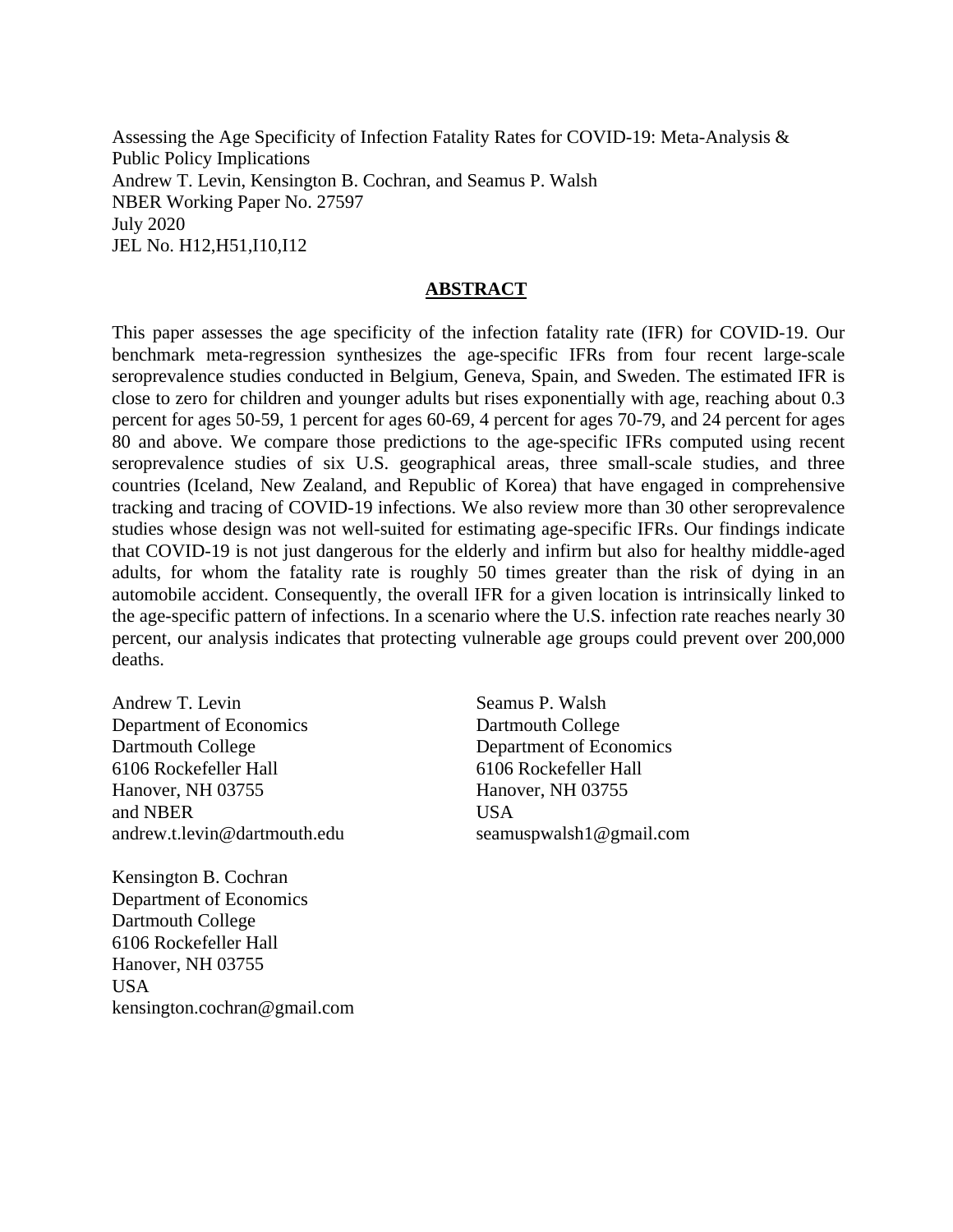Assessing the Age Specificity of Infection Fatality Rates for COVID-19: Meta-Analysis & Public Policy Implications Andrew T. Levin, Kensington B. Cochran, and Seamus P. Walsh NBER Working Paper No. 27597 July 2020 JEL No. H12,H51,I10,I12

#### **ABSTRACT**

This paper assesses the age specificity of the infection fatality rate (IFR) for COVID-19. Our benchmark meta-regression synthesizes the age-specific IFRs from four recent large-scale seroprevalence studies conducted in Belgium, Geneva, Spain, and Sweden. The estimated IFR is close to zero for children and younger adults but rises exponentially with age, reaching about 0.3 percent for ages 50-59, 1 percent for ages 60-69, 4 percent for ages 70-79, and 24 percent for ages 80 and above. We compare those predictions to the age-specific IFRs computed using recent seroprevalence studies of six U.S. geographical areas, three small-scale studies, and three countries (Iceland, New Zealand, and Republic of Korea) that have engaged in comprehensive tracking and tracing of COVID-19 infections. We also review more than 30 other seroprevalence studies whose design was not well-suited for estimating age-specific IFRs. Our findings indicate that COVID-19 is not just dangerous for the elderly and infirm but also for healthy middle-aged adults, for whom the fatality rate is roughly 50 times greater than the risk of dying in an automobile accident. Consequently, the overall IFR for a given location is intrinsically linked to the age-specific pattern of infections. In a scenario where the U.S. infection rate reaches nearly 30 percent, our analysis indicates that protecting vulnerable age groups could prevent over 200,000 deaths.

Andrew T. Levin Department of Economics Dartmouth College 6106 Rockefeller Hall Hanover, NH 03755 and NBER andrew.t.levin@dartmouth.edu

Kensington B. Cochran Department of Economics Dartmouth College 6106 Rockefeller Hall Hanover, NH 03755 USA kensington.cochran@gmail.com

Seamus P. Walsh Dartmouth College Department of Economics 6106 Rockefeller Hall Hanover, NH 03755 USA seamuspwalsh1@gmail.com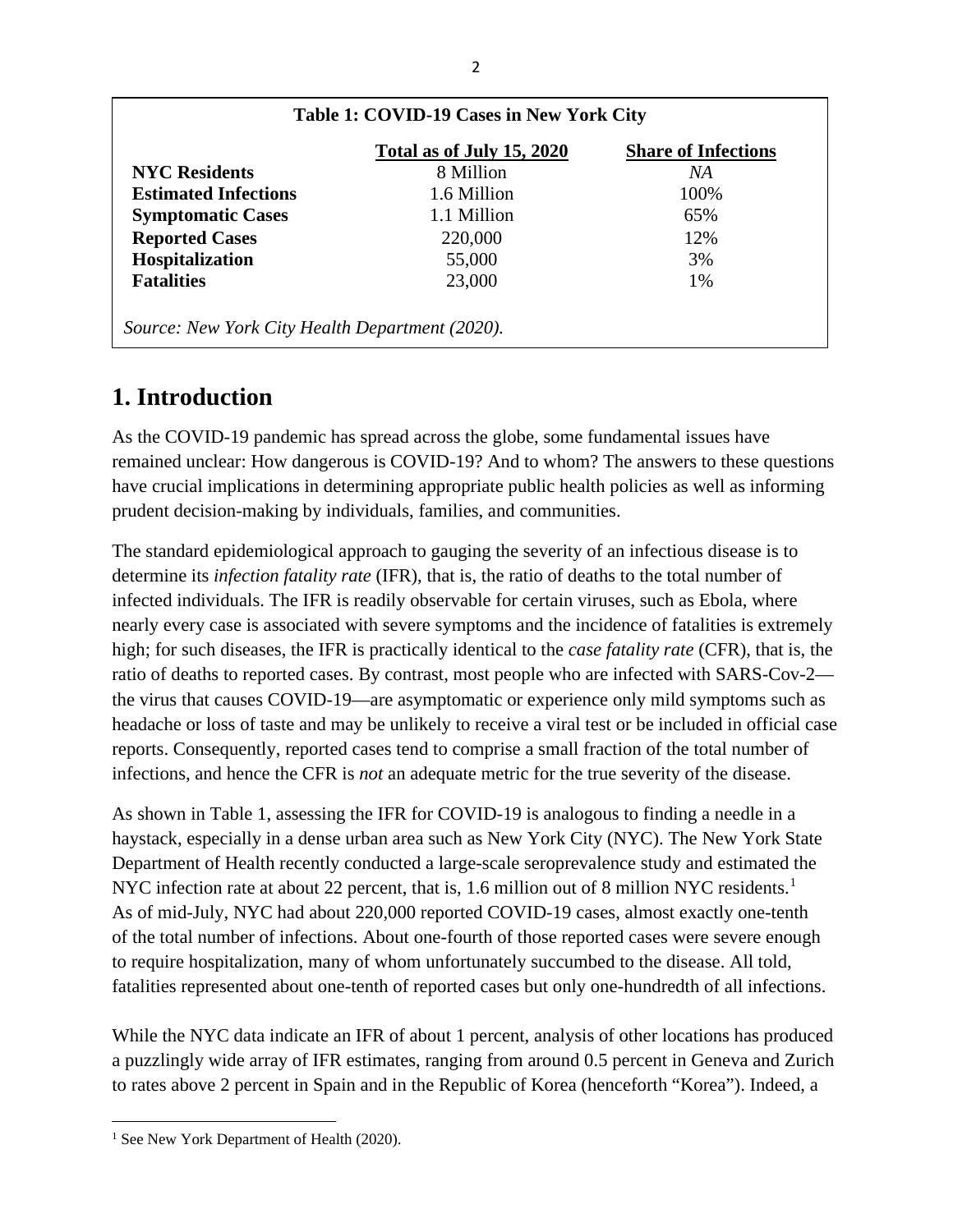|                             | Total as of July 15, 2020 | <b>Share of Infections</b> |
|-----------------------------|---------------------------|----------------------------|
| <b>NYC Residents</b>        | 8 Million                 | NА                         |
| <b>Estimated Infections</b> | 1.6 Million               | 100%                       |
| <b>Symptomatic Cases</b>    | 1.1 Million               | 65%                        |
| <b>Reported Cases</b>       | 220,000                   | 12%                        |
| Hospitalization             | 55,000                    | 3%                         |
| <b>Fatalities</b>           | 23,000                    | 1%                         |

# **1. Introduction**

As the COVID-19 pandemic has spread across the globe, some fundamental issues have remained unclear: How dangerous is COVID-19? And to whom? The answers to these questions have crucial implications in determining appropriate public health policies as well as informing prudent decision-making by individuals, families, and communities.

The standard epidemiological approach to gauging the severity of an infectious disease is to determine its *infection fatality rate* (IFR), that is, the ratio of deaths to the total number of infected individuals. The IFR is readily observable for certain viruses, such as Ebola, where nearly every case is associated with severe symptoms and the incidence of fatalities is extremely high; for such diseases, the IFR is practically identical to the *case fatality rate* (CFR), that is, the ratio of deaths to reported cases. By contrast, most people who are infected with SARS-Cov-2 the virus that causes COVID-19—are asymptomatic or experience only mild symptoms such as headache or loss of taste and may be unlikely to receive a viral test or be included in official case reports. Consequently, reported cases tend to comprise a small fraction of the total number of infections, and hence the CFR is *not* an adequate metric for the true severity of the disease.

As shown in Table 1, assessing the IFR for COVID-19 is analogous to finding a needle in a haystack, especially in a dense urban area such as New York City (NYC). The New York State Department of Health recently conducted a large-scale seroprevalence study and estimated the NYC infection rate at about 22 percent, that is, [1](#page-3-0).6 million out of 8 million NYC residents.<sup>1</sup> As of mid-July, NYC had about 220,000 reported COVID-19 cases, almost exactly one-tenth of the total number of infections. About one-fourth of those reported cases were severe enough to require hospitalization, many of whom unfortunately succumbed to the disease. All told, fatalities represented about one-tenth of reported cases but only one-hundredth of all infections.

While the NYC data indicate an IFR of about 1 percent, analysis of other locations has produced a puzzlingly wide array of IFR estimates, ranging from around 0.5 percent in Geneva and Zurich to rates above 2 percent in Spain and in the Republic of Korea (henceforth "Korea"). Indeed, a

<span id="page-3-0"></span><sup>&</sup>lt;sup>1</sup> See New York Department of Health (2020).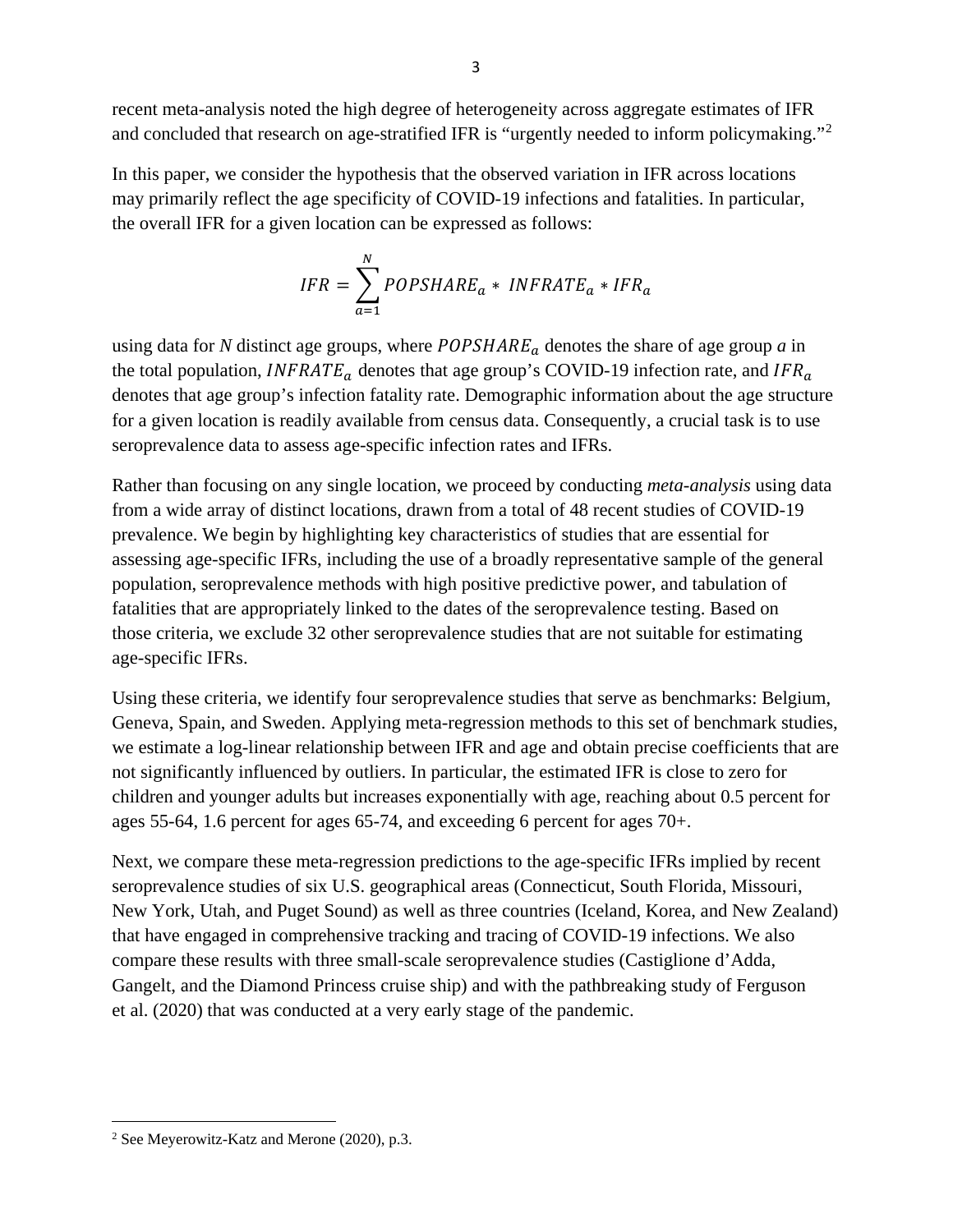recent meta-analysis noted the high degree of heterogeneity across aggregate estimates of IFR and concluded that research on age-stratified IFR is "urgently needed to inform policymaking."[2](#page-4-0)

In this paper, we consider the hypothesis that the observed variation in IFR across locations may primarily reflect the age specificity of COVID-19 infections and fatalities. In particular, the overall IFR for a given location can be expressed as follows:

$$
IFR = \sum_{a=1}^{N} POPSHARE_a * INFRATE_a * IFR_a
$$

using data for *N* distinct age groups, where  $POPSHARE_a$  denotes the share of age group *a* in the total population, *INFRATE*<sub>*a*</sub> denotes that age group's COVID-19 infection rate, and *IFR*<sub>*a*</sub> denotes that age group's infection fatality rate. Demographic information about the age structure for a given location is readily available from census data. Consequently, a crucial task is to use seroprevalence data to assess age-specific infection rates and IFRs.

Rather than focusing on any single location, we proceed by conducting *meta-analysis* using data from a wide array of distinct locations, drawn from a total of 48 recent studies of COVID-19 prevalence. We begin by highlighting key characteristics of studies that are essential for assessing age-specific IFRs, including the use of a broadly representative sample of the general population, seroprevalence methods with high positive predictive power, and tabulation of fatalities that are appropriately linked to the dates of the seroprevalence testing. Based on those criteria, we exclude 32 other seroprevalence studies that are not suitable for estimating age-specific IFRs.

Using these criteria, we identify four seroprevalence studies that serve as benchmarks: Belgium, Geneva, Spain, and Sweden. Applying meta-regression methods to this set of benchmark studies, we estimate a log-linear relationship between IFR and age and obtain precise coefficients that are not significantly influenced by outliers. In particular, the estimated IFR is close to zero for children and younger adults but increases exponentially with age, reaching about 0.5 percent for ages 55-64, 1.6 percent for ages 65-74, and exceeding 6 percent for ages 70+.

Next, we compare these meta-regression predictions to the age-specific IFRs implied by recent seroprevalence studies of six U.S. geographical areas (Connecticut, South Florida, Missouri, New York, Utah, and Puget Sound) as well as three countries (Iceland, Korea, and New Zealand) that have engaged in comprehensive tracking and tracing of COVID-19 infections. We also compare these results with three small-scale seroprevalence studies (Castiglione d'Adda, Gangelt, and the Diamond Princess cruise ship) and with the pathbreaking study of Ferguson et al. (2020) that was conducted at a very early stage of the pandemic.

<span id="page-4-0"></span><sup>2</sup> See Meyerowitz-Katz and Merone (2020), p.3.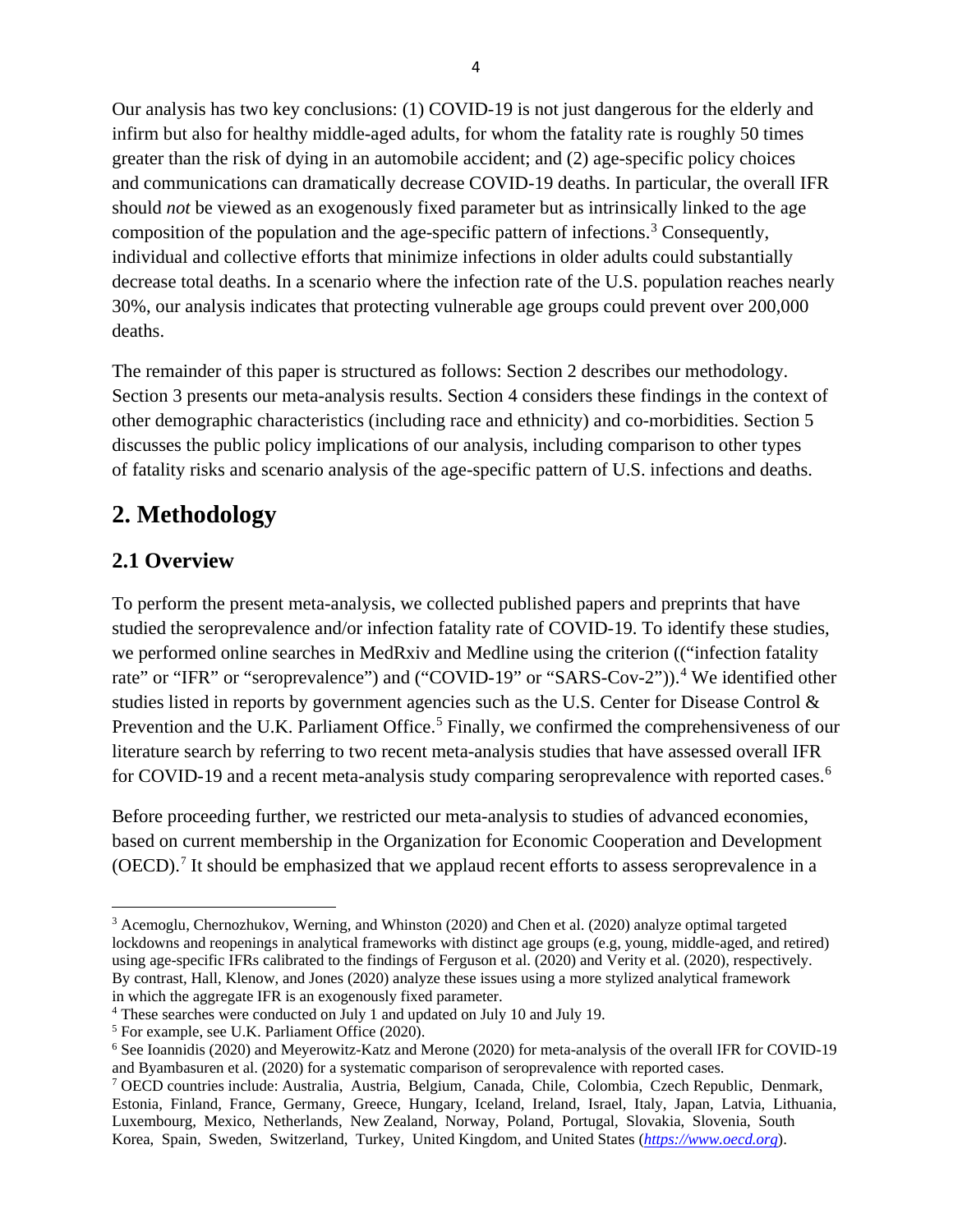Our analysis has two key conclusions: (1) COVID-19 is not just dangerous for the elderly and infirm but also for healthy middle-aged adults, for whom the fatality rate is roughly 50 times greater than the risk of dying in an automobile accident; and (2) age-specific policy choices and communications can dramatically decrease COVID-19 deaths. In particular, the overall IFR should *not* be viewed as an exogenously fixed parameter but as intrinsically linked to the age composition of the population and the age-specific pattern of infections.<sup>[3](#page-5-0)</sup> Consequently, individual and collective efforts that minimize infections in older adults could substantially decrease total deaths. In a scenario where the infection rate of the U.S. population reaches nearly 30%, our analysis indicates that protecting vulnerable age groups could prevent over 200,000 deaths.

The remainder of this paper is structured as follows: Section 2 describes our methodology. Section 3 presents our meta-analysis results. Section 4 considers these findings in the context of other demographic characteristics (including race and ethnicity) and co-morbidities. Section 5 discusses the public policy implications of our analysis, including comparison to other types of fatality risks and scenario analysis of the age-specific pattern of U.S. infections and deaths.

# **2. Methodology**

## **2.1 Overview**

To perform the present meta-analysis, we collected published papers and preprints that have studied the seroprevalence and/or infection fatality rate of COVID-19. To identify these studies, we performed online searches in MedRxiv and Medline using the criterion (("infection fatality rate" or "IFR" or "seroprevalence") and ("COVID-19" or "SARS-Cov-2")).<sup>[4](#page-5-1)</sup> We identified other studies listed in reports by government agencies such as the U.S. Center for Disease Control & Prevention and the U.K. Parliament Office.<sup>[5](#page-5-2)</sup> Finally, we confirmed the comprehensiveness of our literature search by referring to two recent meta-analysis studies that have assessed overall IFR for COVID-19 and a recent meta-analysis study comparing seroprevalence with reported cases.<sup>[6](#page-5-3)</sup>

Before proceeding further, we restricted our meta-analysis to studies of advanced economies, based on current membership in the Organization for Economic Cooperation and Development (OECD).<sup>[7](#page-5-4)</sup> It should be emphasized that we applaud recent efforts to assess seroprevalence in a

<span id="page-5-0"></span><sup>3</sup> Acemoglu, Chernozhukov, Werning, and Whinston (2020) and Chen et al. (2020) analyze optimal targeted lockdowns and reopenings in analytical frameworks with distinct age groups (e.g, young, middle-aged, and retired) using age-specific IFRs calibrated to the findings of Ferguson et al. (2020) and Verity et al. (2020), respectively. By contrast, Hall, Klenow, and Jones (2020) analyze these issues using a more stylized analytical framework in which the aggregate IFR is an exogenously fixed parameter.

<span id="page-5-1"></span><sup>4</sup> These searches were conducted on July 1 and updated on July 10 and July 19.

<span id="page-5-2"></span><sup>5</sup> For example, see U.K. Parliament Office (2020).

<span id="page-5-3"></span><sup>6</sup> See Ioannidis (2020) and Meyerowitz-Katz and Merone (2020) for meta-analysis of the overall IFR for COVID-19 and Byambasuren et al. (2020) for a systematic comparison of seroprevalence with reported cases.

<span id="page-5-4"></span><sup>7</sup> OECD countries include: Australia, Austria, Belgium, Canada, Chile, Colombia, Czech Republic, Denmark, Estonia, Finland, France, Germany, Greece, Hungary, Iceland, Ireland, Israel, Italy, Japan, Latvia, Lithuania, Luxembourg, Mexico, Netherlands, New Zealand, Norway, Poland, Portugal, Slovakia, Slovenia, South Korea, Spain, Sweden, Switzerland, Turkey, United Kingdom, and United States (*[https://www.oecd.org](https://www.oecd.org/)*).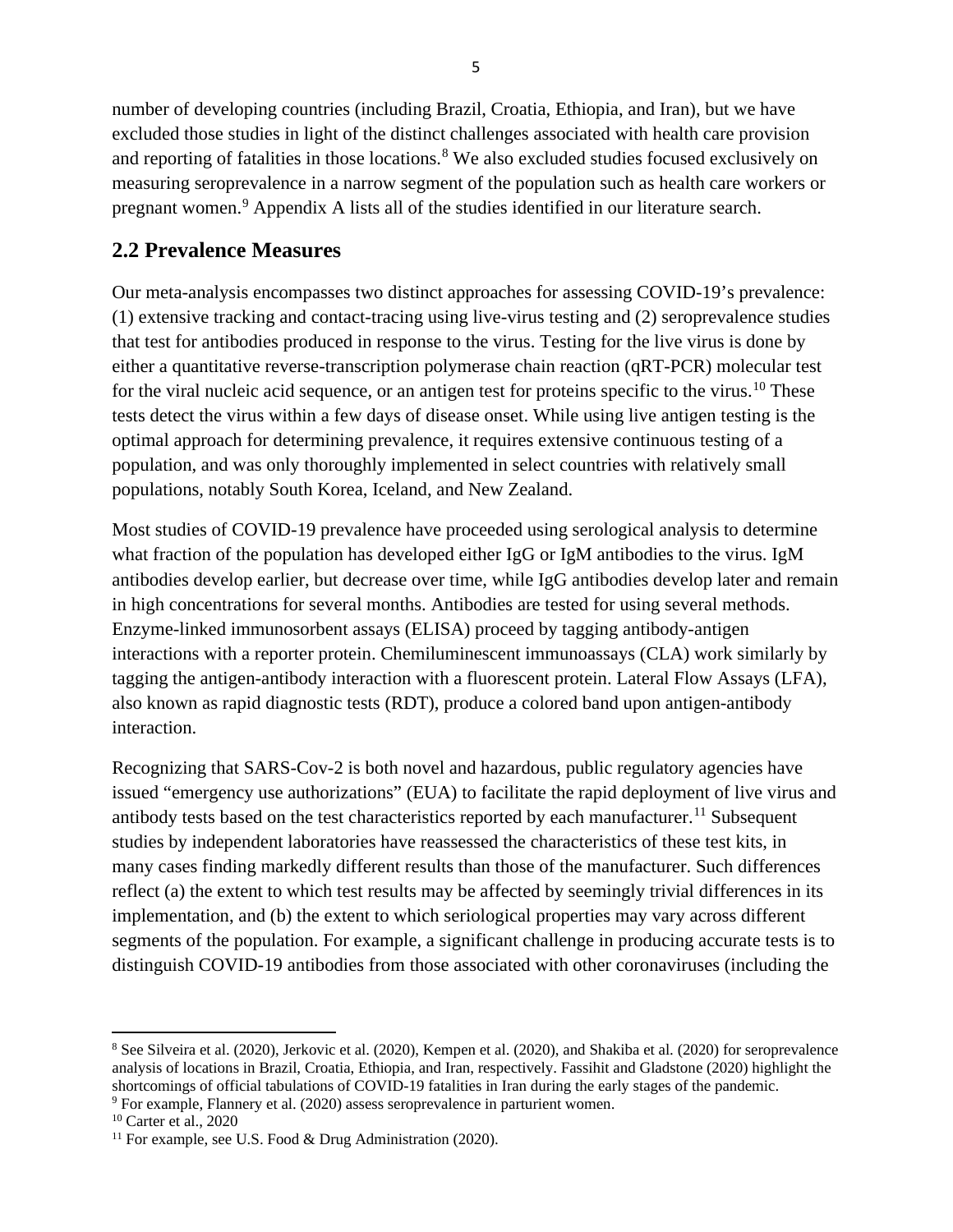number of developing countries (including Brazil, Croatia, Ethiopia, and Iran), but we have excluded those studies in light of the distinct challenges associated with health care provision and reporting of fatalities in those locations.<sup>[8](#page-6-0)</sup> We also excluded studies focused exclusively on measuring seroprevalence in a narrow segment of the population such as health care workers or pregnant women.[9](#page-6-1) Appendix A lists all of the studies identified in our literature search.

## **2.2 Prevalence Measures**

Our meta-analysis encompasses two distinct approaches for assessing COVID-19's prevalence: (1) extensive tracking and contact-tracing using live-virus testing and (2) seroprevalence studies that test for antibodies produced in response to the virus. Testing for the live virus is done by either a quantitative reverse-transcription polymerase chain reaction (qRT-PCR) molecular test for the viral nucleic acid sequence, or an antigen test for proteins specific to the virus.<sup>[10](#page-6-2)</sup> These tests detect the virus within a few days of disease onset. While using live antigen testing is the optimal approach for determining prevalence, it requires extensive continuous testing of a population, and was only thoroughly implemented in select countries with relatively small populations, notably South Korea, Iceland, and New Zealand.

Most studies of COVID-19 prevalence have proceeded using serological analysis to determine what fraction of the population has developed either IgG or IgM antibodies to the virus. IgM antibodies develop earlier, but decrease over time, while IgG antibodies develop later and remain in high concentrations for several months. Antibodies are tested for using several methods. Enzyme-linked immunosorbent assays (ELISA) proceed by tagging antibody-antigen interactions with a reporter protein. Chemiluminescent immunoassays (CLA) work similarly by tagging the antigen-antibody interaction with a fluorescent protein. Lateral Flow Assays (LFA), also known as rapid diagnostic tests (RDT), produce a colored band upon antigen-antibody interaction.

Recognizing that SARS-Cov-2 is both novel and hazardous, public regulatory agencies have issued "emergency use authorizations" (EUA) to facilitate the rapid deployment of live virus and antibody tests based on the test characteristics reported by each manufacturer.<sup>11</sup> Subsequent studies by independent laboratories have reassessed the characteristics of these test kits, in many cases finding markedly different results than those of the manufacturer. Such differences reflect (a) the extent to which test results may be affected by seemingly trivial differences in its implementation, and (b) the extent to which seriological properties may vary across different segments of the population. For example, a significant challenge in producing accurate tests is to distinguish COVID-19 antibodies from those associated with other coronaviruses (including the

<span id="page-6-1"></span><sup>9</sup> For example, Flannery et al. (2020) assess seroprevalence in parturient women.

<span id="page-6-0"></span><sup>8</sup> See Silveira et al. (2020), Jerkovic et al. (2020), Kempen et al. (2020), and Shakiba et al. (2020) for seroprevalence analysis of locations in Brazil, Croatia, Ethiopia, and Iran, respectively. Fassihit and Gladstone (2020) highlight the shortcomings of official tabulations of COVID-19 fatalities in Iran during the early stages of the pandemic.

<span id="page-6-2"></span><sup>10</sup> Carter et al., 2020

<span id="page-6-3"></span><sup>&</sup>lt;sup>11</sup> For example, see U.S. Food & Drug Administration (2020).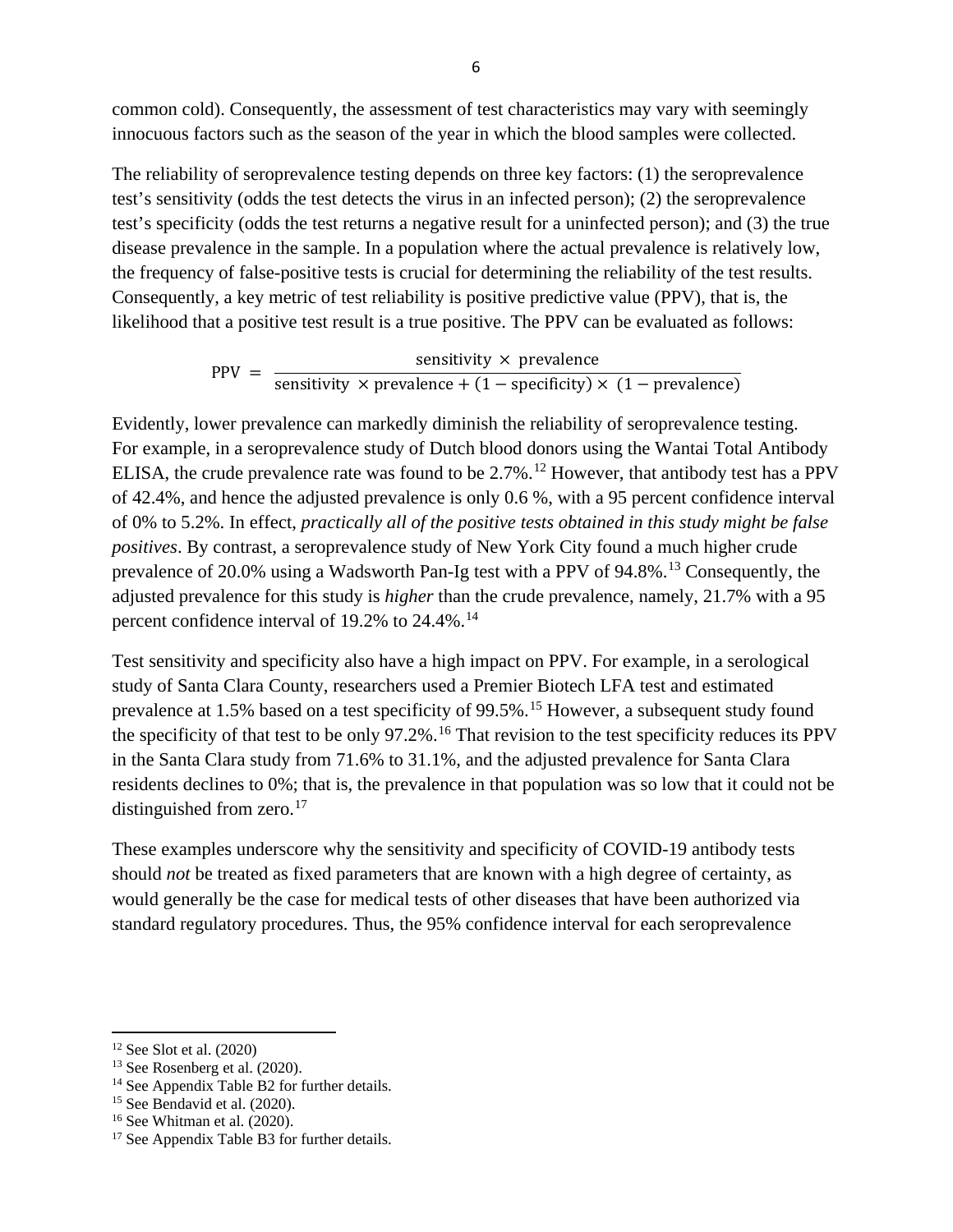common cold). Consequently, the assessment of test characteristics may vary with seemingly innocuous factors such as the season of the year in which the blood samples were collected.

The reliability of seroprevalence testing depends on three key factors: (1) the seroprevalence test's sensitivity (odds the test detects the virus in an infected person); (2) the seroprevalence test's specificity (odds the test returns a negative result for a uninfected person); and (3) the true disease prevalence in the sample. In a population where the actual prevalence is relatively low, the frequency of false-positive tests is crucial for determining the reliability of the test results. Consequently, a key metric of test reliability is positive predictive value (PPV), that is, the likelihood that a positive test result is a true positive. The PPV can be evaluated as follows:

PPV =  $\frac{\text{sensitivity} \times \text{prevalence}}{\text{sensitivity} \times \text{prevalence} + (1 - \text{specificity}) \times (1 - \text{prevalence})}$ 

Evidently, lower prevalence can markedly diminish the reliability of seroprevalence testing. For example, in a seroprevalence study of Dutch blood donors using the Wantai Total Antibody ELISA, the crude prevalence rate was found to be  $2.7\%$ .<sup>[12](#page-7-0)</sup> However, that antibody test has a PPV of 42.4%, and hence the adjusted prevalence is only 0.6 %, with a 95 percent confidence interval of 0% to 5.2%. In effect, *practically all of the positive tests obtained in this study might be false positives*. By contrast, a seroprevalence study of New York City found a much higher crude prevalence of 20.0% using a Wadsworth Pan-Ig test with a PPV of 94.8%.[13](#page-7-1) Consequently, the adjusted prevalence for this study is *higher* than the crude prevalence, namely, 21.7% with a 95 percent confidence interval of 19.2% to 24.4%.<sup>[14](#page-7-2)</sup>

Test sensitivity and specificity also have a high impact on PPV. For example, in a serological study of Santa Clara County, researchers used a Premier Biotech LFA test and estimated prevalence at 1.5% based on a test specificity of 99.5%.<sup>[15](#page-7-3)</sup> However, a subsequent study found the specificity of that test to be only 97.2%.<sup>[16](#page-7-4)</sup> That revision to the test specificity reduces its PPV in the Santa Clara study from 71.6% to 31.1%, and the adjusted prevalence for Santa Clara residents declines to 0%; that is, the prevalence in that population was so low that it could not be distinguished from zero. $17$ 

These examples underscore why the sensitivity and specificity of COVID-19 antibody tests should *not* be treated as fixed parameters that are known with a high degree of certainty, as would generally be the case for medical tests of other diseases that have been authorized via standard regulatory procedures. Thus, the 95% confidence interval for each seroprevalence

<span id="page-7-1"></span><span id="page-7-0"></span><sup>&</sup>lt;sup>12</sup> See Slot et al. (2020) <sup>13</sup> See Rosenberg et al. (2020).

<span id="page-7-2"></span><sup>&</sup>lt;sup>14</sup> See Appendix Table B2 for further details.

<span id="page-7-3"></span> $15$  See Bendavid et al. (2020).

<span id="page-7-4"></span><sup>16</sup> See Whitman et al. (2020).

<span id="page-7-5"></span><sup>&</sup>lt;sup>17</sup> See Appendix Table B3 for further details.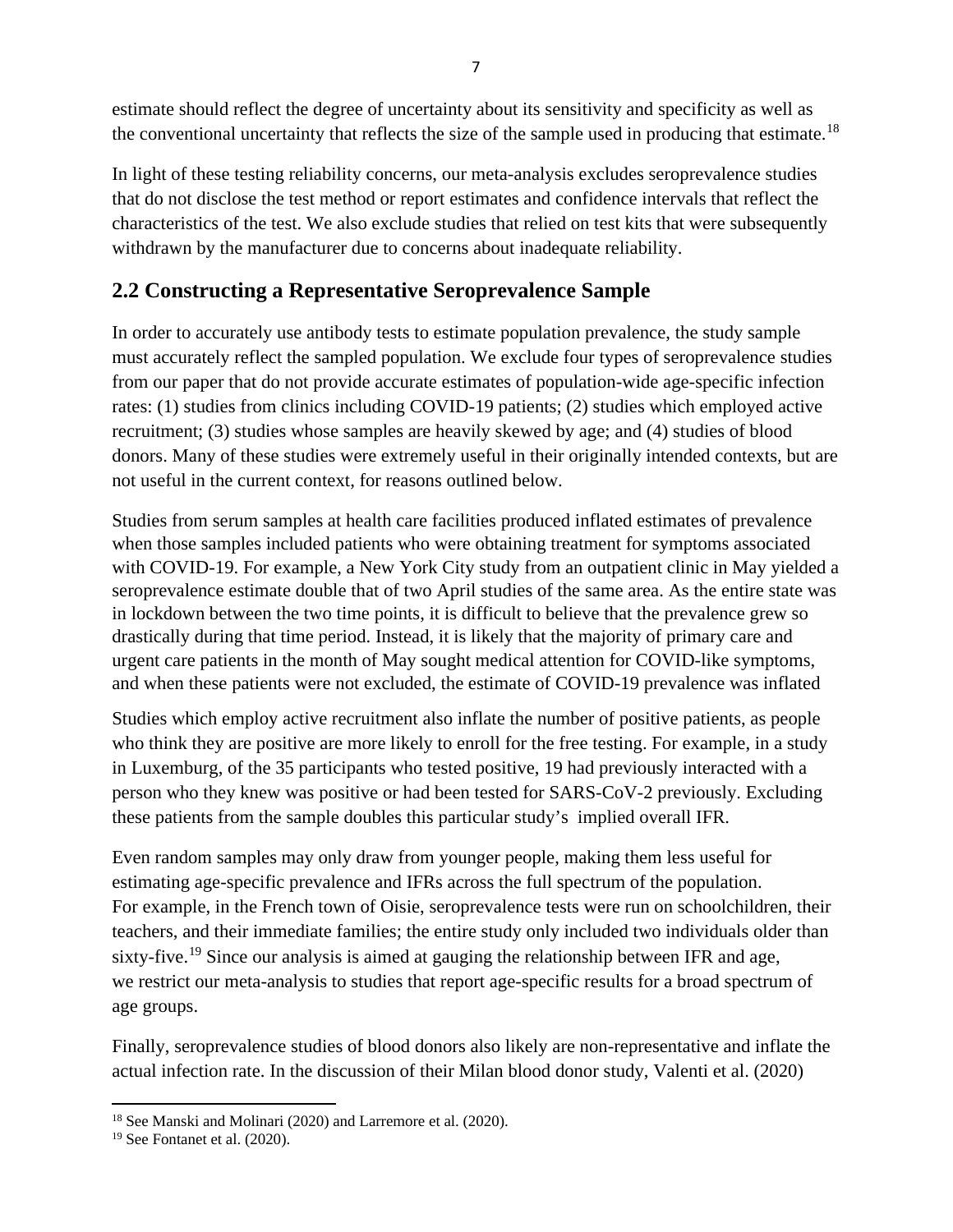estimate should reflect the degree of uncertainty about its sensitivity and specificity as well as the conventional uncertainty that reflects the size of the sample used in producing that estimate.<sup>[18](#page-8-0)</sup>

In light of these testing reliability concerns, our meta-analysis excludes seroprevalence studies that do not disclose the test method or report estimates and confidence intervals that reflect the characteristics of the test. We also exclude studies that relied on test kits that were subsequently withdrawn by the manufacturer due to concerns about inadequate reliability.

## **2.2 Constructing a Representative Seroprevalence Sample**

In order to accurately use antibody tests to estimate population prevalence, the study sample must accurately reflect the sampled population. We exclude four types of seroprevalence studies from our paper that do not provide accurate estimates of population-wide age-specific infection rates: (1) studies from clinics including COVID-19 patients; (2) studies which employed active recruitment; (3) studies whose samples are heavily skewed by age; and (4) studies of blood donors. Many of these studies were extremely useful in their originally intended contexts*,* but are not useful in the current context, for reasons outlined below.

Studies from serum samples at health care facilities produced inflated estimates of prevalence when those samples included patients who were obtaining treatment for symptoms associated with COVID-19. For example, a New York City study from an outpatient clinic in May yielded a seroprevalence estimate double that of two April studies of the same area. As the entire state was in lockdown between the two time points, it is difficult to believe that the prevalence grew so drastically during that time period. Instead, it is likely that the majority of primary care and urgent care patients in the month of May sought medical attention for COVID-like symptoms, and when these patients were not excluded, the estimate of COVID-19 prevalence was inflated

Studies which employ active recruitment also inflate the number of positive patients, as people who think they are positive are more likely to enroll for the free testing. For example, in a study in Luxemburg, of the 35 participants who tested positive, 19 had previously interacted with a person who they knew was positive or had been tested for SARS-CoV-2 previously. Excluding these patients from the sample doubles this particular study's implied overall IFR.

Even random samples may only draw from younger people, making them less useful for estimating age-specific prevalence and IFRs across the full spectrum of the population. For example, in the French town of Oisie, seroprevalence tests were run on schoolchildren, their teachers, and their immediate families; the entire study only included two individuals older than sixty-five.<sup>[19](#page-8-1)</sup> Since our analysis is aimed at gauging the relationship between IFR and age, we restrict our meta-analysis to studies that report age-specific results for a broad spectrum of age groups.

Finally, seroprevalence studies of blood donors also likely are non-representative and inflate the actual infection rate. In the discussion of their Milan blood donor study, Valenti et al. (2020)

<span id="page-8-0"></span><sup>&</sup>lt;sup>18</sup> See Manski and Molinari (2020) and Larremore et al. (2020).

<span id="page-8-1"></span><sup>19</sup> See Fontanet et al. (2020).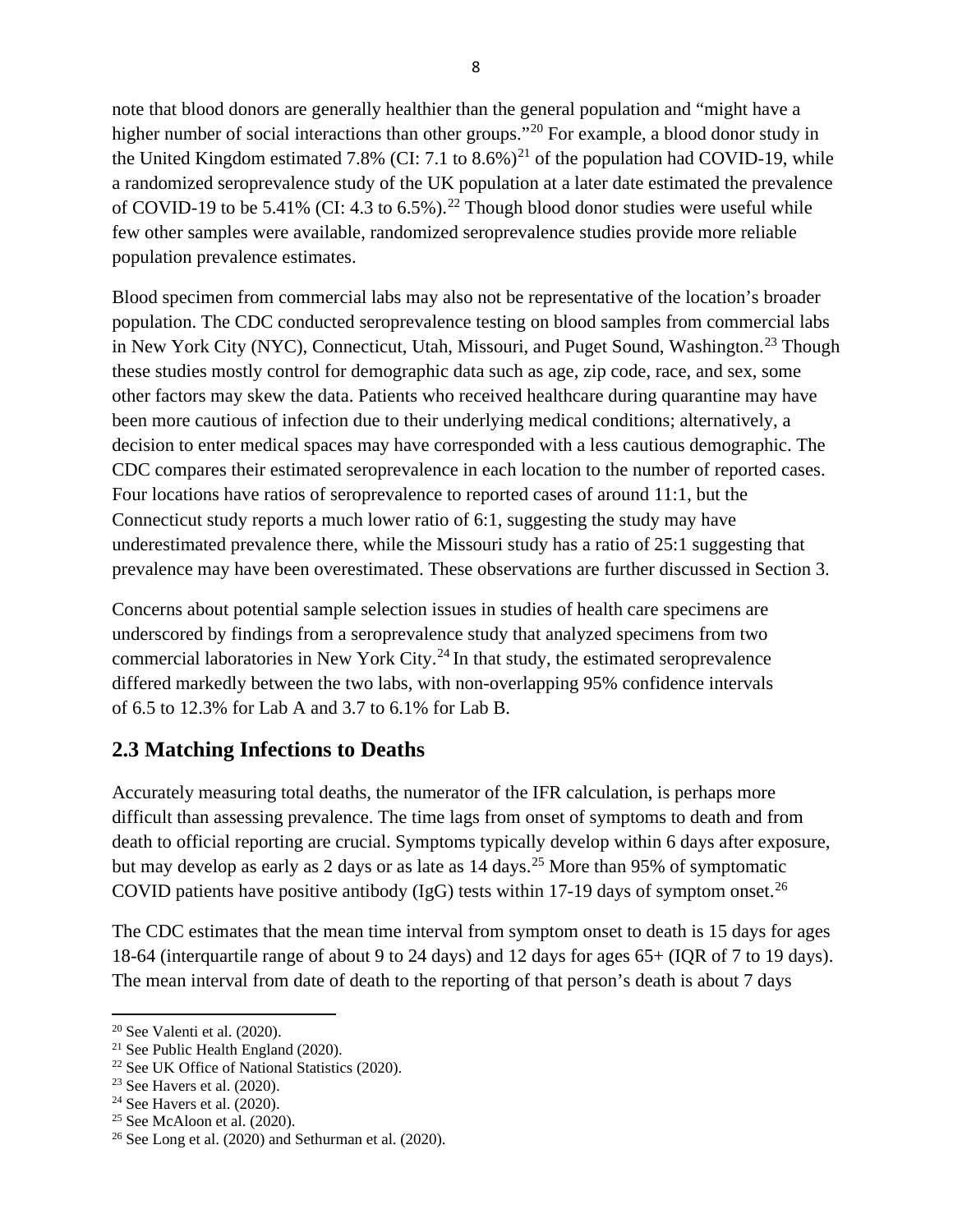note that blood donors are generally healthier than the general population and "might have a higher number of social interactions than other groups."<sup>[20](#page-9-0)</sup> For example, a blood donor study in the United Kingdom estimated 7.8% (CI: 7.1 to  $8.6\%$ )<sup>21</sup> of the population had COVID-19, while a randomized seroprevalence study of the UK population at a later date estimated the prevalence of COVID-19 to be 5.41% (CI: 4.3 to 6.5%).<sup>22</sup> Though blood donor studies were useful while few other samples were available, randomized seroprevalence studies provide more reliable population prevalence estimates.

Blood specimen from commercial labs may also not be representative of the location's broader population. The CDC conducted seroprevalence testing on blood samples from commercial labs in New York City (NYC), Connecticut, Utah, Missouri, and Puget Sound, Washington.<sup>23</sup> Though these studies mostly control for demographic data such as age, zip code, race, and sex, some other factors may skew the data. Patients who received healthcare during quarantine may have been more cautious of infection due to their underlying medical conditions; alternatively, a decision to enter medical spaces may have corresponded with a less cautious demographic. The CDC compares their estimated seroprevalence in each location to the number of reported cases. Four locations have ratios of seroprevalence to reported cases of around 11:1, but the Connecticut study reports a much lower ratio of 6:1, suggesting the study may have underestimated prevalence there, while the Missouri study has a ratio of 25:1 suggesting that prevalence may have been overestimated. These observations are further discussed in Section 3.

Concerns about potential sample selection issues in studies of health care specimens are underscored by findings from a seroprevalence study that analyzed specimens from two commercial laboratories in New York City.<sup>[24](#page-9-4)</sup> In that study, the estimated seroprevalence differed markedly between the two labs, with non-overlapping 95% confidence intervals of 6.5 to 12.3% for Lab A and 3.7 to 6.1% for Lab B.

## **2.3 Matching Infections to Deaths**

Accurately measuring total deaths, the numerator of the IFR calculation, is perhaps more difficult than assessing prevalence. The time lags from onset of symptoms to death and from death to official reporting are crucial. Symptoms typically develop within 6 days after exposure, but may develop as early as 2 days or as late as  $14 \text{ days}$ .<sup>25</sup> More than 95% of symptomatic COVID patients have positive antibody (IgG) tests within 17-19 days of symptom onset.<sup>[26](#page-9-6)</sup>

The CDC estimates that the mean time interval from symptom onset to death is 15 days for ages 18-64 (interquartile range of about 9 to 24 days) and 12 days for ages 65+ (IQR of 7 to 19 days). The mean interval from date of death to the reporting of that person's death is about 7 days

<span id="page-9-0"></span> $20$  See Valenti et al. (2020).

<span id="page-9-1"></span><sup>21</sup> See Public Health England (2020).

<span id="page-9-2"></span><sup>22</sup> See UK Office of National Statistics (2020).

<span id="page-9-3"></span><sup>23</sup> See Havers et al. (2020).

<span id="page-9-4"></span> $24$  See Havers et al. (2020).

<span id="page-9-5"></span><sup>&</sup>lt;sup>25</sup> See McAloon et al.  $(2020)$ .

<span id="page-9-6"></span> $26$  See Long et al. (2020) and Sethurman et al. (2020).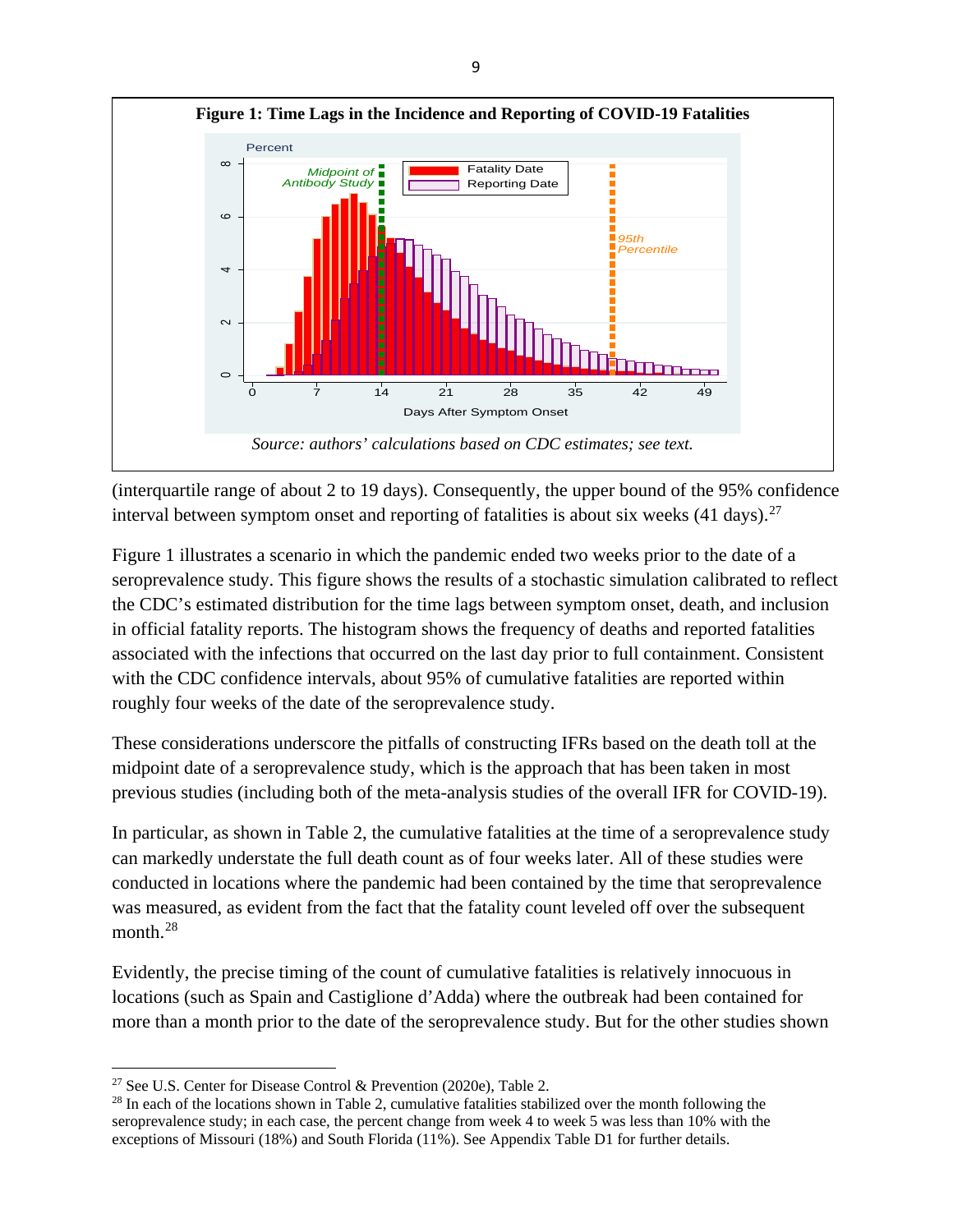

(interquartile range of about 2 to 19 days). Consequently, the upper bound of the 95% confidence interval between symptom onset and reporting of fatalities is about six weeks  $(41 \text{ days})$ .<sup>[27](#page-10-0)</sup>

Figure 1 illustrates a scenario in which the pandemic ended two weeks prior to the date of a seroprevalence study. This figure shows the results of a stochastic simulation calibrated to reflect the CDC's estimated distribution for the time lags between symptom onset, death, and inclusion in official fatality reports. The histogram shows the frequency of deaths and reported fatalities associated with the infections that occurred on the last day prior to full containment. Consistent with the CDC confidence intervals, about 95% of cumulative fatalities are reported within roughly four weeks of the date of the seroprevalence study.

These considerations underscore the pitfalls of constructing IFRs based on the death toll at the midpoint date of a seroprevalence study, which is the approach that has been taken in most previous studies (including both of the meta-analysis studies of the overall IFR for COVID-19).

In particular, as shown in Table 2, the cumulative fatalities at the time of a seroprevalence study can markedly understate the full death count as of four weeks later. All of these studies were conducted in locations where the pandemic had been contained by the time that seroprevalence was measured, as evident from the fact that the fatality count leveled off over the subsequent month.<sup>[28](#page-10-1)</sup>

Evidently, the precise timing of the count of cumulative fatalities is relatively innocuous in locations (such as Spain and Castiglione d'Adda) where the outbreak had been contained for more than a month prior to the date of the seroprevalence study. But for the other studies shown

<span id="page-10-0"></span><sup>&</sup>lt;sup>27</sup> See U.S. Center for Disease Control & Prevention (2020e), Table 2.

<span id="page-10-1"></span><sup>&</sup>lt;sup>28</sup> In each of the locations shown in Table 2, cumulative fatalities stabilized over the month following the seroprevalence study; in each case, the percent change from week 4 to week 5 was less than 10% with the exceptions of Missouri (18%) and South Florida (11%). See Appendix Table D1 for further details.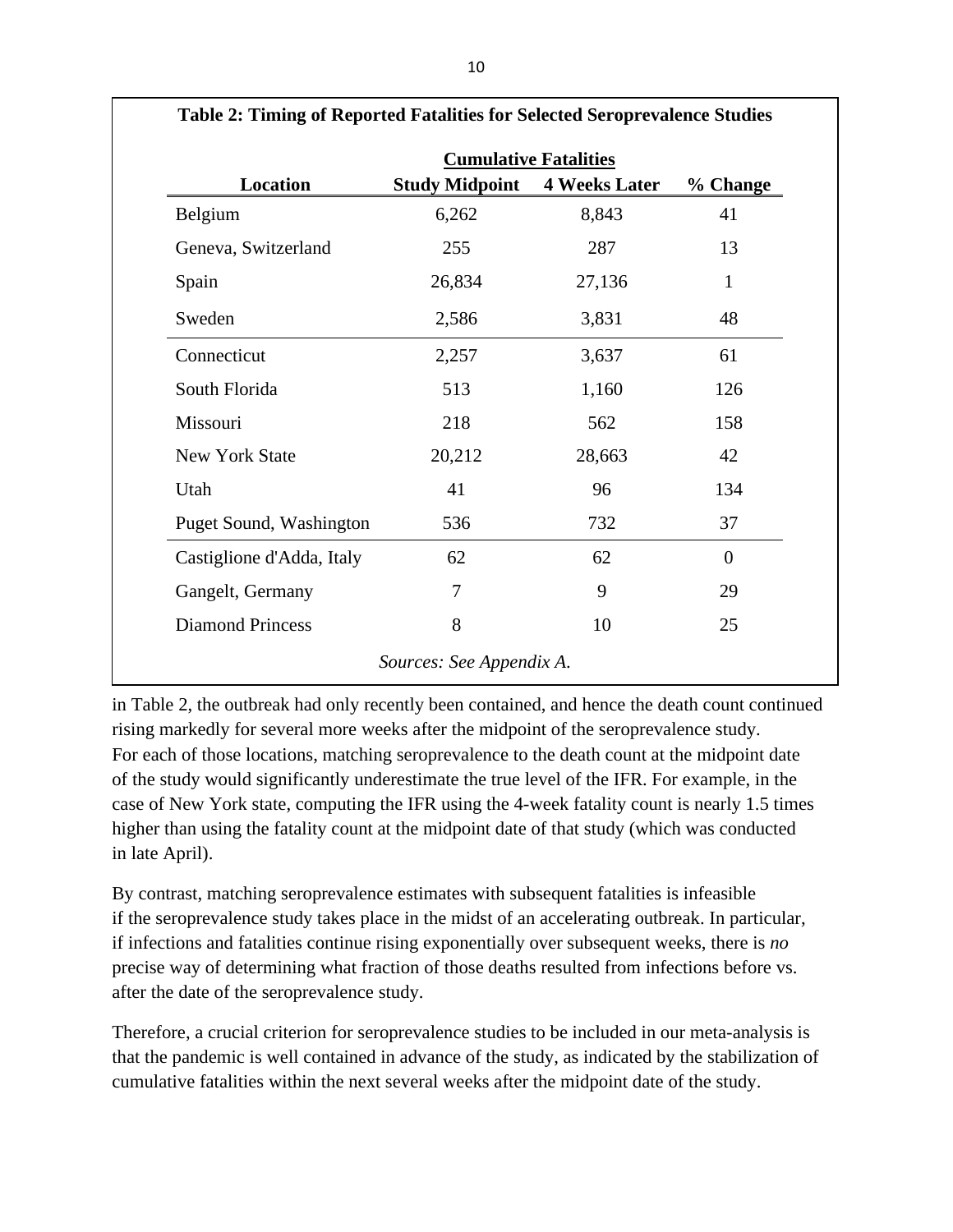|                           |                       | <b>Cumulative Fatalities</b> |          |
|---------------------------|-----------------------|------------------------------|----------|
| Location                  | <b>Study Midpoint</b> | <b>4 Weeks Later</b>         | % Change |
| Belgium                   | 6,262                 | 8,843                        | 41       |
| Geneva, Switzerland       | 255                   | 287                          | 13       |
| Spain                     | 26,834                | 27,136                       | 1        |
| Sweden                    | 2,586                 | 3,831                        | 48       |
| Connecticut               | 2,257                 | 3,637                        | 61       |
| South Florida             | 513                   | 1,160                        | 126      |
| Missouri                  | 218                   | 562                          | 158      |
| <b>New York State</b>     | 20,212                | 28,663                       | 42       |
| Utah                      | 41                    | 96                           | 134      |
| Puget Sound, Washington   | 536                   | 732                          | 37       |
| Castiglione d'Adda, Italy | 62                    | 62                           | $\theta$ |
| Gangelt, Germany          | 7                     | 9                            | 29       |
| <b>Diamond Princess</b>   | 8                     | 10                           | 25       |

**Table 2: Timing of Reported Fatalities for Selected Seroprevalence Studies**

in Table 2, the outbreak had only recently been contained, and hence the death count continued rising markedly for several more weeks after the midpoint of the seroprevalence study. For each of those locations, matching seroprevalence to the death count at the midpoint date of the study would significantly underestimate the true level of the IFR. For example, in the case of New York state, computing the IFR using the 4-week fatality count is nearly 1.5 times higher than using the fatality count at the midpoint date of that study (which was conducted in late April).

By contrast, matching seroprevalence estimates with subsequent fatalities is infeasible if the seroprevalence study takes place in the midst of an accelerating outbreak. In particular, if infections and fatalities continue rising exponentially over subsequent weeks, there is *no* precise way of determining what fraction of those deaths resulted from infections before vs. after the date of the seroprevalence study.

Therefore, a crucial criterion for seroprevalence studies to be included in our meta-analysis is that the pandemic is well contained in advance of the study, as indicated by the stabilization of cumulative fatalities within the next several weeks after the midpoint date of the study.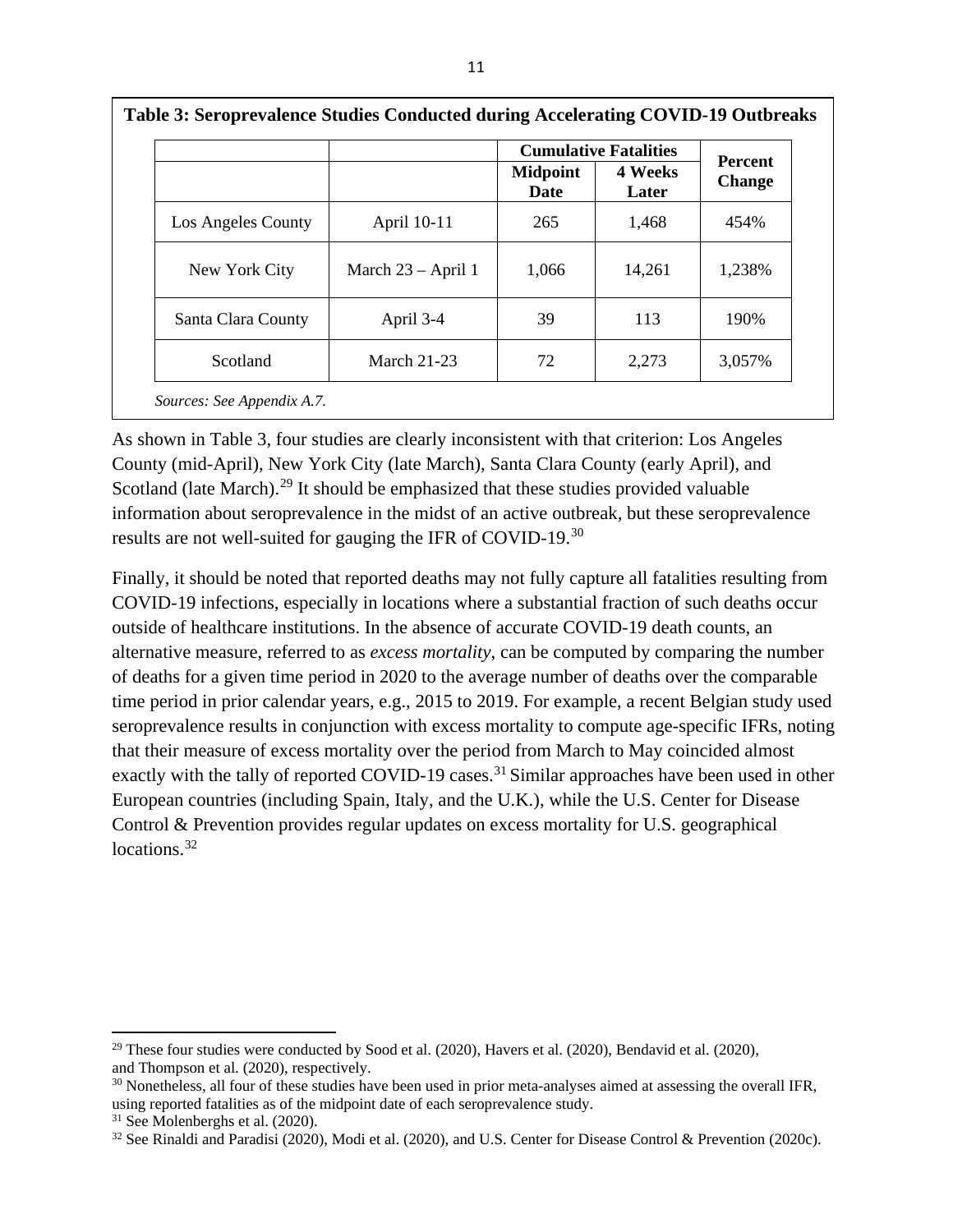|                    |                      |                                | <b>Cumulative Fatalities</b> | <b>Percent</b> |
|--------------------|----------------------|--------------------------------|------------------------------|----------------|
|                    |                      | <b>Midpoint</b><br><b>Date</b> | 4 Weeks<br>Later             | <b>Change</b>  |
| Los Angeles County | April 10-11          | 265                            | 1,468                        | 454%           |
| New York City      | March $23 - April 1$ | 1,066                          | 14,261                       | 1,238%         |
| Santa Clara County | April 3-4            | 39                             | 113                          | 190%           |
| Scotland           | <b>March 21-23</b>   | 72                             | 2,273                        | 3,057%         |

**Table 3: Seroprevalence Studies Conducted during Accelerating COVID-19 Outbreaks**

As shown in Table 3, four studies are clearly inconsistent with that criterion: Los Angeles County (mid-April), New York City (late March), Santa Clara County (early April), and Scotland (late March).<sup>[29](#page-12-0)</sup> It should be emphasized that these studies provided valuable information about seroprevalence in the midst of an active outbreak, but these seroprevalence results are not well-suited for gauging the IFR of COVID-19.[30](#page-12-1)

Finally, it should be noted that reported deaths may not fully capture all fatalities resulting from COVID-19 infections, especially in locations where a substantial fraction of such deaths occur outside of healthcare institutions. In the absence of accurate COVID-19 death counts, an alternative measure, referred to as *excess mortality*, can be computed by comparing the number of deaths for a given time period in 2020 to the average number of deaths over the comparable time period in prior calendar years, e.g., 2015 to 2019. For example, a recent Belgian study used seroprevalence results in conjunction with excess mortality to compute age-specific IFRs, noting that their measure of excess mortality over the period from March to May coincided almost exactly with the tally of reported COVID-19 cases.<sup>[31](#page-12-2)</sup> Similar approaches have been used in other European countries (including Spain, Italy, and the U.K.), while the U.S. Center for Disease Control & Prevention provides regular updates on excess mortality for U.S. geographical locations.<sup>[32](#page-12-3)</sup>

<span id="page-12-0"></span> $29$  These four studies were conducted by Sood et al. (2020), Havers et al. (2020), Bendavid et al. (2020), and Thompson et al. (2020), respectively.

<span id="page-12-1"></span><sup>&</sup>lt;sup>30</sup> Nonetheless, all four of these studies have been used in prior meta-analyses aimed at assessing the overall IFR, using reported fatalities as of the midpoint date of each seroprevalence study.

<span id="page-12-2"></span><sup>&</sup>lt;sup>31</sup> See Molenberghs et al. (2020).

<span id="page-12-3"></span><sup>&</sup>lt;sup>32</sup> See Rinaldi and Paradisi (2020), Modi et al. (2020), and U.S. Center for Disease Control & Prevention (2020c).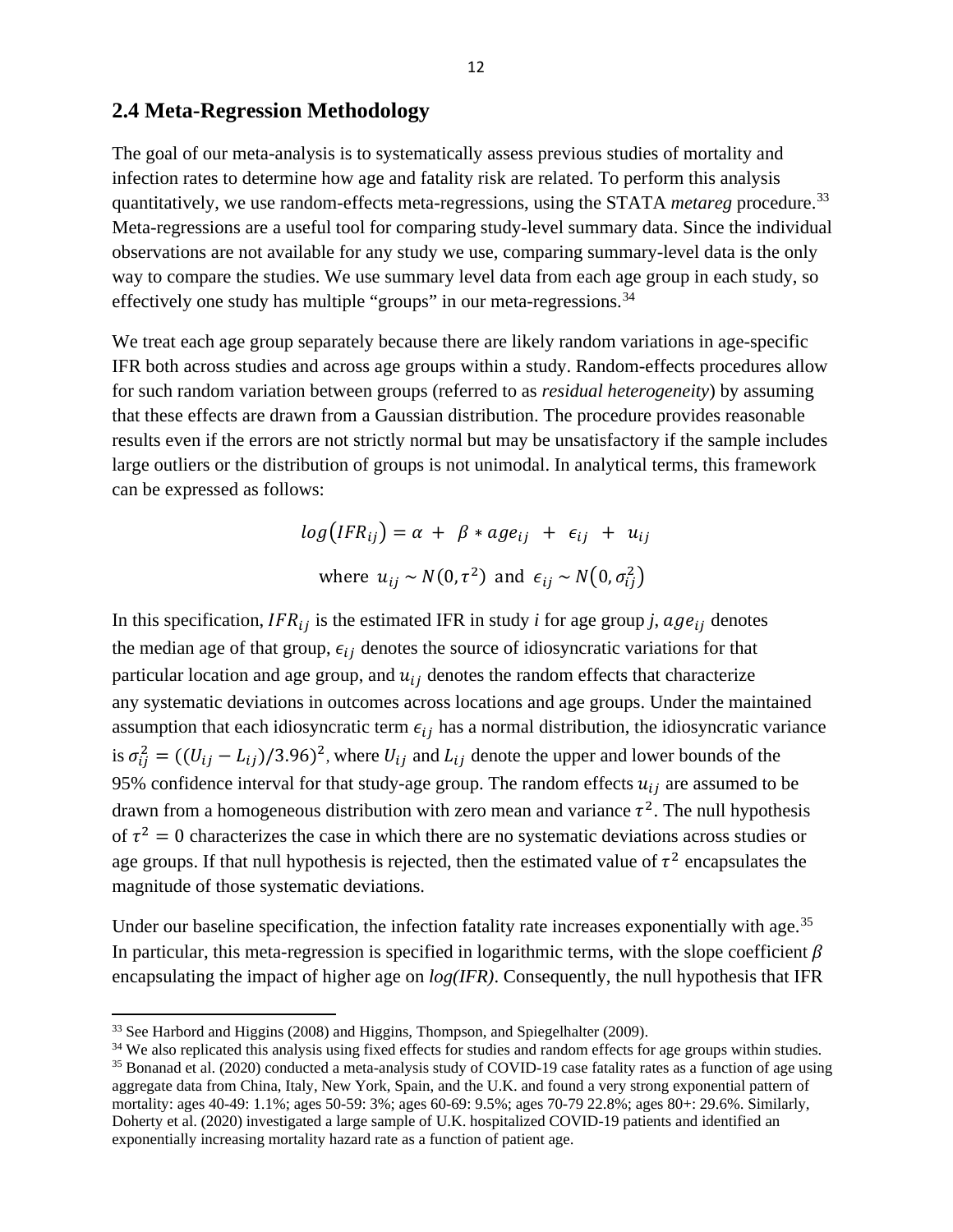### **2.4 Meta-Regression Methodology**

The goal of our meta-analysis is to systematically assess previous studies of mortality and infection rates to determine how age and fatality risk are related. To perform this analysis quantitatively, we use random-effects meta-regressions, using the STATA *metareg* procedure.<sup>[33](#page-13-0)</sup> Meta-regressions are a useful tool for comparing study-level summary data. Since the individual observations are not available for any study we use, comparing summary-level data is the only way to compare the studies. We use summary level data from each age group in each study, so effectively one study has multiple "groups" in our meta-regressions.<sup>[34](#page-13-1)</sup>

We treat each age group separately because there are likely random variations in age-specific IFR both across studies and across age groups within a study. Random-effects procedures allow for such random variation between groups (referred to as *residual heterogeneity*) by assuming that these effects are drawn from a Gaussian distribution. The procedure provides reasonable results even if the errors are not strictly normal but may be unsatisfactory if the sample includes large outliers or the distribution of groups is not unimodal. In analytical terms, this framework can be expressed as follows:

$$
log(IFR_{ij}) = \alpha + \beta * age_{ij} + \epsilon_{ij} + u_{ij}
$$
  
where  $u_{ij} \sim N(0, \tau^2)$  and  $\epsilon_{ij} \sim N(0, \sigma_{ij}^2)$ 

In this specification,  $IFR_{ij}$  is the estimated IFR in study *i* for age group *j*,  $age_{ij}$  denotes the median age of that group,  $\epsilon_{ij}$  denotes the source of idiosyncratic variations for that particular location and age group, and  $u_{ij}$  denotes the random effects that characterize any systematic deviations in outcomes across locations and age groups. Under the maintained assumption that each idiosyncratic term  $\epsilon_{ij}$  has a normal distribution, the idiosyncratic variance is  $\sigma_{ij}^2 = ((U_{ij} - L_{ij})/3.96)^2$ , where  $U_{ij}$  and  $L_{ij}$  denote the upper and lower bounds of the 95% confidence interval for that study-age group. The random effects  $u_{ij}$  are assumed to be drawn from a homogeneous distribution with zero mean and variance  $\tau^2$ . The null hypothesis of  $\tau^2 = 0$  characterizes the case in which there are no systematic deviations across studies or age groups. If that null hypothesis is rejected, then the estimated value of  $\tau^2$  encapsulates the magnitude of those systematic deviations.

Under our baseline specification, the infection fatality rate increases exponentially with age.<sup>35</sup> In particular, this meta-regression is specified in logarithmic terms, with the slope coefficient  $\beta$ encapsulating the impact of higher age on *log(IFR)*. Consequently, the null hypothesis that IFR

<span id="page-13-0"></span><sup>&</sup>lt;sup>33</sup> See Harbord and Higgins (2008) and Higgins, Thompson, and Spiegelhalter (2009).

<span id="page-13-1"></span><sup>&</sup>lt;sup>34</sup> We also replicated this analysis using fixed effects for studies and random effects for age groups within studies.

<span id="page-13-2"></span><sup>&</sup>lt;sup>35</sup> Bonanad et al. (2020) conducted a meta-analysis study of COVID-19 case fatality rates as a function of age using aggregate data from China, Italy, New York, Spain, and the U.K. and found a very strong exponential pattern of mortality: ages 40-49: 1.1%; ages 50-59: 3%; ages 60-69: 9.5%; ages 70-79 22.8%; ages 80+: 29.6%. Similarly, Doherty et al. (2020) investigated a large sample of U.K. hospitalized COVID-19 patients and identified an exponentially increasing mortality hazard rate as a function of patient age.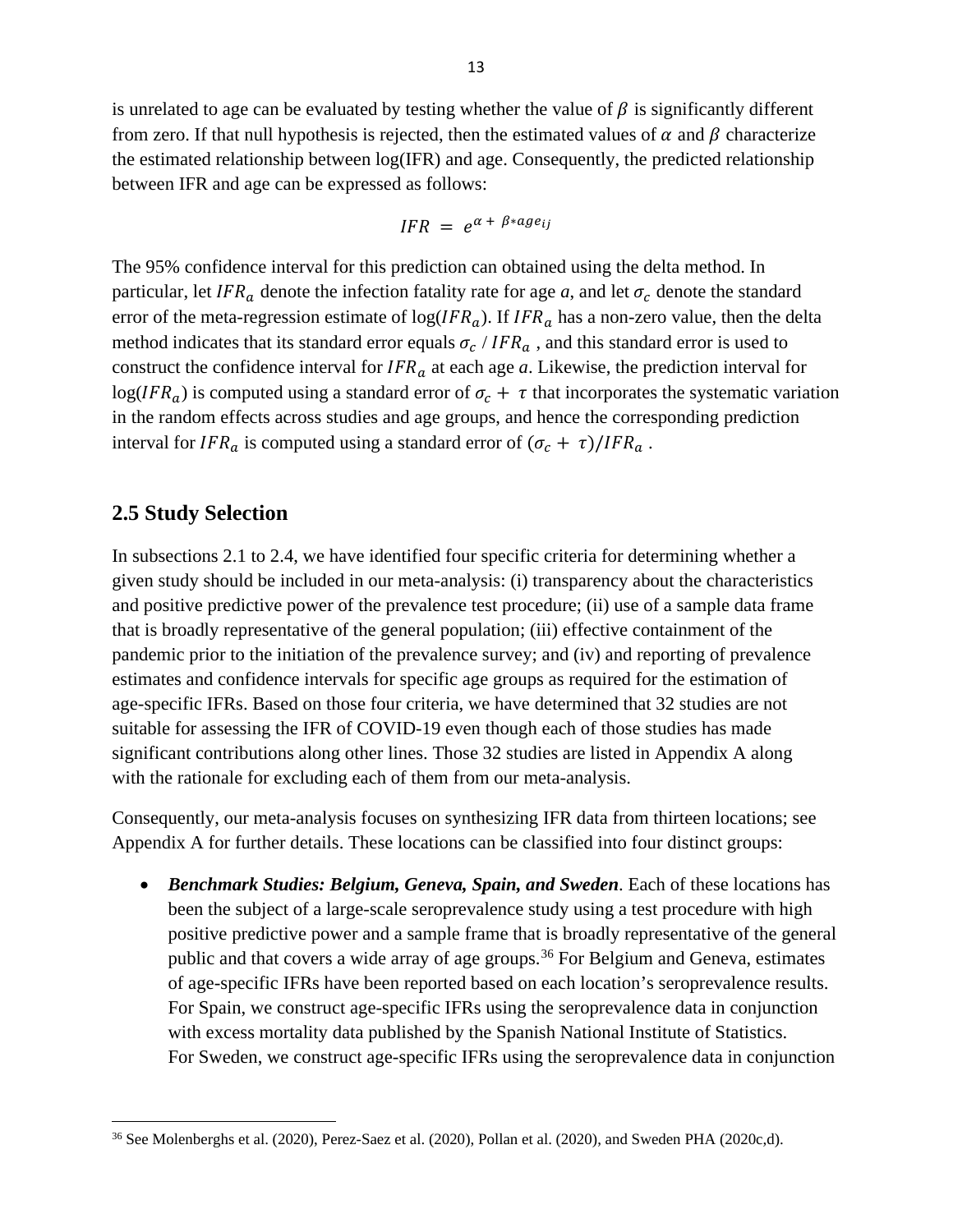is unrelated to age can be evaluated by testing whether the value of  $\beta$  is significantly different from zero. If that null hypothesis is rejected, then the estimated values of  $\alpha$  and  $\beta$  characterize the estimated relationship between log(IFR) and age. Consequently, the predicted relationship between IFR and age can be expressed as follows:

$$
IFR = e^{\alpha + \beta * age_{ij}}
$$

The 95% confidence interval for this prediction can obtained using the delta method. In particular, let IFR<sub>a</sub> denote the infection fatality rate for age *a*, and let  $\sigma_c$  denote the standard error of the meta-regression estimate of  $log(IFR_a)$ . If  $IFR_a$  has a non-zero value, then the delta method indicates that its standard error equals  $\sigma_c / IFR_a$ , and this standard error is used to construct the confidence interval for  $IFR_a$  at each age *a*. Likewise, the prediction interval for  $log(IFR<sub>a</sub>)$  is computed using a standard error of  $\sigma_c + \tau$  that incorporates the systematic variation in the random effects across studies and age groups, and hence the corresponding prediction interval for  $IFR_a$  is computed using a standard error of  $(\sigma_c + \tau)/IFR_a$ .

## **2.5 Study Selection**

In subsections 2.1 to 2.4, we have identified four specific criteria for determining whether a given study should be included in our meta-analysis: (i) transparency about the characteristics and positive predictive power of the prevalence test procedure; (ii) use of a sample data frame that is broadly representative of the general population; (iii) effective containment of the pandemic prior to the initiation of the prevalence survey; and (iv) and reporting of prevalence estimates and confidence intervals for specific age groups as required for the estimation of age-specific IFRs. Based on those four criteria, we have determined that 32 studies are not suitable for assessing the IFR of COVID-19 even though each of those studies has made significant contributions along other lines. Those 32 studies are listed in Appendix A along with the rationale for excluding each of them from our meta-analysis.

Consequently, our meta-analysis focuses on synthesizing IFR data from thirteen locations; see Appendix A for further details. These locations can be classified into four distinct groups:

• *Benchmark Studies: Belgium, Geneva, Spain, and Sweden*. Each of these locations has been the subject of a large-scale seroprevalence study using a test procedure with high positive predictive power and a sample frame that is broadly representative of the general public and that covers a wide array of age groups.<sup>36</sup> For Belgium and Geneva, estimates of age-specific IFRs have been reported based on each location's seroprevalence results. For Spain, we construct age-specific IFRs using the seroprevalence data in conjunction with excess mortality data published by the Spanish National Institute of Statistics. For Sweden, we construct age-specific IFRs using the seroprevalence data in conjunction

<span id="page-14-0"></span><sup>36</sup> See Molenberghs et al. (2020), Perez-Saez et al. (2020), Pollan et al. (2020), and Sweden PHA (2020c,d).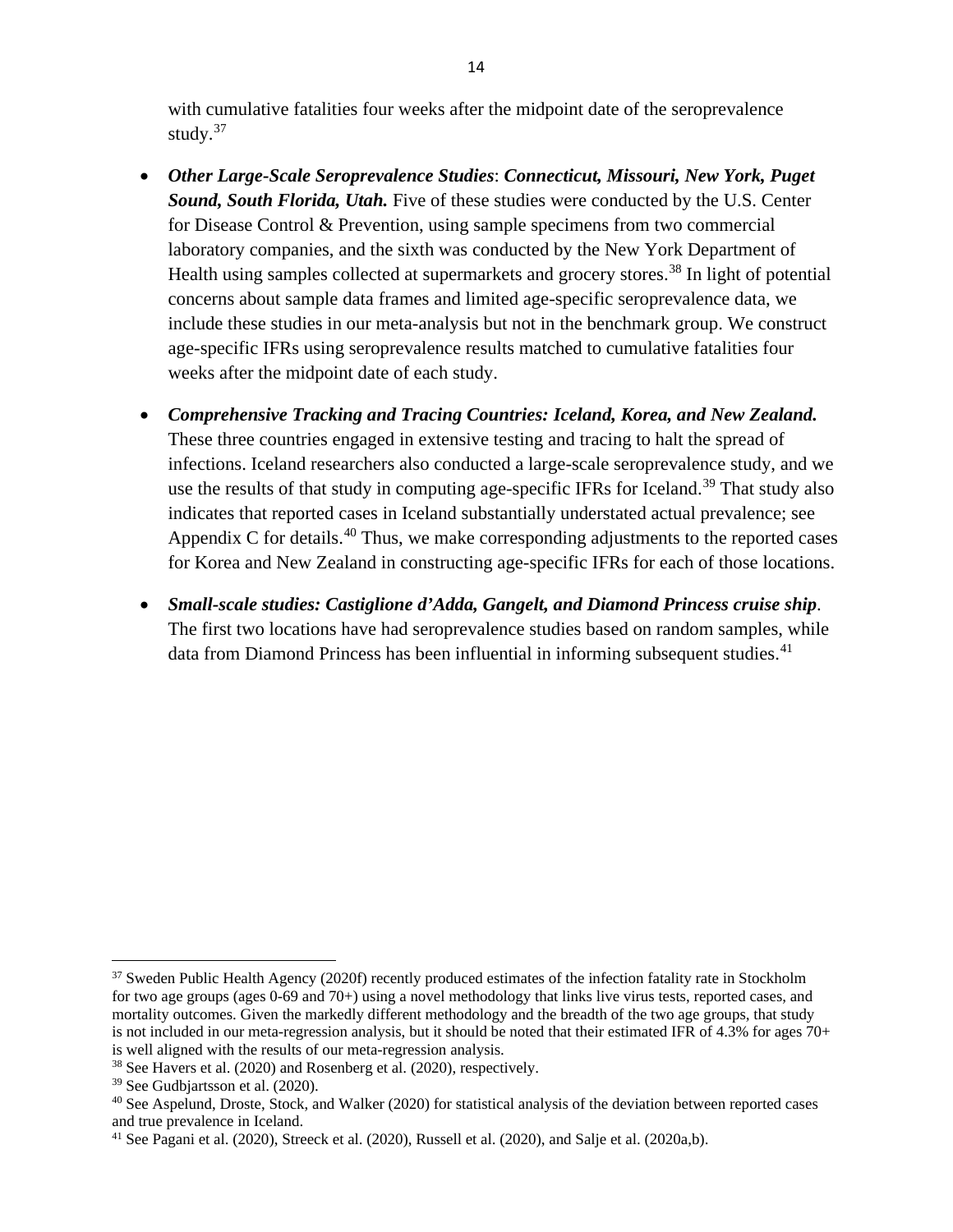with cumulative fatalities four weeks after the midpoint date of the seroprevalence study.<sup>[37](#page-15-0)</sup>

- *Other Large-Scale Seroprevalence Studies*: *Connecticut, Missouri, New York, Puget Sound, South Florida, Utah.* Five of these studies were conducted by the U.S. Center for Disease Control & Prevention, using sample specimens from two commercial laboratory companies, and the sixth was conducted by the New York Department of Health using samples collected at supermarkets and grocery stores.<sup>[38](#page-15-1)</sup> In light of potential concerns about sample data frames and limited age-specific seroprevalence data, we include these studies in our meta-analysis but not in the benchmark group. We construct age-specific IFRs using seroprevalence results matched to cumulative fatalities four weeks after the midpoint date of each study.
- *Comprehensive Tracking and Tracing Countries: Iceland, Korea, and New Zealand.* These three countries engaged in extensive testing and tracing to halt the spread of infections. Iceland researchers also conducted a large-scale seroprevalence study, and we use the results of that study in computing age-specific IFRs for Iceland.<sup>[39](#page-15-2)</sup> That study also indicates that reported cases in Iceland substantially understated actual prevalence; see Appendix C for details. $40$  Thus, we make corresponding adjustments to the reported cases for Korea and New Zealand in constructing age-specific IFRs for each of those locations.
- *Small-scale studies: Castiglione d'Adda, Gangelt, and Diamond Princess cruise ship*. The first two locations have had seroprevalence studies based on random samples, while data from Diamond Princess has been influential in informing subsequent studies. $41$

<span id="page-15-0"></span><sup>&</sup>lt;sup>37</sup> Sweden Public Health Agency (2020f) recently produced estimates of the infection fatality rate in Stockholm for two age groups (ages 0-69 and 70+) using a novel methodology that links live virus tests, reported cases, and mortality outcomes. Given the markedly different methodology and the breadth of the two age groups, that study is not included in our meta-regression analysis, but it should be noted that their estimated IFR of 4.3% for ages 70+ is well aligned with the results of our meta-regression analysis.

<span id="page-15-1"></span><sup>38</sup> See Havers et al. (2020) and Rosenberg et al. (2020), respectively.

<span id="page-15-2"></span><sup>39</sup> See Gudbjartsson et al. (2020).

<span id="page-15-3"></span><sup>&</sup>lt;sup>40</sup> See Aspelund, Droste, Stock, and Walker (2020) for statistical analysis of the deviation between reported cases and true prevalence in Iceland.

<span id="page-15-4"></span><sup>41</sup> See Pagani et al. (2020), Streeck et al. (2020), Russell et al. (2020), and Salje et al. (2020a,b).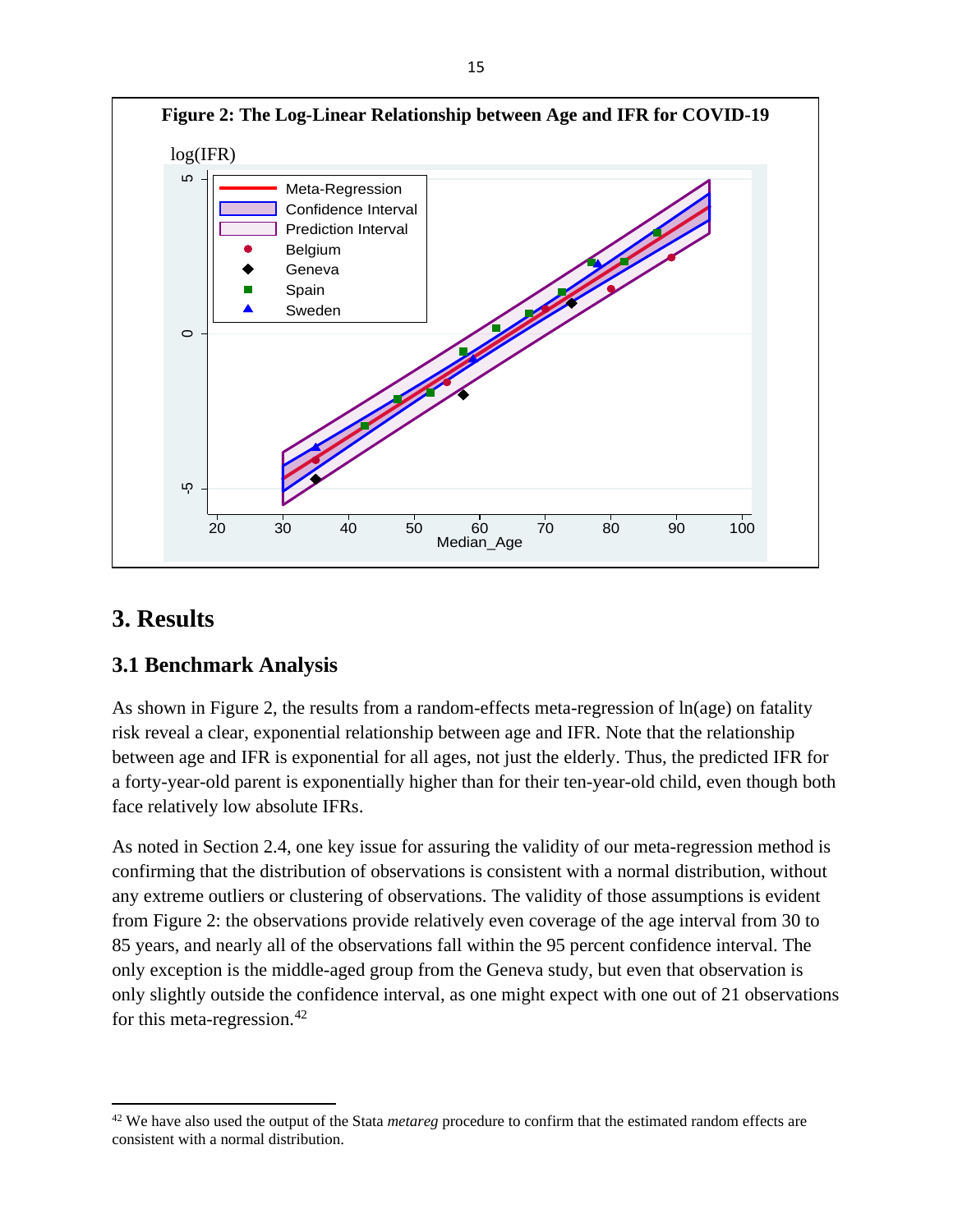

# **3. Results**

## **3.1 Benchmark Analysis**

As shown in Figure 2, the results from a random-effects meta-regression of ln(age) on fatality risk reveal a clear, exponential relationship between age and IFR. Note that the relationship between age and IFR is exponential for all ages, not just the elderly. Thus, the predicted IFR for a forty-year-old parent is exponentially higher than for their ten-year-old child, even though both face relatively low absolute IFRs.

As noted in Section 2.4, one key issue for assuring the validity of our meta-regression method is confirming that the distribution of observations is consistent with a normal distribution, without any extreme outliers or clustering of observations. The validity of those assumptions is evident from Figure 2: the observations provide relatively even coverage of the age interval from 30 to 85 years, and nearly all of the observations fall within the 95 percent confidence interval. The only exception is the middle-aged group from the Geneva study, but even that observation is only slightly outside the confidence interval, as one might expect with one out of 21 observations for this meta-regression.<sup>42</sup>

<span id="page-16-0"></span><sup>42</sup> We have also used the output of the Stata *metareg* procedure to confirm that the estimated random effects are consistent with a normal distribution.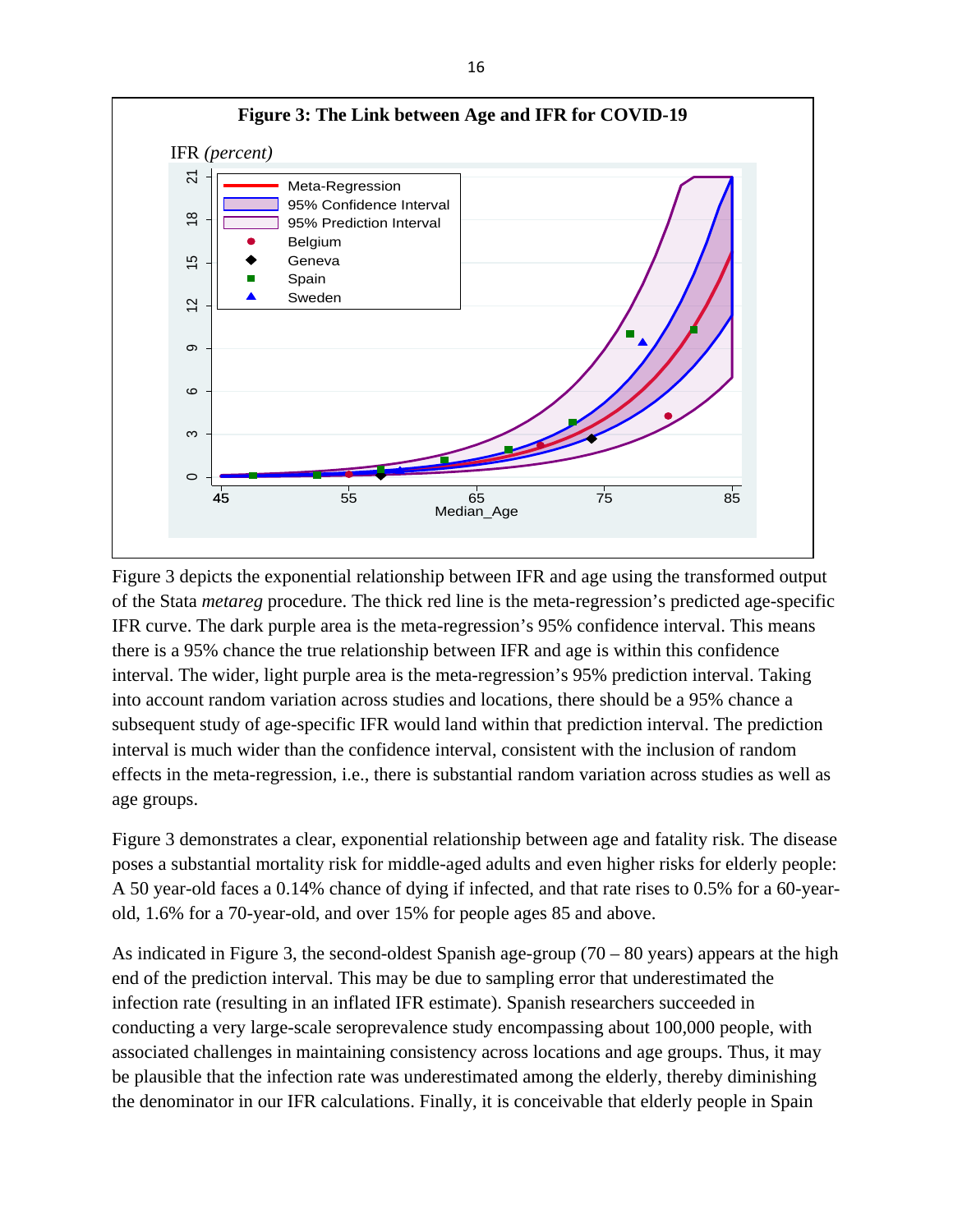

Figure 3 depicts the exponential relationship between IFR and age using the transformed output of the Stata *metareg* procedure. The thick red line is the meta-regression's predicted age-specific IFR curve. The dark purple area is the meta-regression's 95% confidence interval. This means there is a 95% chance the true relationship between IFR and age is within this confidence interval. The wider, light purple area is the meta-regression's 95% prediction interval. Taking into account random variation across studies and locations, there should be a 95% chance a subsequent study of age-specific IFR would land within that prediction interval. The prediction interval is much wider than the confidence interval, consistent with the inclusion of random effects in the meta-regression, i.e., there is substantial random variation across studies as well as age groups.

Figure 3 demonstrates a clear, exponential relationship between age and fatality risk. The disease poses a substantial mortality risk for middle-aged adults and even higher risks for elderly people: A 50 year-old faces a 0.14% chance of dying if infected, and that rate rises to 0.5% for a 60-yearold, 1.6% for a 70-year-old, and over 15% for people ages 85 and above.

As indicated in Figure 3, the second-oldest Spanish age-group (70 – 80 years) appears at the high end of the prediction interval. This may be due to sampling error that underestimated the infection rate (resulting in an inflated IFR estimate). Spanish researchers succeeded in conducting a very large-scale seroprevalence study encompassing about 100,000 people, with associated challenges in maintaining consistency across locations and age groups. Thus, it may be plausible that the infection rate was underestimated among the elderly, thereby diminishing the denominator in our IFR calculations. Finally, it is conceivable that elderly people in Spain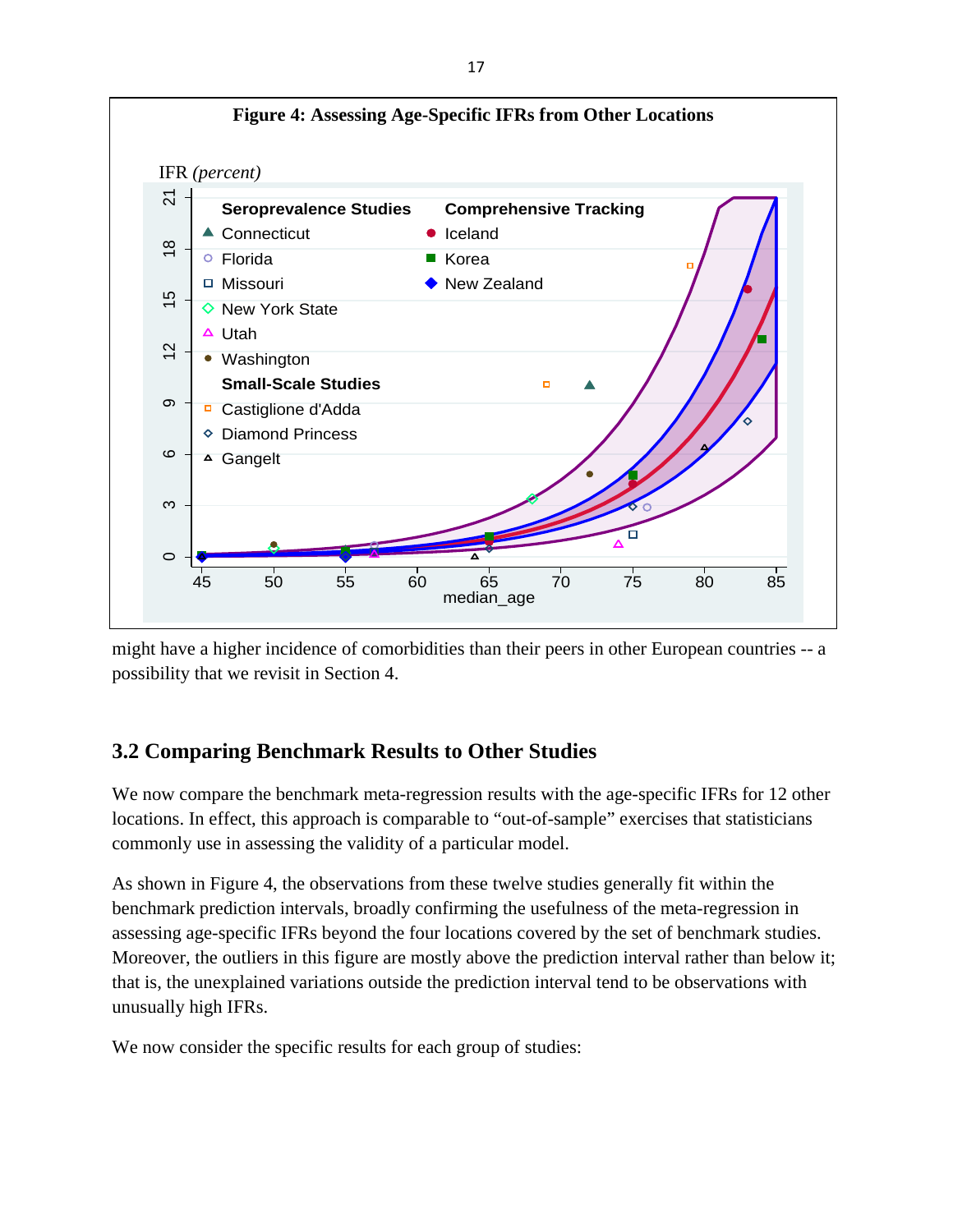

might have a higher incidence of comorbidities than their peers in other European countries -- a possibility that we revisit in Section 4.

# **3.2 Comparing Benchmark Results to Other Studies**

We now compare the benchmark meta-regression results with the age-specific IFRs for 12 other locations. In effect, this approach is comparable to "out-of-sample" exercises that statisticians commonly use in assessing the validity of a particular model.

As shown in Figure 4, the observations from these twelve studies generally fit within the benchmark prediction intervals, broadly confirming the usefulness of the meta-regression in assessing age-specific IFRs beyond the four locations covered by the set of benchmark studies. Moreover, the outliers in this figure are mostly above the prediction interval rather than below it; that is, the unexplained variations outside the prediction interval tend to be observations with unusually high IFRs.

We now consider the specific results for each group of studies: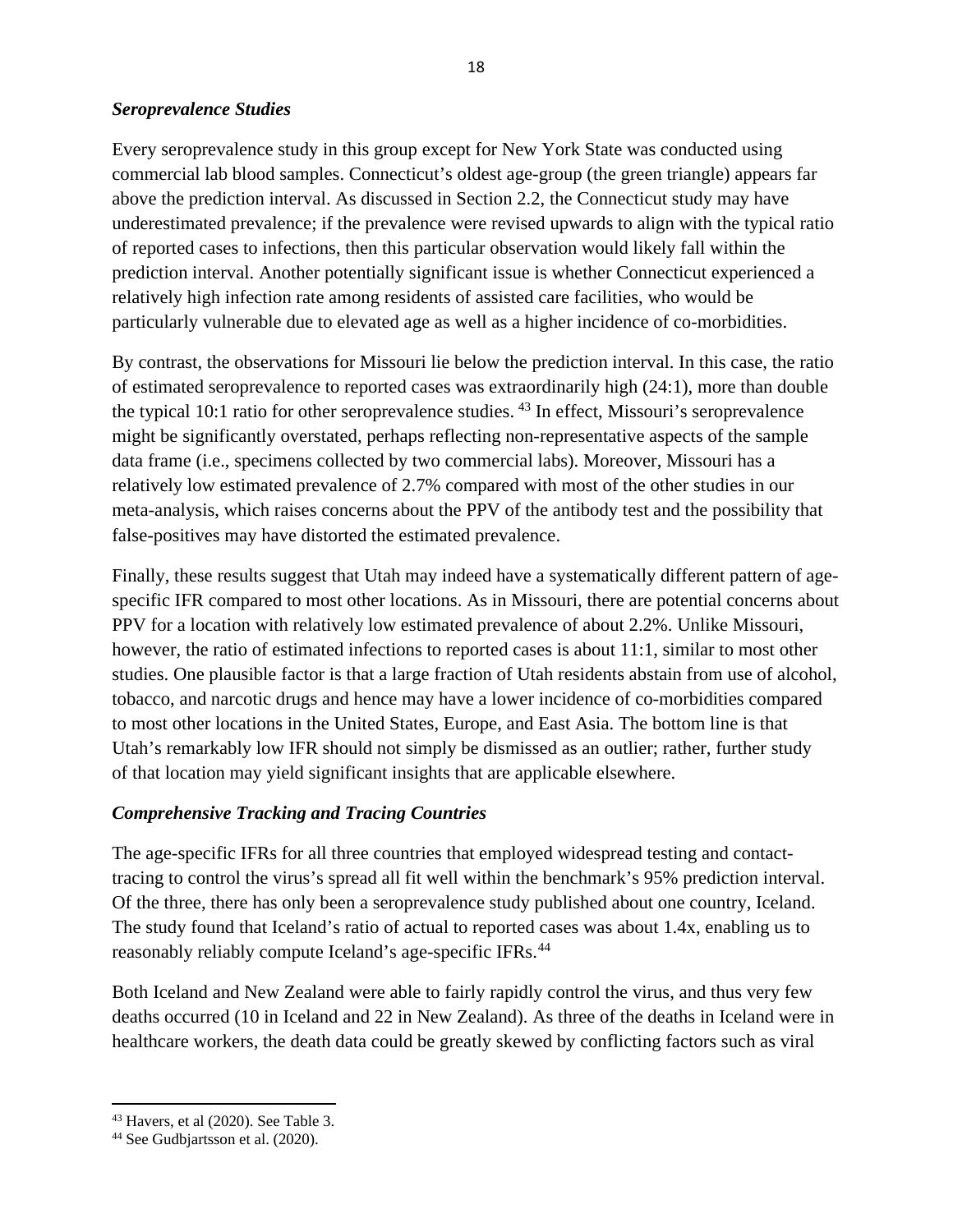#### *Seroprevalence Studies*

Every seroprevalence study in this group except for New York State was conducted using commercial lab blood samples. Connecticut's oldest age-group (the green triangle) appears far above the prediction interval. As discussed in Section 2.2, the Connecticut study may have underestimated prevalence; if the prevalence were revised upwards to align with the typical ratio of reported cases to infections, then this particular observation would likely fall within the prediction interval. Another potentially significant issue is whether Connecticut experienced a relatively high infection rate among residents of assisted care facilities, who would be particularly vulnerable due to elevated age as well as a higher incidence of co-morbidities.

By contrast, the observations for Missouri lie below the prediction interval. In this case, the ratio of estimated seroprevalence to reported cases was extraordinarily high (24:1), more than double the typical 10:1 ratio for other seroprevalence studies. [43](#page-19-0) In effect, Missouri's seroprevalence might be significantly overstated, perhaps reflecting non-representative aspects of the sample data frame (i.e., specimens collected by two commercial labs). Moreover, Missouri has a relatively low estimated prevalence of 2.7% compared with most of the other studies in our meta-analysis, which raises concerns about the PPV of the antibody test and the possibility that false-positives may have distorted the estimated prevalence.

Finally, these results suggest that Utah may indeed have a systematically different pattern of agespecific IFR compared to most other locations. As in Missouri, there are potential concerns about PPV for a location with relatively low estimated prevalence of about 2.2%. Unlike Missouri, however, the ratio of estimated infections to reported cases is about 11:1, similar to most other studies. One plausible factor is that a large fraction of Utah residents abstain from use of alcohol, tobacco, and narcotic drugs and hence may have a lower incidence of co-morbidities compared to most other locations in the United States, Europe, and East Asia. The bottom line is that Utah's remarkably low IFR should not simply be dismissed as an outlier; rather, further study of that location may yield significant insights that are applicable elsewhere.

#### *Comprehensive Tracking and Tracing Countries*

The age-specific IFRs for all three countries that employed widespread testing and contacttracing to control the virus's spread all fit well within the benchmark's 95% prediction interval. Of the three, there has only been a seroprevalence study published about one country, Iceland. The study found that Iceland's ratio of actual to reported cases was about 1.4x, enabling us to reasonably reliably compute Iceland's age-specific IFRs.[44](#page-19-1) 

Both Iceland and New Zealand were able to fairly rapidly control the virus, and thus very few deaths occurred (10 in Iceland and 22 in New Zealand). As three of the deaths in Iceland were in healthcare workers, the death data could be greatly skewed by conflicting factors such as viral

<span id="page-19-0"></span> $43$  Havers, et al (2020). See Table 3.

<span id="page-19-1"></span><sup>44</sup> See Gudbjartsson et al. (2020).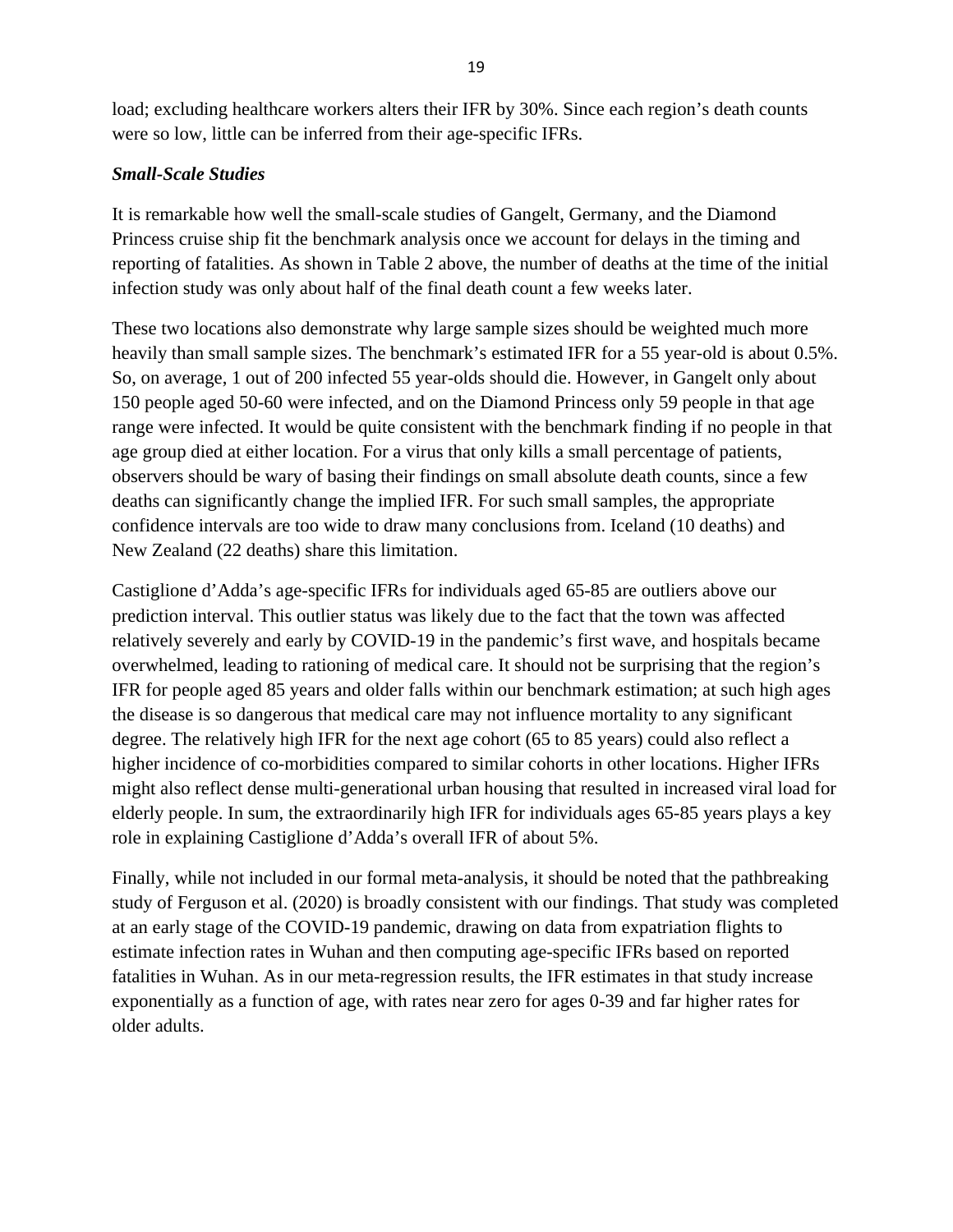load; excluding healthcare workers alters their IFR by 30%. Since each region's death counts were so low, little can be inferred from their age-specific IFRs.

### *Small-Scale Studies*

It is remarkable how well the small-scale studies of Gangelt, Germany, and the Diamond Princess cruise ship fit the benchmark analysis once we account for delays in the timing and reporting of fatalities. As shown in Table 2 above, the number of deaths at the time of the initial infection study was only about half of the final death count a few weeks later.

These two locations also demonstrate why large sample sizes should be weighted much more heavily than small sample sizes. The benchmark's estimated IFR for a 55 year-old is about 0.5%. So, on average, 1 out of 200 infected 55 year-olds should die. However, in Gangelt only about 150 people aged 50-60 were infected, and on the Diamond Princess only 59 people in that age range were infected. It would be quite consistent with the benchmark finding if no people in that age group died at either location. For a virus that only kills a small percentage of patients, observers should be wary of basing their findings on small absolute death counts, since a few deaths can significantly change the implied IFR. For such small samples, the appropriate confidence intervals are too wide to draw many conclusions from. Iceland (10 deaths) and New Zealand (22 deaths) share this limitation.

Castiglione d'Adda's age-specific IFRs for individuals aged 65-85 are outliers above our prediction interval. This outlier status was likely due to the fact that the town was affected relatively severely and early by COVID-19 in the pandemic's first wave, and hospitals became overwhelmed, leading to rationing of medical care. It should not be surprising that the region's IFR for people aged 85 years and older falls within our benchmark estimation; at such high ages the disease is so dangerous that medical care may not influence mortality to any significant degree. The relatively high IFR for the next age cohort (65 to 85 years) could also reflect a higher incidence of co-morbidities compared to similar cohorts in other locations. Higher IFRs might also reflect dense multi-generational urban housing that resulted in increased viral load for elderly people. In sum, the extraordinarily high IFR for individuals ages 65-85 years plays a key role in explaining Castiglione d'Adda's overall IFR of about 5%.

Finally, while not included in our formal meta-analysis, it should be noted that the pathbreaking study of Ferguson et al. (2020) is broadly consistent with our findings. That study was completed at an early stage of the COVID-19 pandemic, drawing on data from expatriation flights to estimate infection rates in Wuhan and then computing age-specific IFRs based on reported fatalities in Wuhan. As in our meta-regression results, the IFR estimates in that study increase exponentially as a function of age, with rates near zero for ages 0-39 and far higher rates for older adults.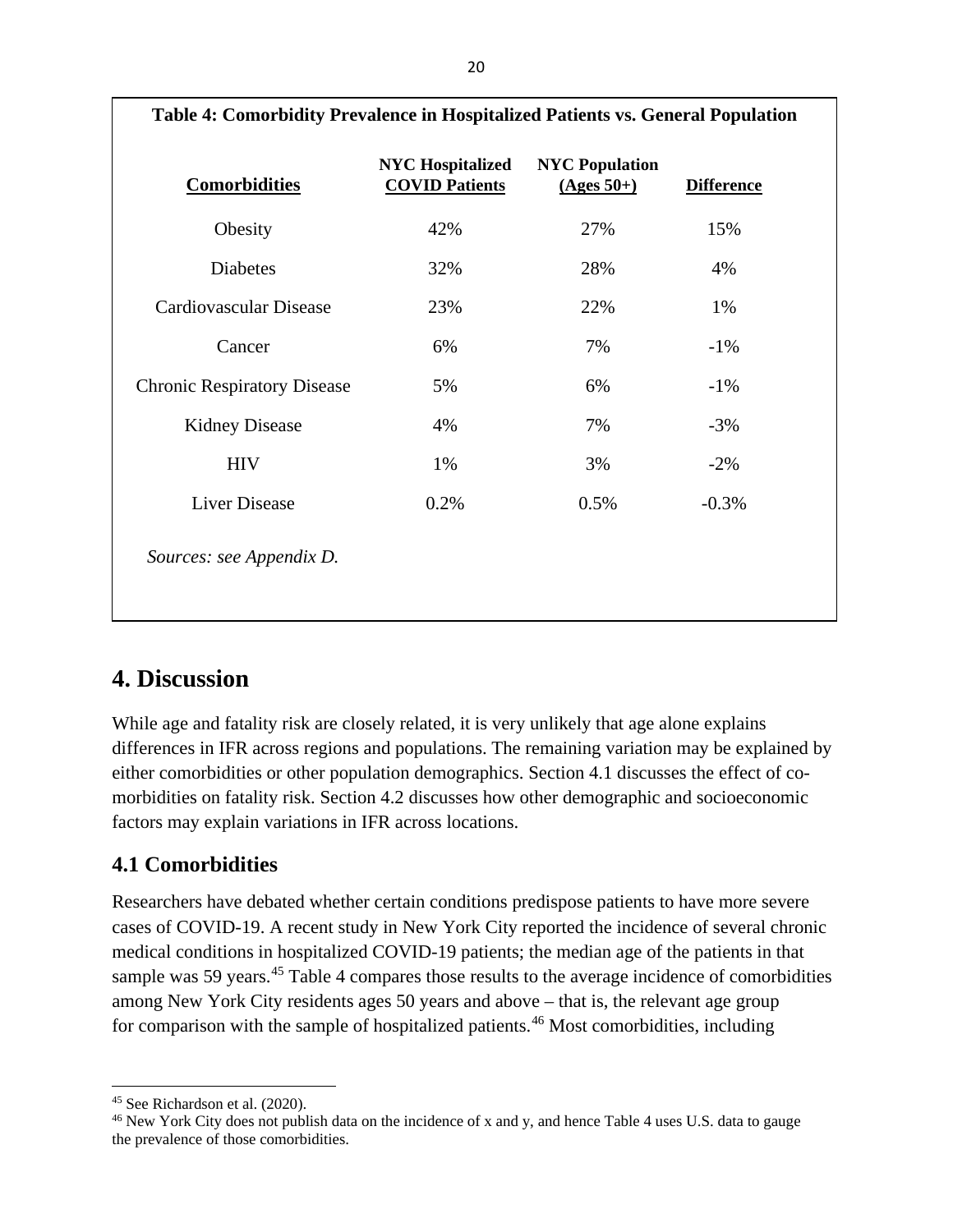| Table 4: Comorbidity Prevalence in Hospitalized Patients vs. General Population |                                                  |                                       |                   |  |
|---------------------------------------------------------------------------------|--------------------------------------------------|---------------------------------------|-------------------|--|
| <b>Comorbidities</b>                                                            | <b>NYC Hospitalized</b><br><b>COVID Patients</b> | <b>NYC Population</b><br>$(Ages 50+)$ | <b>Difference</b> |  |
| Obesity                                                                         | 42%                                              | 27%                                   | 15%               |  |
| Diabetes                                                                        | 32%                                              | 28%                                   | 4%                |  |
| Cardiovascular Disease                                                          | 23%                                              | 22%                                   | 1%                |  |
| Cancer                                                                          | 6%                                               | 7%                                    | $-1\%$            |  |
| <b>Chronic Respiratory Disease</b>                                              | 5%                                               | 6%                                    | $-1\%$            |  |
| <b>Kidney Disease</b>                                                           | 4%                                               | 7%                                    | $-3%$             |  |
| <b>HIV</b>                                                                      | 1%                                               | 3%                                    | $-2\%$            |  |
| <b>Liver Disease</b>                                                            | 0.2%                                             | 0.5%                                  | $-0.3%$           |  |
| Sources: see Appendix D.                                                        |                                                  |                                       |                   |  |

## **Table 4: Comorbidity Prevalence in Hospitalized Patients vs. General Population**

# **4. Discussion**

While age and fatality risk are closely related, it is very unlikely that age alone explains differences in IFR across regions and populations. The remaining variation may be explained by either comorbidities or other population demographics. Section 4.1 discusses the effect of comorbidities on fatality risk. Section 4.2 discusses how other demographic and socioeconomic factors may explain variations in IFR across locations.

## **4.1 Comorbidities**

Researchers have debated whether certain conditions predispose patients to have more severe cases of COVID-19. A recent study in New York City reported the incidence of several chronic medical conditions in hospitalized COVID-19 patients; the median age of the patients in that sample was 59 years.<sup>45</sup> Table 4 compares those results to the average incidence of comorbidities among New York City residents ages 50 years and above – that is, the relevant age group for comparison with the sample of hospitalized patients.<sup>[46](#page-21-1)</sup> Most comorbidities, including

<span id="page-21-0"></span><sup>45</sup> See Richardson et al. (2020).

<span id="page-21-1"></span><sup>&</sup>lt;sup>46</sup> New York City does not publish data on the incidence of x and y, and hence Table 4 uses U.S. data to gauge the prevalence of those comorbidities.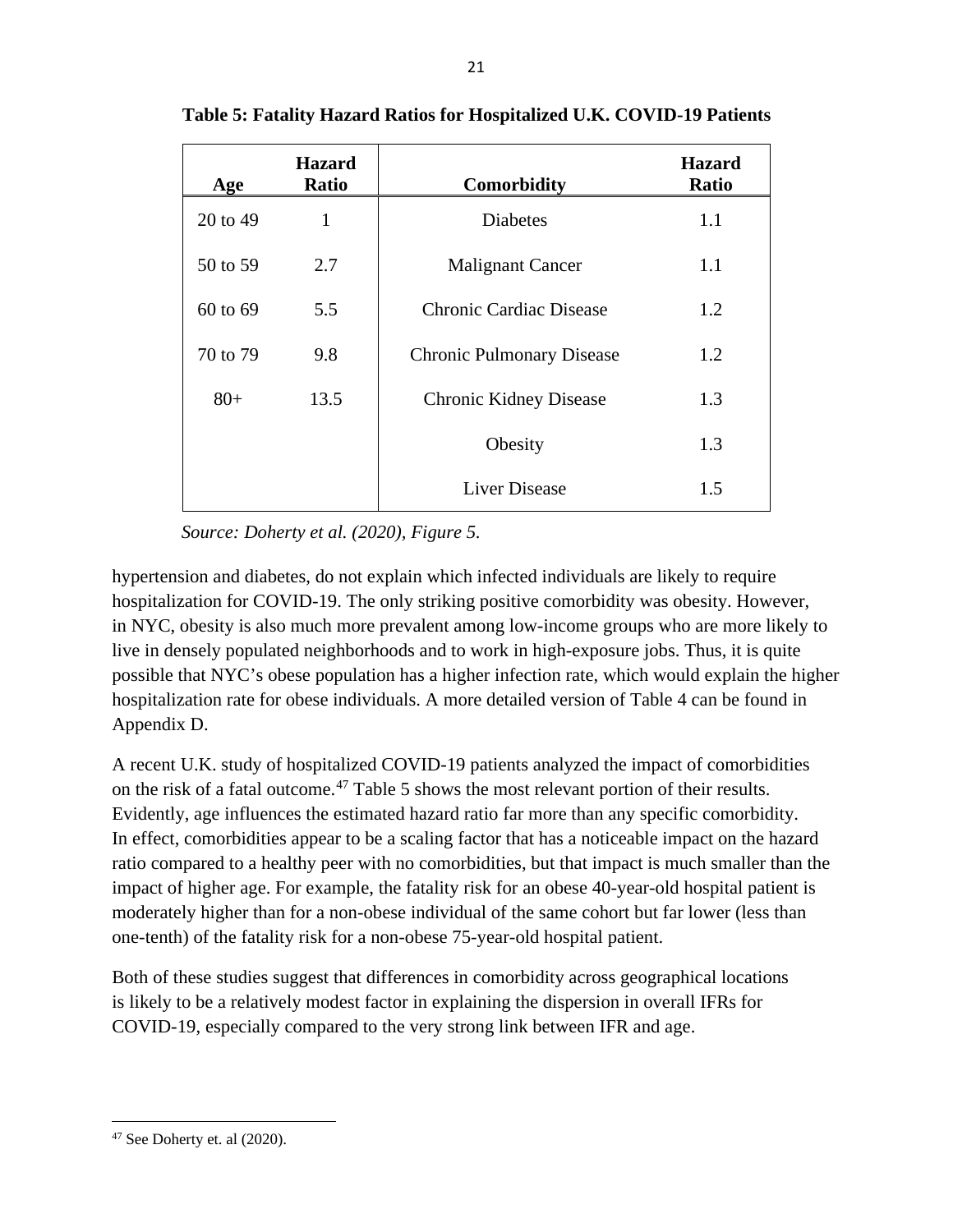| Age      | <b>Hazard</b><br><b>Ratio</b> | <b>Comorbidity</b>               | <b>Hazard</b><br><b>Ratio</b> |
|----------|-------------------------------|----------------------------------|-------------------------------|
| 20 to 49 | 1                             | <b>Diabetes</b>                  | 1.1                           |
| 50 to 59 | 2.7                           | <b>Malignant Cancer</b>          | 1.1                           |
| 60 to 69 | 5.5                           | Chronic Cardiac Disease          | 1.2                           |
| 70 to 79 | 9.8                           | <b>Chronic Pulmonary Disease</b> | 1.2                           |
| $80+$    | 13.5                          | <b>Chronic Kidney Disease</b>    | 1.3                           |
|          |                               | Obesity                          | 1.3                           |
|          |                               | Liver Disease                    | 1.5                           |

**Table 5: Fatality Hazard Ratios for Hospitalized U.K. COVID-19 Patients**

 *Source: Doherty et al. (2020), Figure 5.*

hypertension and diabetes, do not explain which infected individuals are likely to require hospitalization for COVID-19. The only striking positive comorbidity was obesity. However, in NYC, obesity is also much more prevalent among low-income groups who are more likely to live in densely populated neighborhoods and to work in high-exposure jobs. Thus, it is quite possible that NYC's obese population has a higher infection rate, which would explain the higher hospitalization rate for obese individuals. A more detailed version of Table 4 can be found in Appendix D.

A recent U.K. study of hospitalized COVID-19 patients analyzed the impact of comorbidities on the risk of a fatal outcome. [47](#page-22-0) Table 5 shows the most relevant portion of their results. Evidently, age influences the estimated hazard ratio far more than any specific comorbidity. In effect, comorbidities appear to be a scaling factor that has a noticeable impact on the hazard ratio compared to a healthy peer with no comorbidities, but that impact is much smaller than the impact of higher age. For example, the fatality risk for an obese 40-year-old hospital patient is moderately higher than for a non-obese individual of the same cohort but far lower (less than one-tenth) of the fatality risk for a non-obese 75-year-old hospital patient.

Both of these studies suggest that differences in comorbidity across geographical locations is likely to be a relatively modest factor in explaining the dispersion in overall IFRs for COVID-19, especially compared to the very strong link between IFR and age.

<span id="page-22-0"></span><sup>47</sup> See Doherty et. al (2020).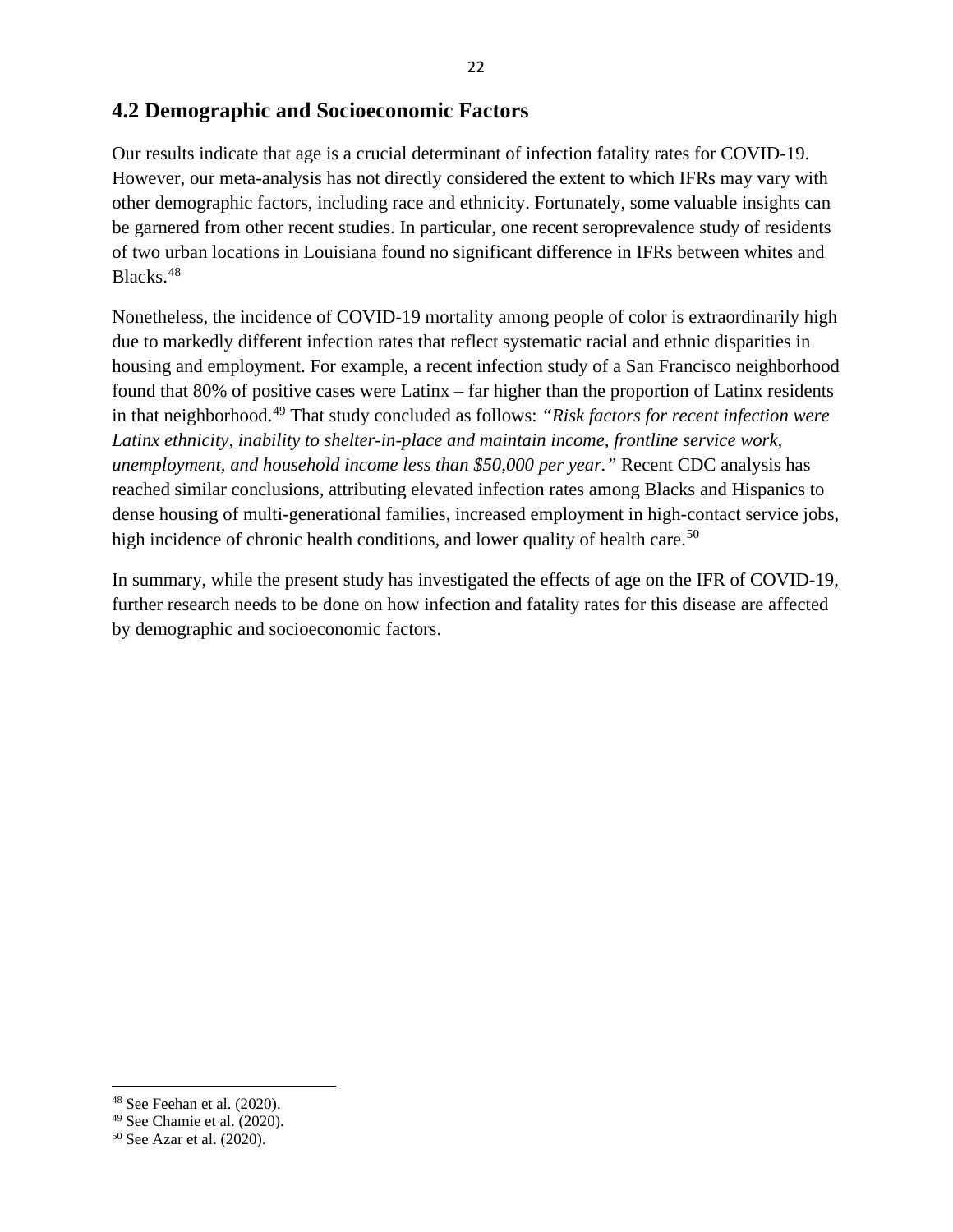## **4.2 Demographic and Socioeconomic Factors**

Our results indicate that age is a crucial determinant of infection fatality rates for COVID-19. However, our meta-analysis has not directly considered the extent to which IFRs may vary with other demographic factors, including race and ethnicity. Fortunately, some valuable insights can be garnered from other recent studies. In particular, one recent seroprevalence study of residents of two urban locations in Louisiana found no significant difference in IFRs between whites and Blacks. [48](#page-23-0)

Nonetheless, the incidence of COVID-19 mortality among people of color is extraordinarily high due to markedly different infection rates that reflect systematic racial and ethnic disparities in housing and employment. For example, a recent infection study of a San Francisco neighborhood found that 80% of positive cases were Latinx – far higher than the proportion of Latinx residents in that neighborhood.[49](#page-23-1) That study concluded as follows: *"Risk factors for recent infection were Latinx ethnicity, inability to shelter-in-place and maintain income, frontline service work, unemployment, and household income less than \$50,000 per year."* Recent CDC analysis has reached similar conclusions, attributing elevated infection rates among Blacks and Hispanics to dense housing of multi-generational families, increased employment in high-contact service jobs, high incidence of chronic health conditions, and lower quality of health care.<sup>[50](#page-23-2)</sup>

In summary, while the present study has investigated the effects of age on the IFR of COVID-19, further research needs to be done on how infection and fatality rates for this disease are affected by demographic and socioeconomic factors.

<span id="page-23-0"></span><sup>48</sup> See Feehan et al. (2020).

<span id="page-23-1"></span><sup>49</sup> See Chamie et al. (2020).

<span id="page-23-2"></span><sup>50</sup> See Azar et al. (2020).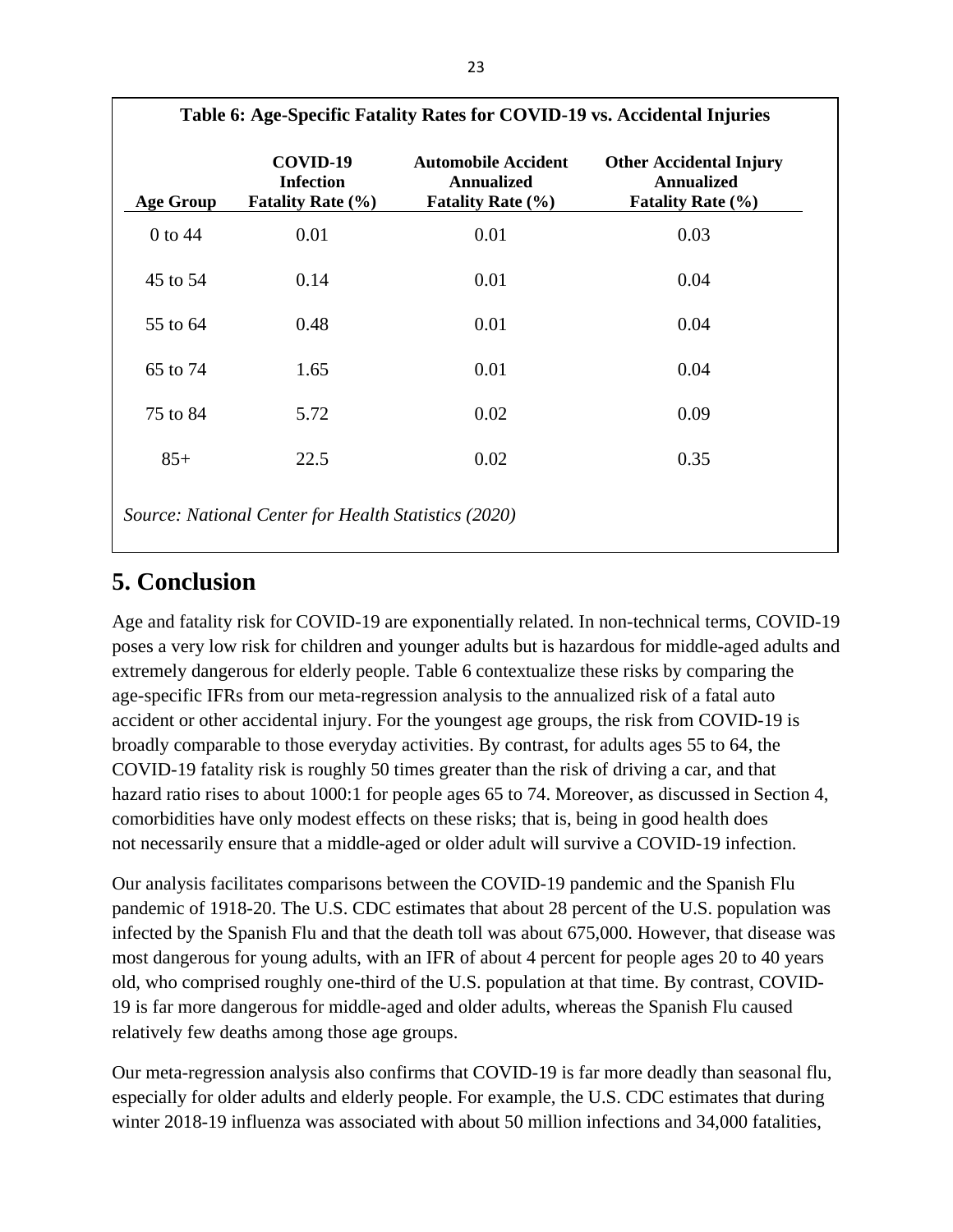| <b>Age Group</b> | COVID-19<br><b>Infection</b><br><b>Fatality Rate (%)</b> | <b>Automobile Accident</b><br><b>Annualized</b><br><b>Fatality Rate (%)</b> | <b>Other Accidental Injury</b><br><b>Annualized</b><br><b>Fatality Rate (%)</b> |
|------------------|----------------------------------------------------------|-----------------------------------------------------------------------------|---------------------------------------------------------------------------------|
| 0 to 44          | 0.01                                                     | 0.01                                                                        | 0.03                                                                            |
| 45 to 54         | 0.14                                                     | 0.01                                                                        | 0.04                                                                            |
| 55 to 64         | 0.48                                                     | 0.01                                                                        | 0.04                                                                            |
| 65 to 74         | 1.65                                                     | 0.01                                                                        | 0.04                                                                            |
| 75 to 84         | 5.72                                                     | 0.02                                                                        | 0.09                                                                            |
| $85+$            | 22.5                                                     | 0.02                                                                        | 0.35                                                                            |

# **5. Conclusion**

Age and fatality risk for COVID-19 are exponentially related. In non-technical terms, COVID-19 poses a very low risk for children and younger adults but is hazardous for middle-aged adults and extremely dangerous for elderly people. Table 6 contextualize these risks by comparing the age-specific IFRs from our meta-regression analysis to the annualized risk of a fatal auto accident or other accidental injury. For the youngest age groups, the risk from COVID-19 is broadly comparable to those everyday activities. By contrast, for adults ages 55 to 64, the COVID-19 fatality risk is roughly 50 times greater than the risk of driving a car, and that hazard ratio rises to about 1000:1 for people ages 65 to 74. Moreover, as discussed in Section 4, comorbidities have only modest effects on these risks; that is, being in good health does not necessarily ensure that a middle-aged or older adult will survive a COVID-19 infection.

Our analysis facilitates comparisons between the COVID-19 pandemic and the Spanish Flu pandemic of 1918-20. The U.S. CDC estimates that about 28 percent of the U.S. population was infected by the Spanish Flu and that the death toll was about 675,000. However, that disease was most dangerous for young adults, with an IFR of about 4 percent for people ages 20 to 40 years old, who comprised roughly one-third of the U.S. population at that time. By contrast, COVID-19 is far more dangerous for middle-aged and older adults, whereas the Spanish Flu caused relatively few deaths among those age groups.

Our meta-regression analysis also confirms that COVID-19 is far more deadly than seasonal flu, especially for older adults and elderly people. For example, the U.S. CDC estimates that during winter 2018-19 influenza was associated with about 50 million infections and 34,000 fatalities,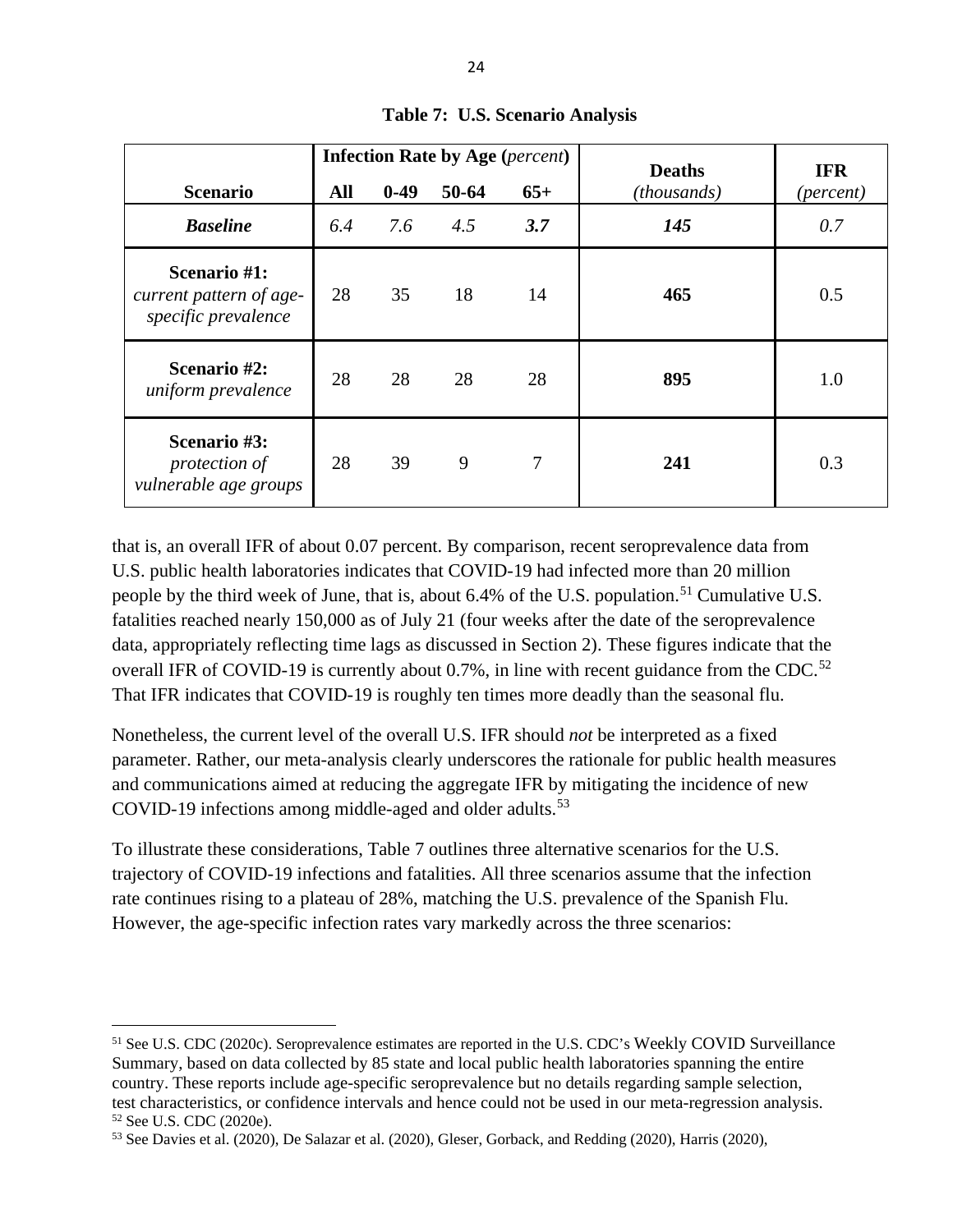|                                                                | <b>Infection Rate by Age (percent)</b> |        | <b>Deaths</b> | <b>IFR</b> |             |                    |
|----------------------------------------------------------------|----------------------------------------|--------|---------------|------------|-------------|--------------------|
| <b>Scenario</b>                                                | All                                    | $0-49$ | 50-64         | $65+$      | (thousands) | ( <i>percent</i> ) |
| <b>Baseline</b>                                                | 6.4                                    | 7.6    | 4.5           | 3.7        | 145         | 0.7                |
| Scenario #1:<br>current pattern of age-<br>specific prevalence | 28                                     | 35     | 18            | 14         | 465         | 0.5                |
| Scenario #2:<br>uniform prevalence                             | 28                                     | 28     | 28            | 28         | 895         | 1.0                |
| Scenario #3:<br>protection of<br>vulnerable age groups         | 28                                     | 39     | 9             | 7          | 241         | 0.3                |

**Table 7: U.S. Scenario Analysis**

that is, an overall IFR of about 0.07 percent. By comparison, recent seroprevalence data from U.S. public health laboratories indicates that COVID-19 had infected more than 20 million people by the third week of June, that is, about 6.4% of the U.S. population.<sup>[51](#page-25-0)</sup> Cumulative U.S. fatalities reached nearly 150,000 as of July 21 (four weeks after the date of the seroprevalence data, appropriately reflecting time lags as discussed in Section 2). These figures indicate that the overall IFR of COVID-19 is currently about  $0.7\%$ , in line with recent guidance from the CDC.<sup>[52](#page-25-1)</sup> That IFR indicates that COVID-19 is roughly ten times more deadly than the seasonal flu.

Nonetheless, the current level of the overall U.S. IFR should *not* be interpreted as a fixed parameter. Rather, our meta-analysis clearly underscores the rationale for public health measures and communications aimed at reducing the aggregate IFR by mitigating the incidence of new COVID-19 infections among middle-aged and older adults.<sup>[53](#page-25-2)</sup>

To illustrate these considerations, Table 7 outlines three alternative scenarios for the U.S. trajectory of COVID-19 infections and fatalities. All three scenarios assume that the infection rate continues rising to a plateau of 28%, matching the U.S. prevalence of the Spanish Flu. However, the age-specific infection rates vary markedly across the three scenarios:

<span id="page-25-0"></span><sup>51</sup> See U.S. CDC (2020c). Seroprevalence estimates are reported in the U.S. CDC's Weekly COVID Surveillance Summary, based on data collected by 85 state and local public health laboratories spanning the entire country. These reports include age-specific seroprevalence but no details regarding sample selection, test characteristics, or confidence intervals and hence could not be used in our meta-regression analysis. <sup>52</sup> See U.S. CDC (2020e).

<span id="page-25-2"></span><span id="page-25-1"></span><sup>53</sup> See Davies et al. (2020), De Salazar et al. (2020), Gleser, Gorback, and Redding (2020), Harris (2020),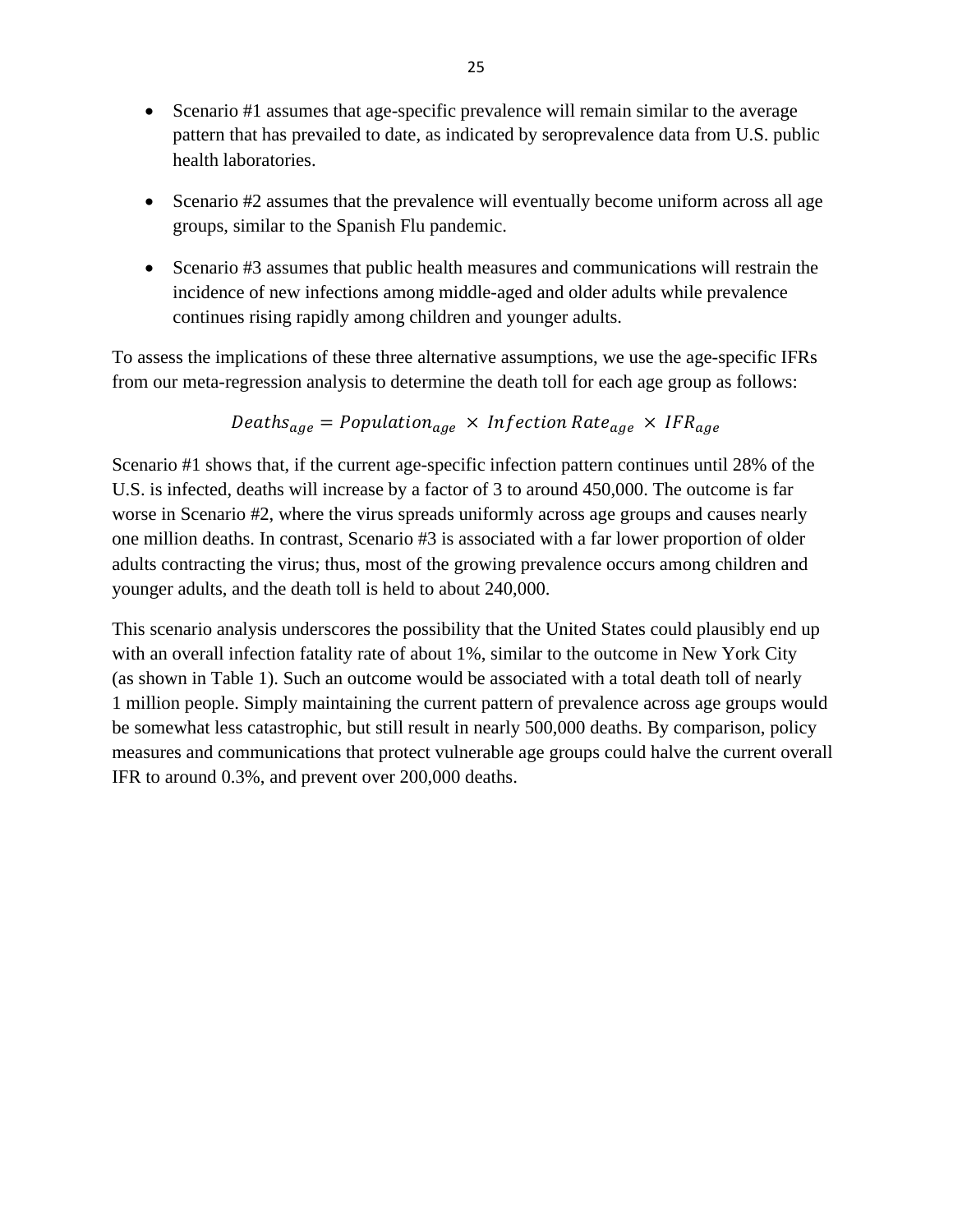- Scenario #1 assumes that age-specific prevalence will remain similar to the average pattern that has prevailed to date, as indicated by seroprevalence data from U.S. public health laboratories.
- Scenario #2 assumes that the prevalence will eventually become uniform across all age groups, similar to the Spanish Flu pandemic.
- Scenario #3 assumes that public health measures and communications will restrain the incidence of new infections among middle-aged and older adults while prevalence continues rising rapidly among children and younger adults.

To assess the implications of these three alternative assumptions, we use the age-specific IFRs from our meta-regression analysis to determine the death toll for each age group as follows:

$$
Deaths_{age} = Population_{age} \times Infection Rate_{age} \times IFR_{age}
$$

Scenario #1 shows that, if the current age-specific infection pattern continues until 28% of the U.S. is infected, deaths will increase by a factor of 3 to around 450,000. The outcome is far worse in Scenario #2, where the virus spreads uniformly across age groups and causes nearly one million deaths. In contrast, Scenario #3 is associated with a far lower proportion of older adults contracting the virus; thus, most of the growing prevalence occurs among children and younger adults, and the death toll is held to about 240,000.

This scenario analysis underscores the possibility that the United States could plausibly end up with an overall infection fatality rate of about 1%, similar to the outcome in New York City (as shown in Table 1). Such an outcome would be associated with a total death toll of nearly 1 million people. Simply maintaining the current pattern of prevalence across age groups would be somewhat less catastrophic, but still result in nearly 500,000 deaths. By comparison, policy measures and communications that protect vulnerable age groups could halve the current overall IFR to around 0.3%, and prevent over 200,000 deaths.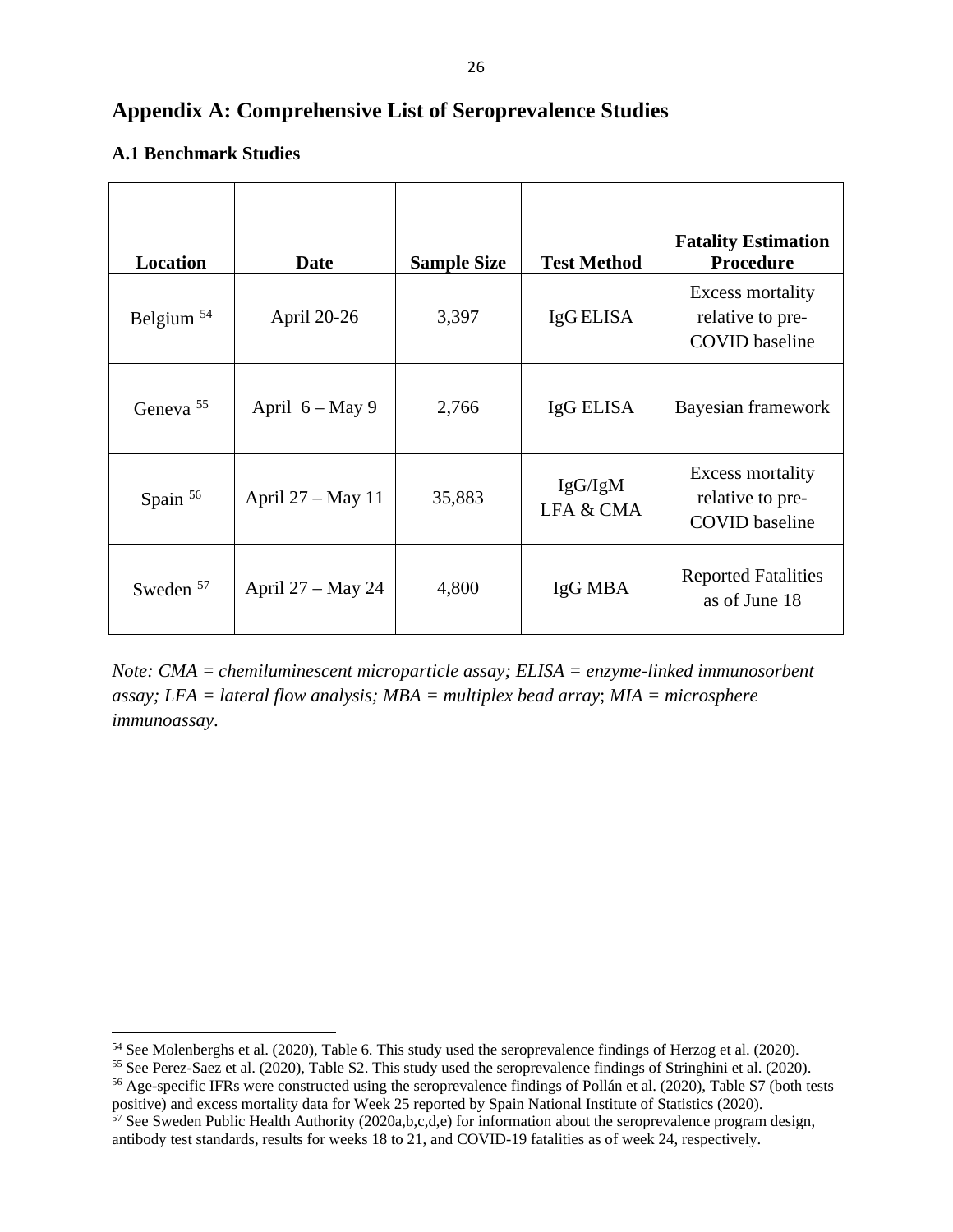## **Appendix A: Comprehensive List of Seroprevalence Studies**

### **A.1 Benchmark Studies**

| <b>Location</b>      | Date              | <b>Sample Size</b> | <b>Test Method</b>   | <b>Fatality Estimation</b><br><b>Procedure</b>                |
|----------------------|-------------------|--------------------|----------------------|---------------------------------------------------------------|
| Belgium $54$         | April 20-26       | 3,397              | IgG ELISA            | Excess mortality<br>relative to pre-<br><b>COVID</b> baseline |
| Geneva <sup>55</sup> | April $6 - May 9$ | 2,766              | IgG ELISA            | Bayesian framework                                            |
| Spain <sup>56</sup>  | April 27 – May 11 | 35,883             | IgG/IgM<br>LFA & CMA | Excess mortality<br>relative to pre-<br><b>COVID</b> baseline |
| Sweden $57$          | April 27 – May 24 | 4,800              | IgG MBA              | <b>Reported Fatalities</b><br>as of June 18                   |

*Note: CMA = chemiluminescent microparticle assay; ELISA = enzyme-linked immunosorbent assay; LFA = lateral flow analysis; MBA = multiplex bead array*; *MIA = microsphere immunoassay*.

<span id="page-27-0"></span><sup>54</sup> See Molenberghs et al. (2020), Table 6. This study used the seroprevalence findings of Herzog et al. (2020).

<span id="page-27-1"></span><sup>&</sup>lt;sup>55</sup> See Perez-Saez et al. (2020), Table S2. This study used the seroprevalence findings of Stringhini et al. (2020).

<span id="page-27-2"></span><sup>56</sup> Age-specific IFRs were constructed using the seroprevalence findings of Pollán et al. (2020), Table S7 (both tests positive) and excess mortality data for Week 25 reported by Spain National Institute of Statistics (2020).

<span id="page-27-3"></span> $57$  See Sweden Public Health Authority (2020a,b,c,d,e) for information about the seroprevalence program design, antibody test standards, results for weeks 18 to 21, and COVID-19 fatalities as of week 24, respectively.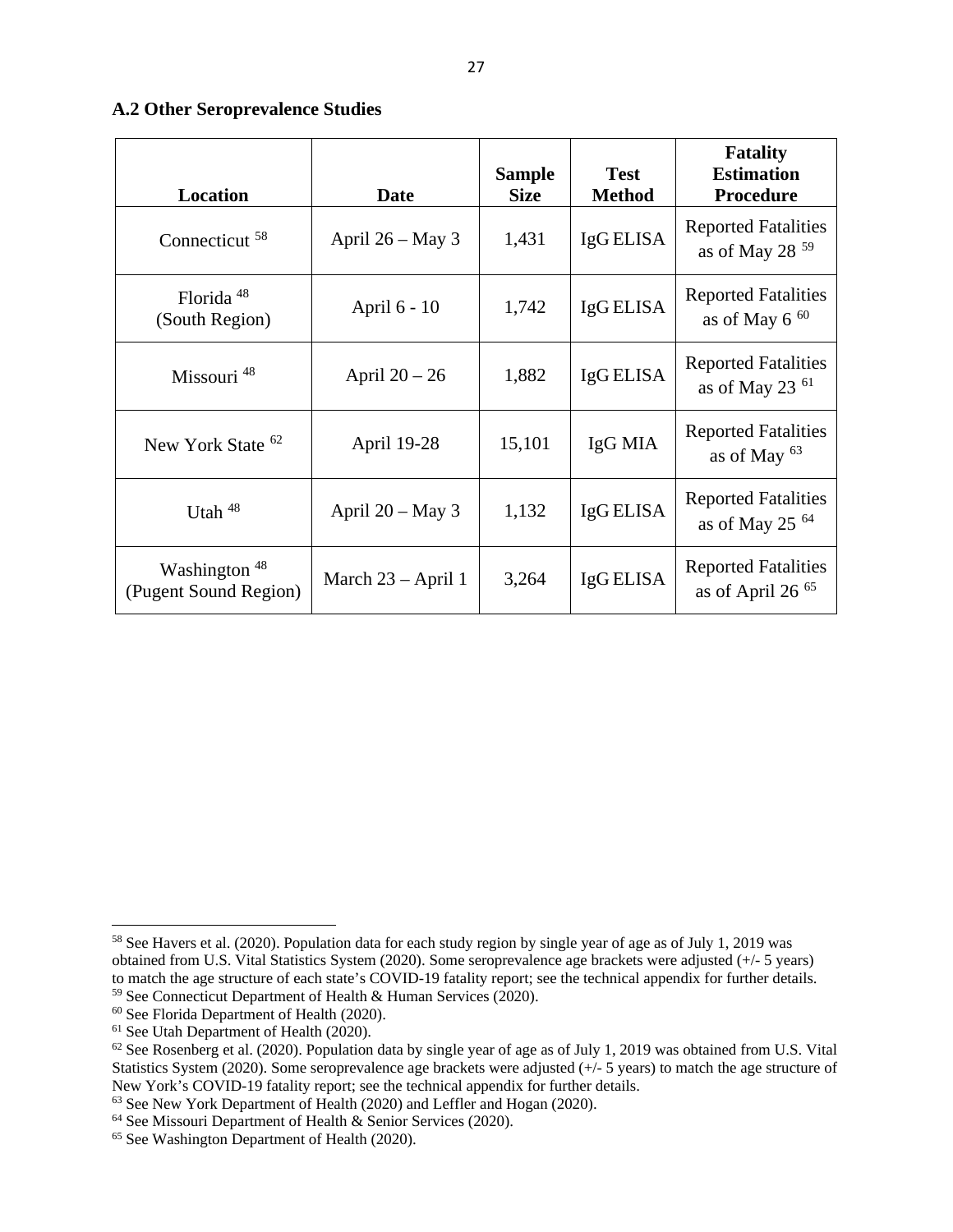#### **A.2 Other Seroprevalence Studies**

| <b>Location</b>                                   | Date                 | <b>Sample</b><br><b>Size</b> | <b>Test</b><br><b>Method</b> | <b>Fatality</b><br><b>Estimation</b><br><b>Procedure</b> |
|---------------------------------------------------|----------------------|------------------------------|------------------------------|----------------------------------------------------------|
| Connecticut <sup>58</sup>                         | April $26 - May 3$   | 1,431                        | IgG ELISA                    | <b>Reported Fatalities</b><br>as of May 28 $59$          |
| Florida <sup>48</sup><br>(South Region)           | April 6 - 10         | 1,742                        | IgG ELISA                    | <b>Reported Fatalities</b><br>as of May $6^{60}$         |
| Missouri <sup>48</sup>                            | April $20 - 26$      | 1,882                        | IgG ELISA                    | <b>Reported Fatalities</b><br>as of May 23 $61$          |
| New York State <sup>62</sup>                      | April 19-28          | 15,101                       | IgG MIA                      | <b>Reported Fatalities</b><br>as of May $63$             |
| Utah $48$                                         | April $20 - May 3$   | 1,132                        | IgG ELISA                    | <b>Reported Fatalities</b><br>as of May 25 $64$          |
| Washington <sup>48</sup><br>(Pugent Sound Region) | March $23 - April 1$ | 3,264                        | IgG ELISA                    | <b>Reported Fatalities</b><br>as of April 26 $65$        |

<span id="page-28-0"></span><sup>58</sup> See Havers et al. (2020). Population data for each study region by single year of age as of July 1, 2019 was obtained from U.S. Vital Statistics System (2020). Some seroprevalence age brackets were adjusted (+/- 5 years) to match the age structure of each state's COVID-19 fatality report; see the technical appendix for further details. <sup>59</sup> See Connecticut Department of Health & Human Services (2020).

<span id="page-28-2"></span><span id="page-28-1"></span><sup>60</sup> See Florida Department of Health (2020).

<span id="page-28-3"></span><sup>61</sup> See Utah Department of Health (2020).

<span id="page-28-4"></span> $62$  See Rosenberg et al. (2020). Population data by single year of age as of July 1, 2019 was obtained from U.S. Vital Statistics System (2020). Some seroprevalence age brackets were adjusted (+/- 5 years) to match the age structure of New York's COVID-19 fatality report; see the technical appendix for further details.

<span id="page-28-5"></span><sup>&</sup>lt;sup>63</sup> See New York Department of Health (2020) and Leffler and Hogan (2020).

<span id="page-28-6"></span> $64$  See Missouri Department of Health & Senior Services (2020).

<span id="page-28-7"></span><sup>&</sup>lt;sup>65</sup> See Washington Department of Health (2020).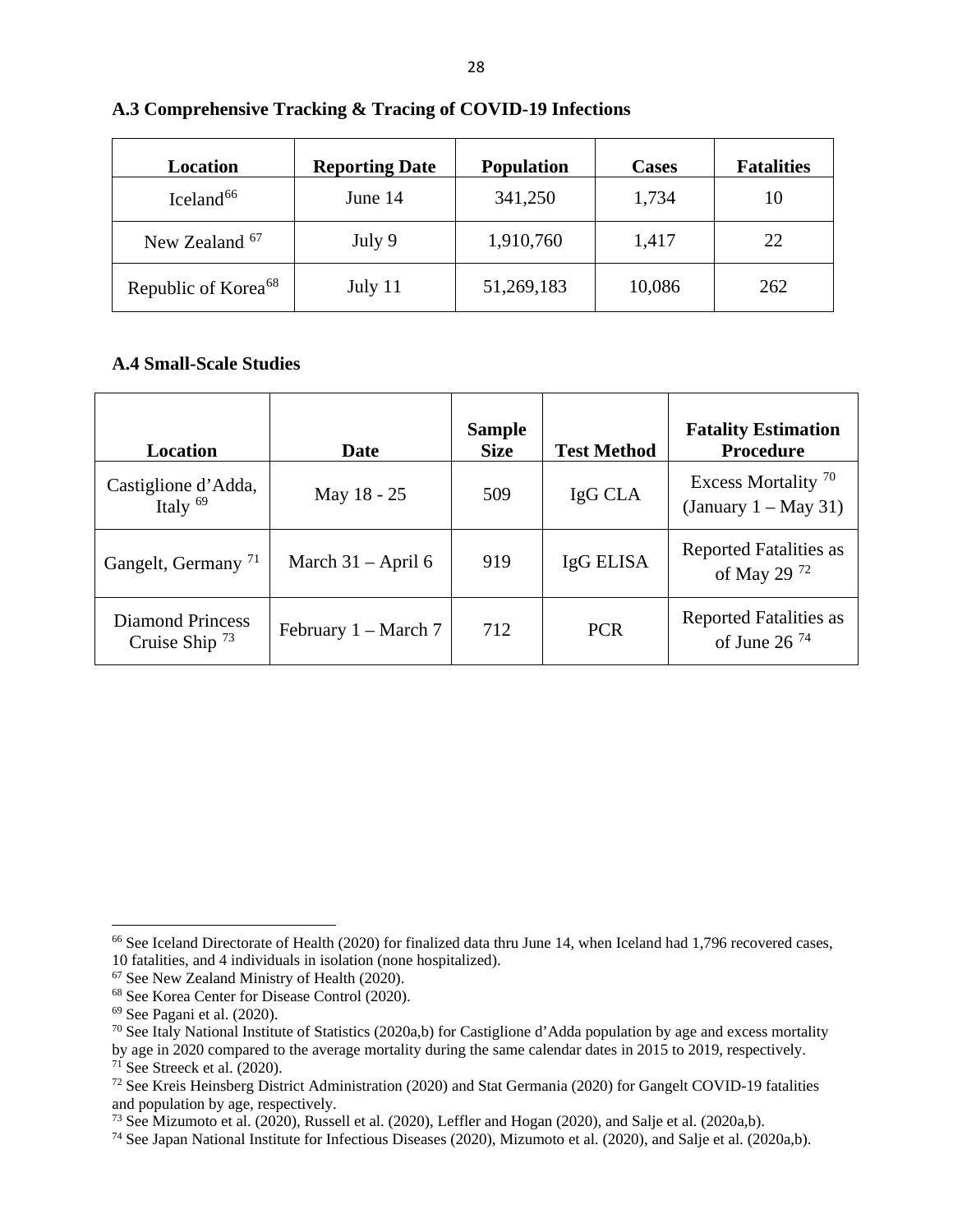| Location                        | <b>Reporting Date</b> | <b>Population</b> | <b>Cases</b> | <b>Fatalities</b> |
|---------------------------------|-----------------------|-------------------|--------------|-------------------|
| Iceland <sup>66</sup>           | June 14               | 341,250           | 1,734        | 10                |
| New Zealand <sup>67</sup>       | July 9                | 1,910,760         | 1,417        | 22                |
| Republic of Korea <sup>68</sup> | July 11               | 51,269,183        | 10,086       | 262               |

#### **A.3 Comprehensive Tracking & Tracing of COVID-19 Infections**

#### **A.4 Small-Scale Studies**

| Location                                | Date                   | <b>Sample</b><br><b>Size</b> | <b>Test Method</b> | <b>Fatality Estimation</b><br><b>Procedure</b>            |
|-----------------------------------------|------------------------|------------------------------|--------------------|-----------------------------------------------------------|
| Castiglione d'Adda,<br>Italy $69$       | May 18 - 25            | 509                          | IgG CLA            | Excess Mortality <sup>70</sup><br>(January $1 - May 31$ ) |
| Gangelt, Germany <sup>71</sup>          | March $31 -$ April 6   | 919                          | IgG ELISA          | <b>Reported Fatalities as</b><br>of May 29 <sup>72</sup>  |
| Diamond Princess<br>Cruise Ship $^{73}$ | February $1 - March 7$ | 712                          | <b>PCR</b>         | <b>Reported Fatalities as</b><br>of June 26 $^{74}$       |

<span id="page-29-0"></span><sup>&</sup>lt;sup>66</sup> See Iceland Directorate of Health (2020) for finalized data thru June 14, when Iceland had 1,796 recovered cases, 10 fatalities, and 4 individuals in isolation (none hospitalized).

<span id="page-29-1"></span> $10^{67}$  See New Zealand Ministry of Health (2020).<br> $68$  See Korea Center for Disease Control (2020).

<span id="page-29-4"></span><span id="page-29-3"></span><span id="page-29-2"></span><sup>&</sup>lt;sup>69</sup> See Pagani et al. (2020).<br><sup>70</sup> See Italy National Institute of Statistics (2020a,b) for Castiglione d'Adda population by age and excess mortality

by age in 2020 compared to the average mortality during the same calendar dates in 2015 to 2019, respectively.  $71$  See Streeck et al. (2020).

<span id="page-29-6"></span><span id="page-29-5"></span><sup>72</sup> See Kreis Heinsberg District Administration (2020) and Stat Germania (2020) for Gangelt COVID-19 fatalities and population by age, respectively.

<span id="page-29-8"></span><span id="page-29-7"></span><sup>&</sup>lt;sup>73</sup> See Mizumoto et al. (2020), Russell et al. (2020), Leffler and Hogan (2020), and Salje et al. (2020a,b).<br><sup>74</sup> See Japan National Institute for Infectious Diseases (2020), Mizumoto et al. (2020), and Salje et al. (202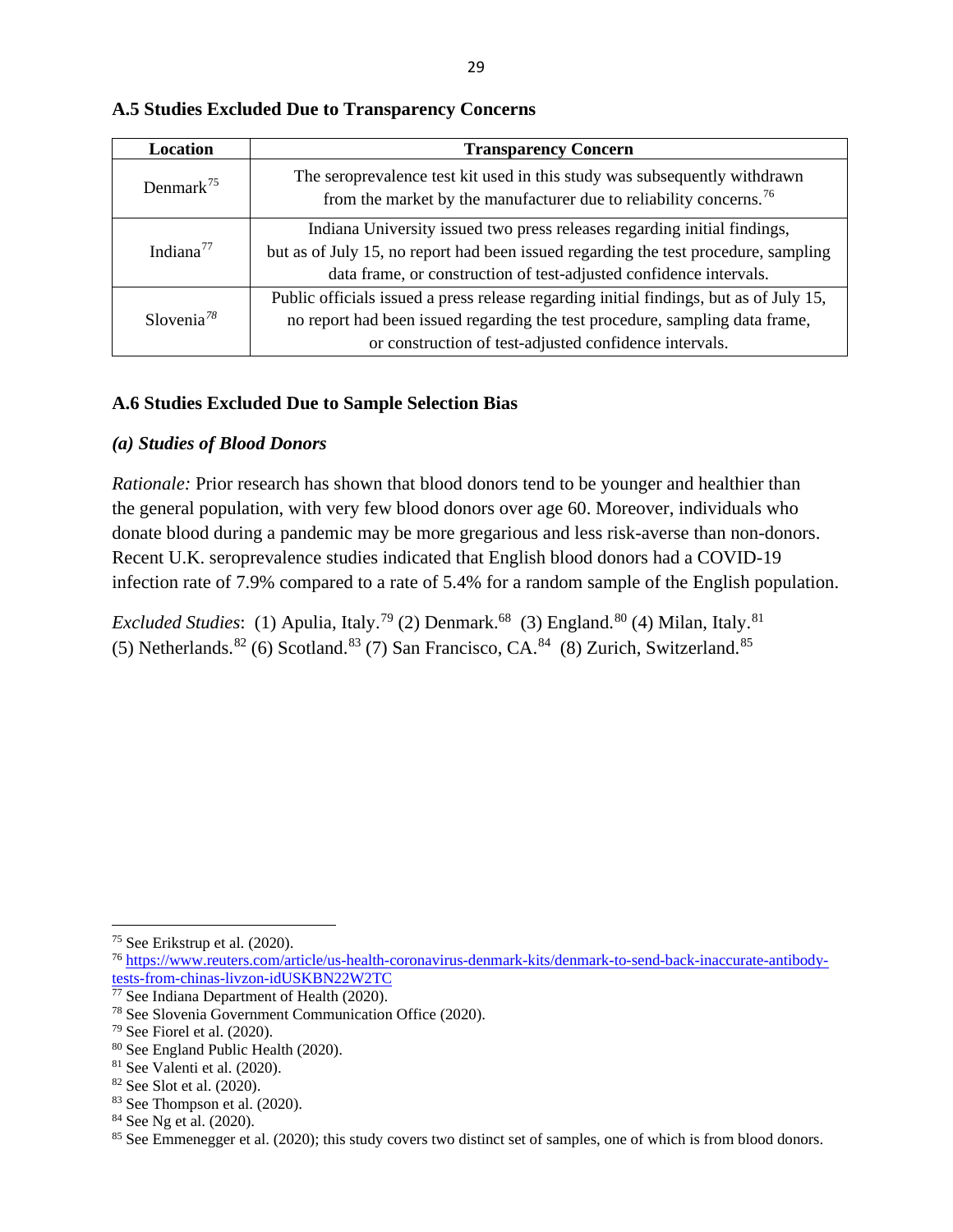| Location               | <b>Transparency Concern</b>                                                                                                                                                                                                           |
|------------------------|---------------------------------------------------------------------------------------------------------------------------------------------------------------------------------------------------------------------------------------|
| Denmark <sup>75</sup>  | The seroprevalence test kit used in this study was subsequently withdrawn<br>from the market by the manufacturer due to reliability concerns. <sup>76</sup>                                                                           |
| Indiana $^{77}$        | Indiana University issued two press releases regarding initial findings,<br>but as of July 15, no report had been issued regarding the test procedure, sampling<br>data frame, or construction of test-adjusted confidence intervals. |
| Slovenia <sup>78</sup> | Public officials issued a press release regarding initial findings, but as of July 15,<br>no report had been issued regarding the test procedure, sampling data frame,<br>or construction of test-adjusted confidence intervals.      |

#### **A.5 Studies Excluded Due to Transparency Concerns**

#### **A.6 Studies Excluded Due to Sample Selection Bias**

#### *(a) Studies of Blood Donors*

*Rationale:* Prior research has shown that blood donors tend to be younger and healthier than the general population, with very few blood donors over age 60. Moreover, individuals who donate blood during a pandemic may be more gregarious and less risk-averse than non-donors. Recent U.K. seroprevalence studies indicated that English blood donors had a COVID-19 infection rate of 7.9% compared to a rate of 5.4% for a random sample of the English population.

*Excluded Studies*: (1) Apulia, Italy.<sup>[79](#page-30-4)</sup> (2) Denmark.<sup>68</sup> (3) England.<sup>[80](#page-30-5)</sup> (4) Milan, Italy.<sup>[81](#page-30-6)</sup> (5) Netherlands.<sup>82</sup> (6) Scotland.<sup>[83](#page-30-8)</sup> (7) San Francisco, CA.<sup>[84](#page-30-9)</sup> (8) Zurich, Switzerland.<sup>[85](#page-30-10)</sup>

<span id="page-30-0"></span><sup>75</sup> See Erikstrup et al. (2020).

<span id="page-30-1"></span><sup>76</sup> [https://www.reuters.com/article/us-health-coronavirus-denmark-kits/denmark-to-send-back-inaccurate-antibody](https://www.reuters.com/article/us-health-coronavirus-denmark-kits/denmark-to-send-back-inaccurate-antibody-tests-from-chinas-livzon-idUSKBN22W2TC)[tests-from-chinas-livzon-idUSKBN22W2TC](https://www.reuters.com/article/us-health-coronavirus-denmark-kits/denmark-to-send-back-inaccurate-antibody-tests-from-chinas-livzon-idUSKBN22W2TC)

<span id="page-30-2"></span> $\frac{77}{7}$  See Indiana Department of Health (2020).

<span id="page-30-3"></span><sup>78</sup> See Slovenia Government Communication Office (2020).

<span id="page-30-4"></span> $79$  See Fiorel et al. (2020).

<span id="page-30-5"></span><sup>80</sup> See England Public Health (2020).

<span id="page-30-6"></span><sup>81</sup> See Valenti et al. (2020).

<span id="page-30-7"></span><sup>82</sup> See Slot et al. (2020).

<span id="page-30-8"></span><sup>83</sup> See Thompson et al. (2020).

<span id="page-30-9"></span><sup>84</sup> See Ng et al. (2020).

<span id="page-30-10"></span><sup>&</sup>lt;sup>85</sup> See Emmenegger et al. (2020); this study covers two distinct set of samples, one of which is from blood donors.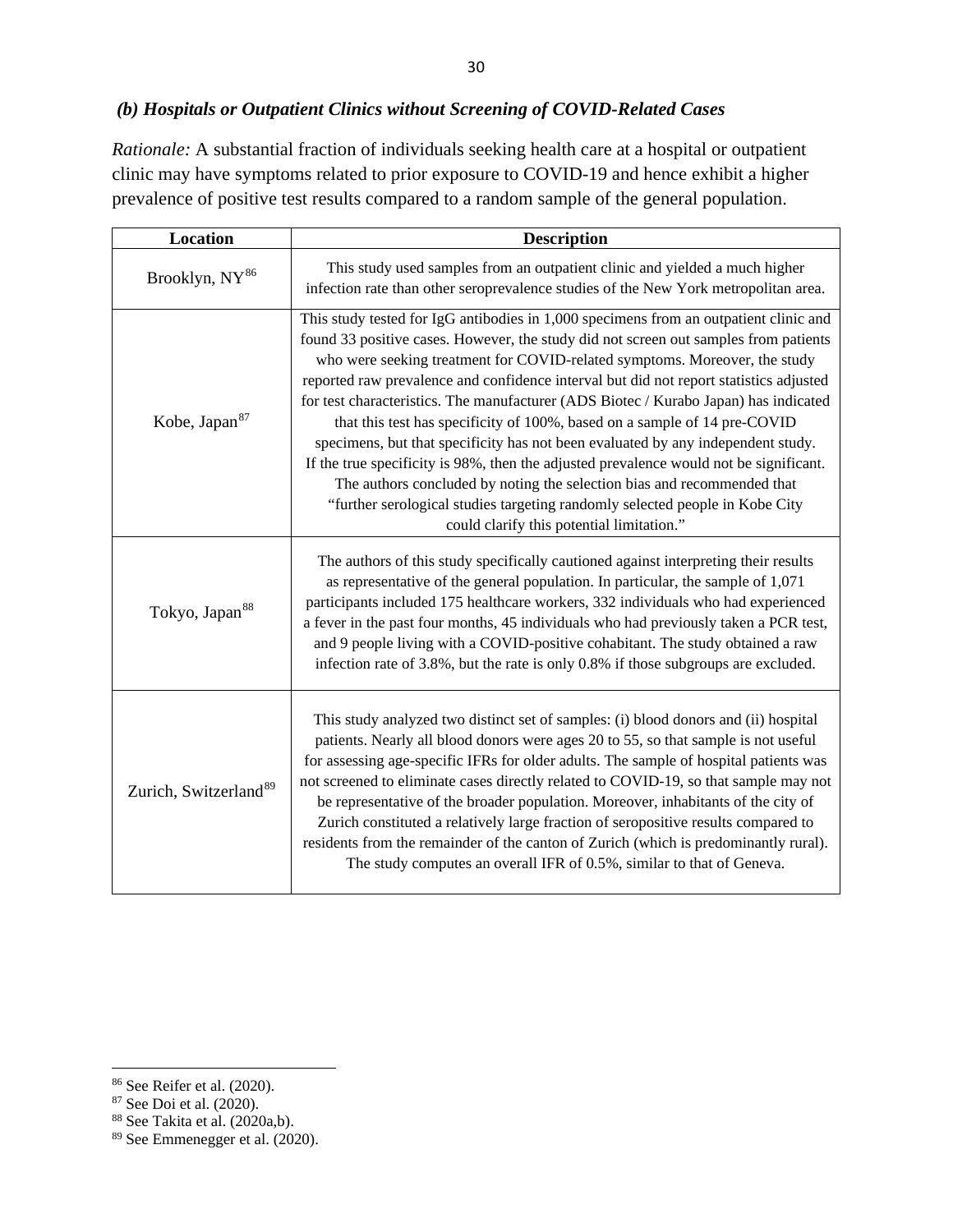## *(b) Hospitals or Outpatient Clinics without Screening of COVID-Related Cases*

*Rationale:* A substantial fraction of individuals seeking health care at a hospital or outpatient clinic may have symptoms related to prior exposure to COVID-19 and hence exhibit a higher prevalence of positive test results compared to a random sample of the general population.

| Location                          | <b>Description</b>                                                                                                                                                                                                                                                                                                                                                                                                                                                                                                                                                                                                                                                                                                                                                                                                                                                                                               |  |  |  |
|-----------------------------------|------------------------------------------------------------------------------------------------------------------------------------------------------------------------------------------------------------------------------------------------------------------------------------------------------------------------------------------------------------------------------------------------------------------------------------------------------------------------------------------------------------------------------------------------------------------------------------------------------------------------------------------------------------------------------------------------------------------------------------------------------------------------------------------------------------------------------------------------------------------------------------------------------------------|--|--|--|
| Brooklyn, NY <sup>86</sup>        | This study used samples from an outpatient clinic and yielded a much higher<br>infection rate than other seroprevalence studies of the New York metropolitan area.                                                                                                                                                                                                                                                                                                                                                                                                                                                                                                                                                                                                                                                                                                                                               |  |  |  |
| Kobe, Japan <sup>87</sup>         | This study tested for IgG antibodies in 1,000 specimens from an outpatient clinic and<br>found 33 positive cases. However, the study did not screen out samples from patients<br>who were seeking treatment for COVID-related symptoms. Moreover, the study<br>reported raw prevalence and confidence interval but did not report statistics adjusted<br>for test characteristics. The manufacturer (ADS Biotec / Kurabo Japan) has indicated<br>that this test has specificity of 100%, based on a sample of 14 pre-COVID<br>specimens, but that specificity has not been evaluated by any independent study.<br>If the true specificity is 98%, then the adjusted prevalence would not be significant.<br>The authors concluded by noting the selection bias and recommended that<br>"further serological studies targeting randomly selected people in Kobe City<br>could clarify this potential limitation." |  |  |  |
| Tokyo, Japan <sup>88</sup>        | The authors of this study specifically cautioned against interpreting their results<br>as representative of the general population. In particular, the sample of 1,071<br>participants included 175 healthcare workers, 332 individuals who had experienced<br>a fever in the past four months, 45 individuals who had previously taken a PCR test,<br>and 9 people living with a COVID-positive cohabitant. The study obtained a raw<br>infection rate of 3.8%, but the rate is only 0.8% if those subgroups are excluded.                                                                                                                                                                                                                                                                                                                                                                                      |  |  |  |
| Zurich, Switzerland <sup>89</sup> | This study analyzed two distinct set of samples: (i) blood donors and (ii) hospital<br>patients. Nearly all blood donors were ages 20 to 55, so that sample is not useful<br>for assessing age-specific IFRs for older adults. The sample of hospital patients was<br>not screened to eliminate cases directly related to COVID-19, so that sample may not<br>be representative of the broader population. Moreover, inhabitants of the city of<br>Zurich constituted a relatively large fraction of seropositive results compared to<br>residents from the remainder of the canton of Zurich (which is predominantly rural).<br>The study computes an overall IFR of 0.5%, similar to that of Geneva.                                                                                                                                                                                                           |  |  |  |

<span id="page-31-0"></span><sup>86</sup> See Reifer et al. (2020).

<span id="page-31-1"></span><sup>87</sup> See Doi et al. (2020).

<span id="page-31-2"></span> $88$  See Takita et al. (2020a,b).

<span id="page-31-3"></span><sup>89</sup> See Emmenegger et al. (2020).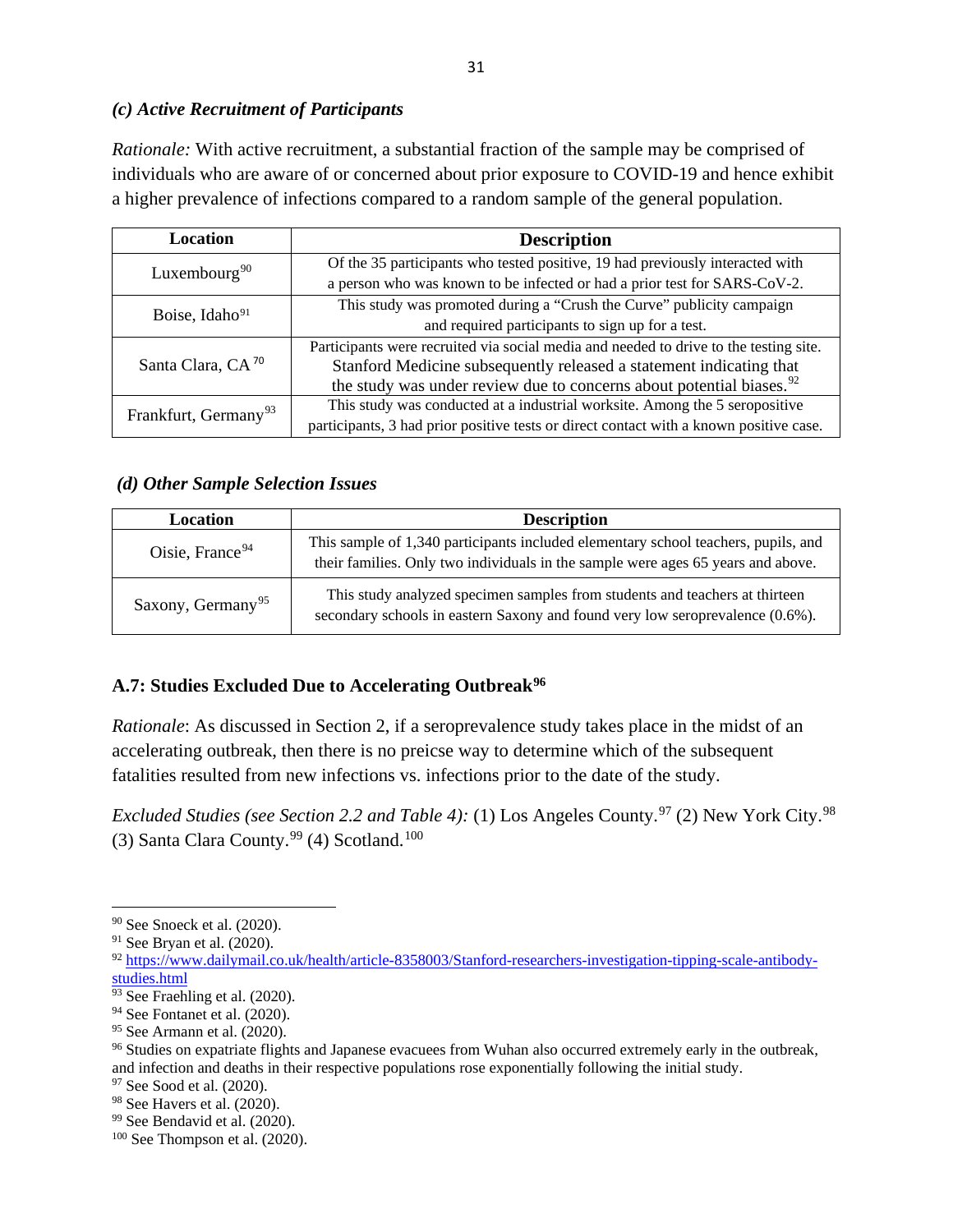### *(c) Active Recruitment of Participants*

*Rationale:* With active recruitment, a substantial fraction of the sample may be comprised of individuals who are aware of or concerned about prior exposure to COVID-19 and hence exhibit a higher prevalence of infections compared to a random sample of the general population.

| Location                         | <b>Description</b>                                                                     |  |  |  |
|----------------------------------|----------------------------------------------------------------------------------------|--|--|--|
| Luxembourg <sup>90</sup>         | Of the 35 participants who tested positive, 19 had previously interacted with          |  |  |  |
|                                  | a person who was known to be infected or had a prior test for SARS-CoV-2.              |  |  |  |
| Boise, Idaho <sup>91</sup>       | This study was promoted during a "Crush the Curve" publicity campaign                  |  |  |  |
|                                  | and required participants to sign up for a test.                                       |  |  |  |
|                                  | Participants were recruited via social media and needed to drive to the testing site.  |  |  |  |
| Santa Clara, CA <sup>70</sup>    | Stanford Medicine subsequently released a statement indicating that                    |  |  |  |
|                                  | the study was under review due to concerns about potential biases. <sup>92</sup>       |  |  |  |
| Frankfurt, Germany <sup>93</sup> | This study was conducted at a industrial worksite. Among the 5 seropositive            |  |  |  |
|                                  | participants, 3 had prior positive tests or direct contact with a known positive case. |  |  |  |

### *(d) Other Sample Selection Issues*

| Location                      | <b>Description</b>                                                                                                                                                     |  |  |
|-------------------------------|------------------------------------------------------------------------------------------------------------------------------------------------------------------------|--|--|
| Oisie, France $94$            | This sample of 1,340 participants included elementary school teachers, pupils, and<br>their families. Only two individuals in the sample were ages 65 years and above. |  |  |
| Saxony, Germany <sup>95</sup> | This study analyzed specimen samples from students and teachers at thirteen<br>secondary schools in eastern Saxony and found very low seroprevalence (0.6%).           |  |  |

## **A.7: Studies Excluded Due to Accelerating Outbreak[96](#page-32-6)**

*Rationale*: As discussed in Section 2, if a seroprevalence study takes place in the midst of an accelerating outbreak, then there is no preicse way to determine which of the subsequent fatalities resulted from new infections vs. infections prior to the date of the study.

*Excluded Studies (see Section 2.2 and Table 4):* (1) Los Angeles County.<sup>97</sup> (2) New York City.<sup>[98](#page-32-8)</sup> (3) Santa Clara County.<sup>[99](#page-32-9)</sup> (4) Scotland.<sup>[100](#page-32-10)</sup>

<span id="page-32-0"></span><sup>90</sup> See Snoeck et al. (2020).

<span id="page-32-1"></span><sup>91</sup> See Bryan et al. (2020).

<span id="page-32-2"></span><sup>92</sup> [https://www.dailymail.co.uk/health/article-8358003/Stanford-researchers-investigation-tipping-scale-antibody](https://www.dailymail.co.uk/health/article-8358003/Stanford-researchers-investigation-tipping-scale-antibody-studies.html)[studies.html](https://www.dailymail.co.uk/health/article-8358003/Stanford-researchers-investigation-tipping-scale-antibody-studies.html)

<span id="page-32-3"></span><sup>&</sup>lt;sup>93</sup> See Fraehling et al. (2020).

<span id="page-32-4"></span><sup>94</sup> See Fontanet et al. (2020).

<span id="page-32-5"></span><sup>95</sup> See Armann et al. (2020).

<span id="page-32-6"></span><sup>&</sup>lt;sup>96</sup> Studies on expatriate flights and Japanese evacuees from Wuhan also occurred extremely early in the outbreak, and infection and deaths in their respective populations rose exponentially following the initial study. <sup>97</sup> See Sood et al. (2020).<br><sup>98</sup> See Havers et al. (2020).

<span id="page-32-7"></span>

<span id="page-32-9"></span><span id="page-32-8"></span> $99$  See Bendavid et al. (2020).

<span id="page-32-10"></span><sup>100</sup> See Thompson et al. (2020).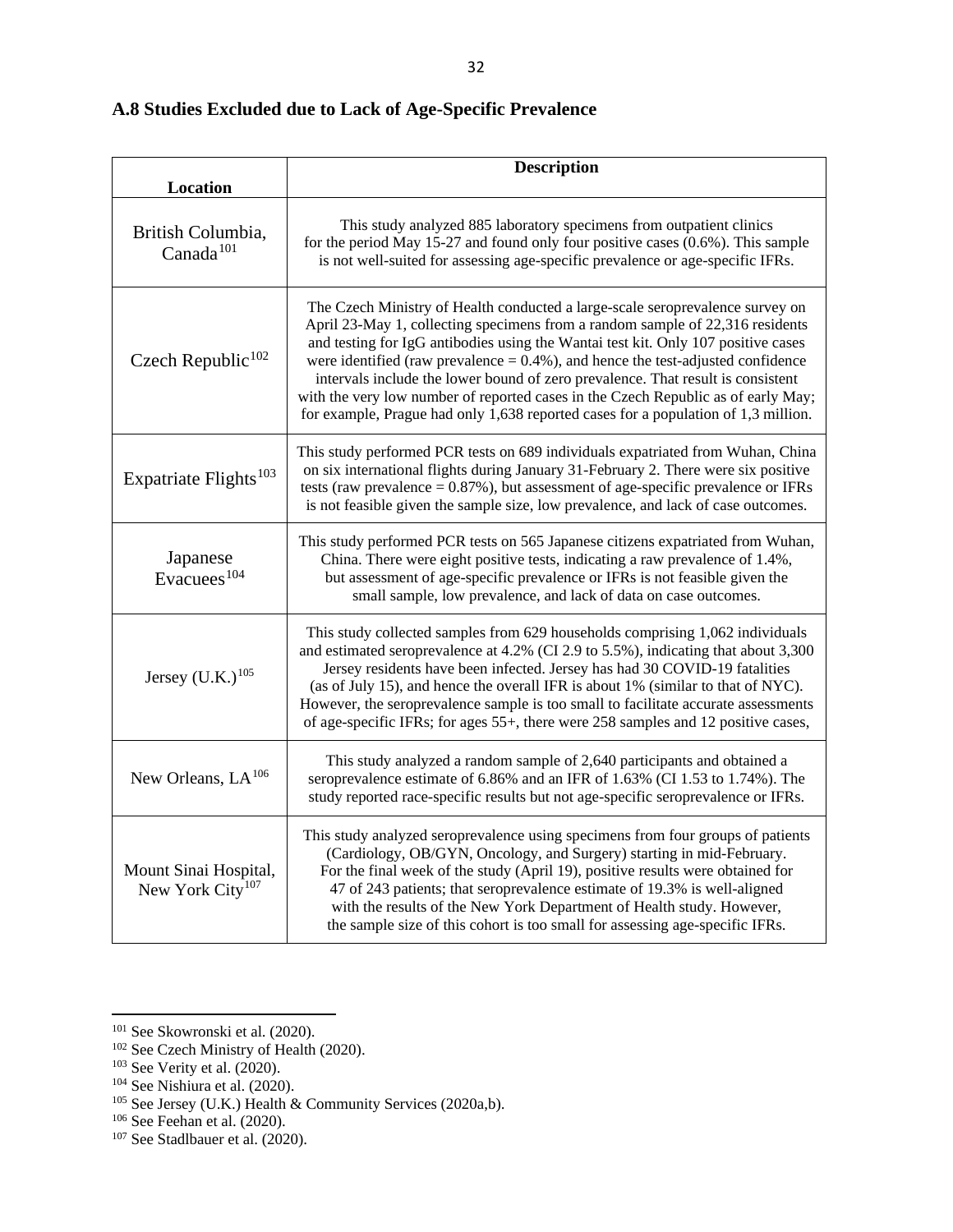## **A.8 Studies Excluded due to Lack of Age-Specific Prevalence**

| Location                                              | <b>Description</b>                                                                                                                                                                                                                                                                                                                                                                                                                                                                                                                                                                                       |
|-------------------------------------------------------|----------------------------------------------------------------------------------------------------------------------------------------------------------------------------------------------------------------------------------------------------------------------------------------------------------------------------------------------------------------------------------------------------------------------------------------------------------------------------------------------------------------------------------------------------------------------------------------------------------|
| British Columbia,<br>Canada $101$                     | This study analyzed 885 laboratory specimens from outpatient clinics<br>for the period May 15-27 and found only four positive cases $(0.6\%)$ . This sample<br>is not well-suited for assessing age-specific prevalence or age-specific IFRs.                                                                                                                                                                                                                                                                                                                                                            |
| Czech Republic $102$                                  | The Czech Ministry of Health conducted a large-scale seroprevalence survey on<br>April 23-May 1, collecting specimens from a random sample of 22,316 residents<br>and testing for IgG antibodies using the Wantai test kit. Only 107 positive cases<br>were identified (raw prevalence $= 0.4\%$ ), and hence the test-adjusted confidence<br>intervals include the lower bound of zero prevalence. That result is consistent<br>with the very low number of reported cases in the Czech Republic as of early May;<br>for example, Prague had only 1,638 reported cases for a population of 1,3 million. |
| Expatriate Flights <sup>103</sup>                     | This study performed PCR tests on 689 individuals expatriated from Wuhan, China<br>on six international flights during January 31-February 2. There were six positive<br>tests (raw prevalence $= 0.87\%$ ), but assessment of age-specific prevalence or IFRs<br>is not feasible given the sample size, low prevalence, and lack of case outcomes.                                                                                                                                                                                                                                                      |
| Japanese<br>Evacuees <sup>104</sup>                   | This study performed PCR tests on 565 Japanese citizens expatriated from Wuhan,<br>China. There were eight positive tests, indicating a raw prevalence of 1.4%,<br>but assessment of age-specific prevalence or IFRs is not feasible given the<br>small sample, low prevalence, and lack of data on case outcomes.                                                                                                                                                                                                                                                                                       |
| Jersey $(U.K.)^{105}$                                 | This study collected samples from 629 households comprising 1,062 individuals<br>and estimated seroprevalence at 4.2% (CI 2.9 to 5.5%), indicating that about 3,300<br>Jersey residents have been infected. Jersey has had 30 COVID-19 fatalities<br>(as of July 15), and hence the overall IFR is about 1% (similar to that of NYC).<br>However, the seroprevalence sample is too small to facilitate accurate assessments<br>of age-specific IFRs; for ages 55+, there were 258 samples and 12 positive cases,                                                                                         |
| New Orleans, $LA^{106}$                               | This study analyzed a random sample of 2,640 participants and obtained a<br>seroprevalence estimate of 6.86% and an IFR of 1.63% (CI 1.53 to 1.74%). The<br>study reported race-specific results but not age-specific seroprevalence or IFRs.                                                                                                                                                                                                                                                                                                                                                            |
| Mount Sinai Hospital,<br>New York City <sup>107</sup> | This study analyzed seroprevalence using specimens from four groups of patients<br>(Cardiology, OB/GYN, Oncology, and Surgery) starting in mid-February.<br>For the final week of the study (April 19), positive results were obtained for<br>47 of 243 patients; that seroprevalence estimate of 19.3% is well-aligned<br>with the results of the New York Department of Health study. However,<br>the sample size of this cohort is too small for assessing age-specific IFRs.                                                                                                                         |

<span id="page-33-1"></span><span id="page-33-0"></span><sup>101</sup> See Skowronski et al. (2020).

<sup>&</sup>lt;sup>102</sup> See Czech Ministry of Health (2020).

<span id="page-33-2"></span> $103$  See Verity et al. (2020).

<span id="page-33-3"></span><sup>104</sup> See Nishiura et al. (2020).

<span id="page-33-4"></span><sup>&</sup>lt;sup>105</sup> See Jersey (U.K.) Health & Community Services (2020a,b). <sup>106</sup> See Feehan et al. (2020).

<span id="page-33-6"></span><span id="page-33-5"></span>

<sup>&</sup>lt;sup>107</sup> See Stadlbauer et al. (2020).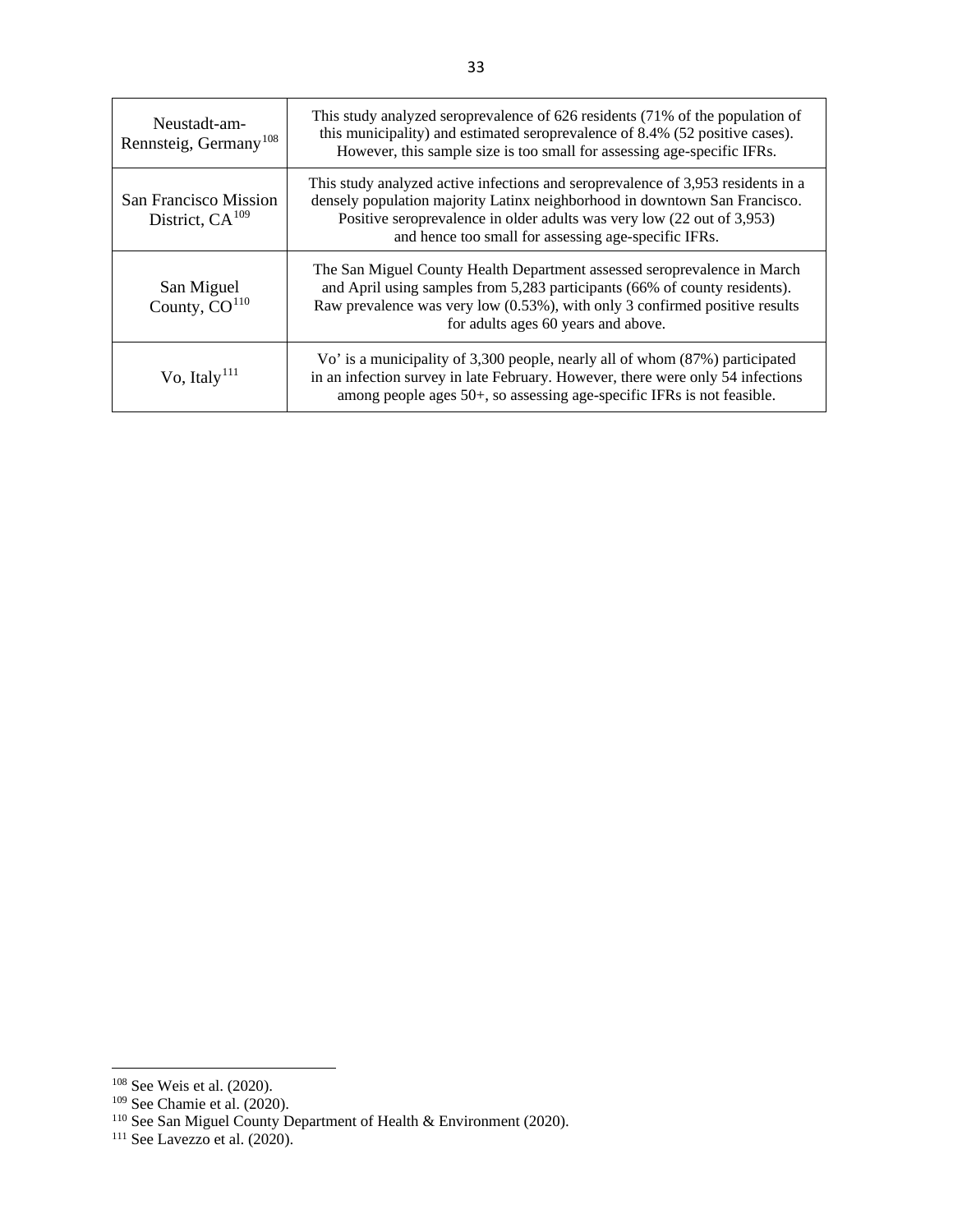| Neustadt-am-<br>Rennsteig, Germany <sup>108</sup> | This study analyzed seroprevalence of 626 residents (71% of the population of<br>this municipality) and estimated seroprevalence of 8.4% (52 positive cases).<br>However, this sample size is too small for assessing age-specific IFRs.                                                         |
|---------------------------------------------------|--------------------------------------------------------------------------------------------------------------------------------------------------------------------------------------------------------------------------------------------------------------------------------------------------|
| San Francisco Mission<br>District, $CA^{109}$     | This study analyzed active infections and seroprevalence of 3,953 residents in a<br>densely population majority Latinx neighborhood in downtown San Francisco.<br>Positive seroprevalence in older adults was very low (22 out of 3,953)<br>and hence too small for assessing age-specific IFRs. |
| San Miguel<br>County, CO <sup>110</sup>           | The San Miguel County Health Department assessed seroprevalence in March<br>and April using samples from 5,283 participants (66% of county residents).<br>Raw prevalence was very low (0.53%), with only 3 confirmed positive results<br>for adults ages 60 years and above.                     |
| Vo, Italy <sup>111</sup>                          | Vo' is a municipality of 3,300 people, nearly all of whom (87%) participated<br>in an infection survey in late February. However, there were only 54 infections<br>among people ages 50+, so assessing age-specific IFRs is not feasible.                                                        |

<span id="page-34-1"></span><span id="page-34-0"></span><sup>108</sup> See Weis et al. (2020).

<sup>109</sup> See Chamie et al. (2020).

<span id="page-34-2"></span> $110$  See San Miguel County Department of Health & Environment (2020).

<span id="page-34-3"></span><sup>111</sup> See Lavezzo et al. (2020).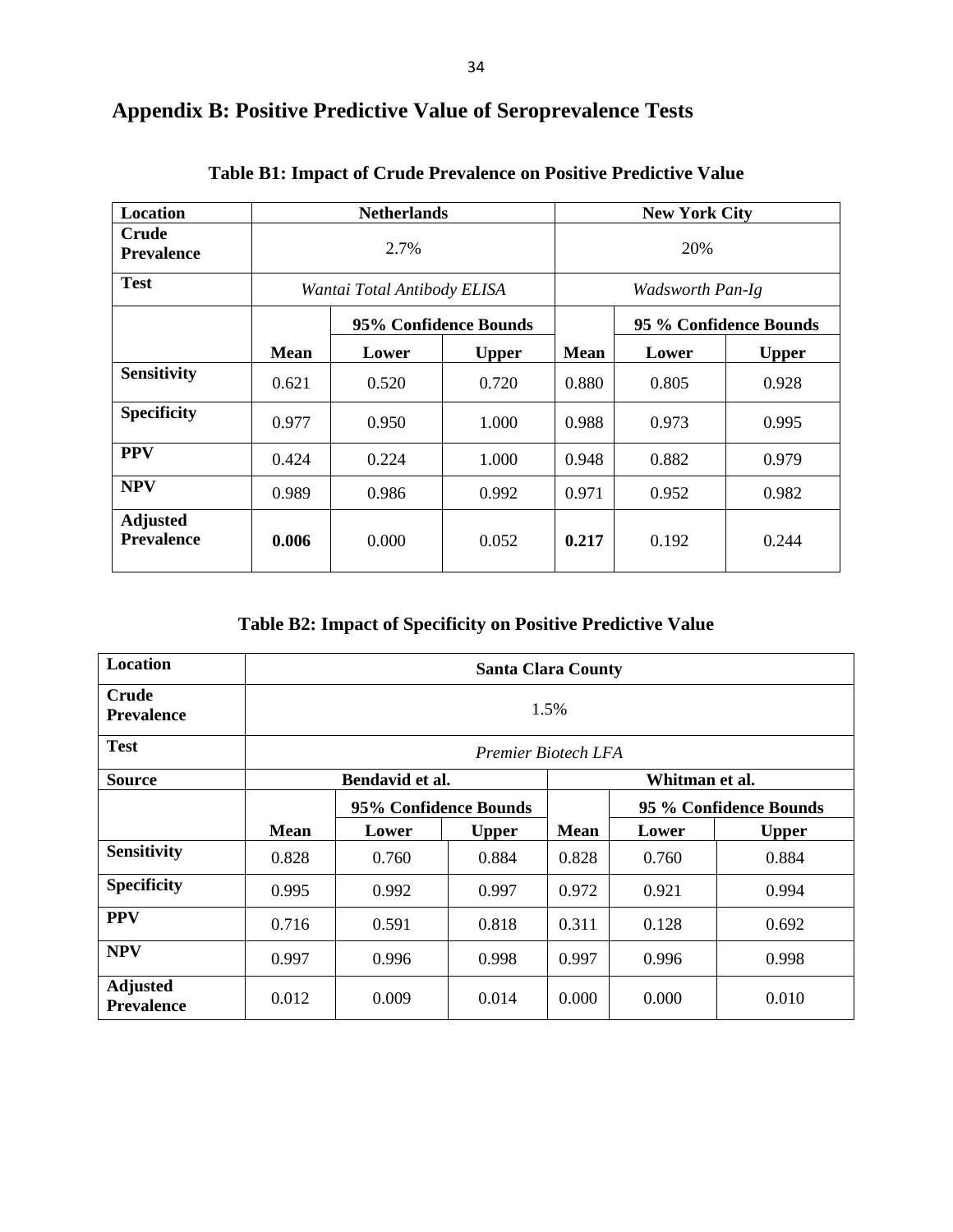| <b>Location</b>                      |             | <b>Netherlands</b>          |                       | <b>New York City</b> |                        |              |  |
|--------------------------------------|-------------|-----------------------------|-----------------------|----------------------|------------------------|--------------|--|
| <b>Crude</b><br><b>Prevalence</b>    |             | 2.7%                        |                       | 20%                  |                        |              |  |
| <b>Test</b>                          |             | Wantai Total Antibody ELISA |                       | Wadsworth Pan-Ig     |                        |              |  |
|                                      |             |                             | 95% Confidence Bounds |                      | 95 % Confidence Bounds |              |  |
|                                      | <b>Mean</b> | Lower                       | <b>Upper</b>          | <b>Mean</b>          | Lower                  | <b>Upper</b> |  |
| <b>Sensitivity</b>                   | 0.621       | 0.520                       | 0.720                 | 0.880                | 0.805                  | 0.928        |  |
| <b>Specificity</b>                   | 0.977       | 0.950                       | 1.000                 | 0.988                | 0.973                  | 0.995        |  |
| <b>PPV</b>                           | 0.424       | 0.224                       | 1.000                 | 0.948                | 0.882                  | 0.979        |  |
| <b>NPV</b>                           | 0.989       | 0.986                       | 0.992                 | 0.971                | 0.952                  | 0.982        |  |
| <b>Adjusted</b><br><b>Prevalence</b> | 0.006       | 0.000                       | 0.052                 | 0.217                | 0.192                  | 0.244        |  |

# **Appendix B: Positive Predictive Value of Seroprevalence Tests**

**Table B2: Impact of Specificity on Positive Predictive Value**

| <b>Location</b>                      | <b>Santa Clara County</b>         |                       |              |             |                        |              |
|--------------------------------------|-----------------------------------|-----------------------|--------------|-------------|------------------------|--------------|
| Crude<br><b>Prevalence</b>           | 1.5%                              |                       |              |             |                        |              |
| <b>Test</b>                          | Premier Biotech LFA               |                       |              |             |                        |              |
| <b>Source</b>                        | Bendavid et al.<br>Whitman et al. |                       |              |             |                        |              |
|                                      |                                   | 95% Confidence Bounds |              |             | 95 % Confidence Bounds |              |
|                                      | <b>Mean</b>                       | Lower                 | <b>Upper</b> | <b>Mean</b> | Lower                  | <b>Upper</b> |
| <b>Sensitivity</b>                   | 0.828                             | 0.760                 | 0.884        | 0.828       | 0.760                  | 0.884        |
| <b>Specificity</b>                   | 0.995                             | 0.992                 | 0.997        | 0.972       | 0.921                  | 0.994        |
| <b>PPV</b>                           | 0.716                             | 0.591                 | 0.818        | 0.311       | 0.128                  | 0.692        |
| <b>NPV</b>                           | 0.997                             | 0.996                 | 0.998        | 0.997       | 0.996                  | 0.998        |
| <b>Adjusted</b><br><b>Prevalence</b> | 0.012                             | 0.009                 | 0.014        | 0.000       | 0.000                  | 0.010        |

**Table B1: Impact of Crude Prevalence on Positive Predictive Value**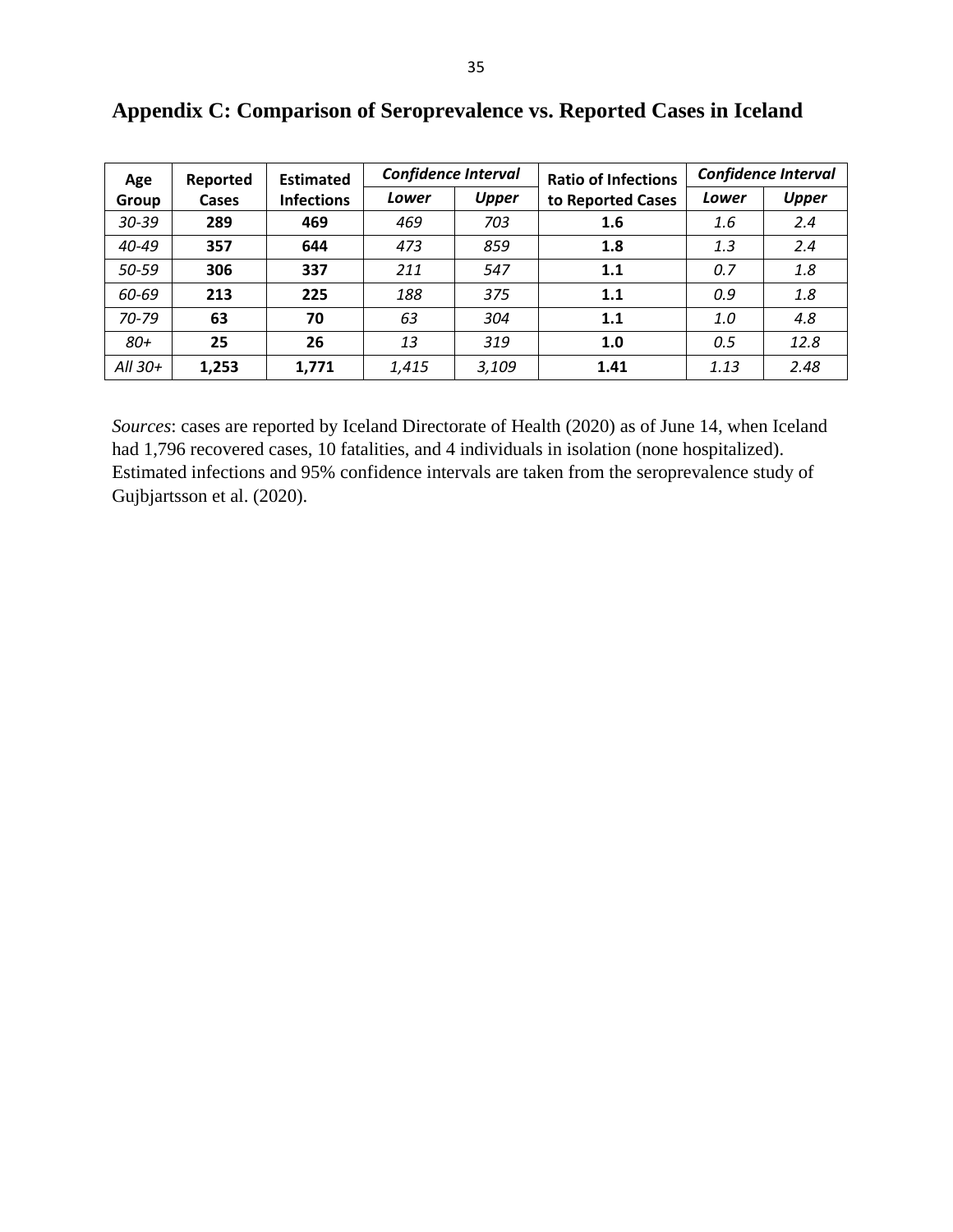| Age       | Reported | <b>Estimated</b>  | <b>Confidence Interval</b> |              | <b>Ratio of Infections</b> | <b>Confidence Interval</b> |              |
|-----------|----------|-------------------|----------------------------|--------------|----------------------------|----------------------------|--------------|
| Group     | Cases    | <b>Infections</b> | Lower                      | <b>Upper</b> | to Reported Cases          | Lower                      | <b>Upper</b> |
| $30 - 39$ | 289      | 469               | 469                        | 703          | 1.6                        | 1.6                        | 2.4          |
| 40-49     | 357      | 644               | 473                        | 859          | 1.8                        | 1.3                        | 2.4          |
| 50-59     | 306      | 337               | 211                        | 547          | 1.1                        | 0.7                        | 1.8          |
| 60-69     | 213      | 225               | 188                        | 375          | 1.1                        | 0.9                        | 1.8          |
| $70 - 79$ | 63       | 70                | 63                         | 304          | 1.1                        | 1.0                        | 4.8          |
| $80+$     | 25       | 26                | 13                         | 319          | 1.0                        | 0.5                        | 12.8         |
| All $30+$ | 1,253    | 1,771             | 1,415                      | 3,109        | 1.41                       | 1.13                       | 2.48         |

**Appendix C: Comparison of Seroprevalence vs. Reported Cases in Iceland**

*Sources*: cases are reported by Iceland Directorate of Health (2020) as of June 14, when Iceland had 1,796 recovered cases, 10 fatalities, and 4 individuals in isolation (none hospitalized). Estimated infections and 95% confidence intervals are taken from the seroprevalence study of Gujbjartsson et al. (2020).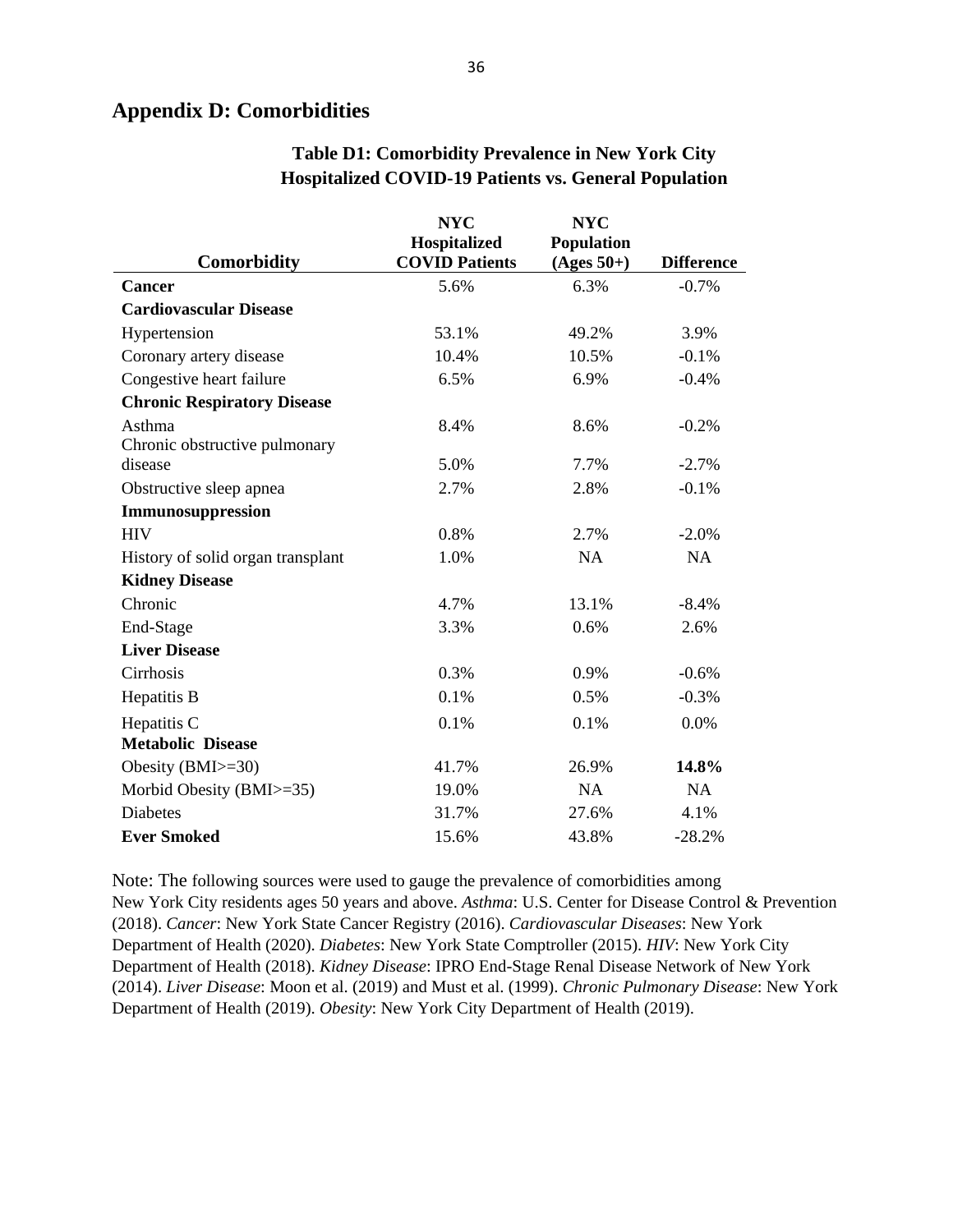## **Appendix D: Comorbidities**

|                                    | <b>NYC</b>            | <b>NYC</b>   |                   |
|------------------------------------|-----------------------|--------------|-------------------|
|                                    | Hospitalized          | Population   |                   |
| <b>Comorbidity</b>                 | <b>COVID Patients</b> | $(Ages 50+)$ | <b>Difference</b> |
| <b>Cancer</b>                      | 5.6%                  | 6.3%         | $-0.7%$           |
| <b>Cardiovascular Disease</b>      |                       |              |                   |
| Hypertension                       | 53.1%                 | 49.2%        | 3.9%              |
| Coronary artery disease            | 10.4%                 | 10.5%        | $-0.1%$           |
| Congestive heart failure           | 6.5%                  | 6.9%         | $-0.4%$           |
| <b>Chronic Respiratory Disease</b> |                       |              |                   |
| Asthma                             | 8.4%                  | 8.6%         | $-0.2%$           |
| Chronic obstructive pulmonary      |                       |              |                   |
| disease                            | 5.0%                  | 7.7%         | $-2.7%$           |
| Obstructive sleep apnea            | 2.7%                  | 2.8%         | $-0.1%$           |
| Immunosuppression                  |                       |              |                   |
| <b>HIV</b>                         | 0.8%                  | 2.7%         | $-2.0\%$          |
| History of solid organ transplant  | 1.0%                  | NA           | <b>NA</b>         |
| <b>Kidney Disease</b>              |                       |              |                   |
| Chronic                            | 4.7%                  | 13.1%        | $-8.4%$           |
| End-Stage                          | 3.3%                  | 0.6%         | 2.6%              |
| <b>Liver Disease</b>               |                       |              |                   |
| Cirrhosis                          | 0.3%                  | 0.9%         | $-0.6%$           |
| Hepatitis B                        | 0.1%                  | 0.5%         | $-0.3%$           |
| Hepatitis C                        | 0.1%                  | 0.1%         | 0.0%              |
| <b>Metabolic Disease</b>           |                       |              |                   |
| Obesity (BMI>=30)                  | 41.7%                 | 26.9%        | 14.8%             |
| Morbid Obesity (BMI>=35)           | 19.0%                 | NA           | <b>NA</b>         |
| <b>Diabetes</b>                    | 31.7%                 | 27.6%        | 4.1%              |
| <b>Ever Smoked</b>                 | 15.6%                 | 43.8%        | $-28.2%$          |

## **Table D1: Comorbidity Prevalence in New York City Hospitalized COVID-19 Patients vs. General Population**

Note: The following sources were used to gauge the prevalence of comorbidities among New York City residents ages 50 years and above. *Asthma*: U.S. Center for Disease Control & Prevention (2018). *Cancer*: New York State Cancer Registry (2016). *Cardiovascular Diseases*: New York Department of Health (2020). *Diabetes*: New York State Comptroller (2015). *HIV*: New York City Department of Health (2018). *Kidney Disease*: IPRO End-Stage Renal Disease Network of New York (2014). *Liver Disease*: Moon et al. (2019) and Must et al. (1999). *Chronic Pulmonary Disease*: New York Department of Health (2019). *Obesity*: New York City Department of Health (2019).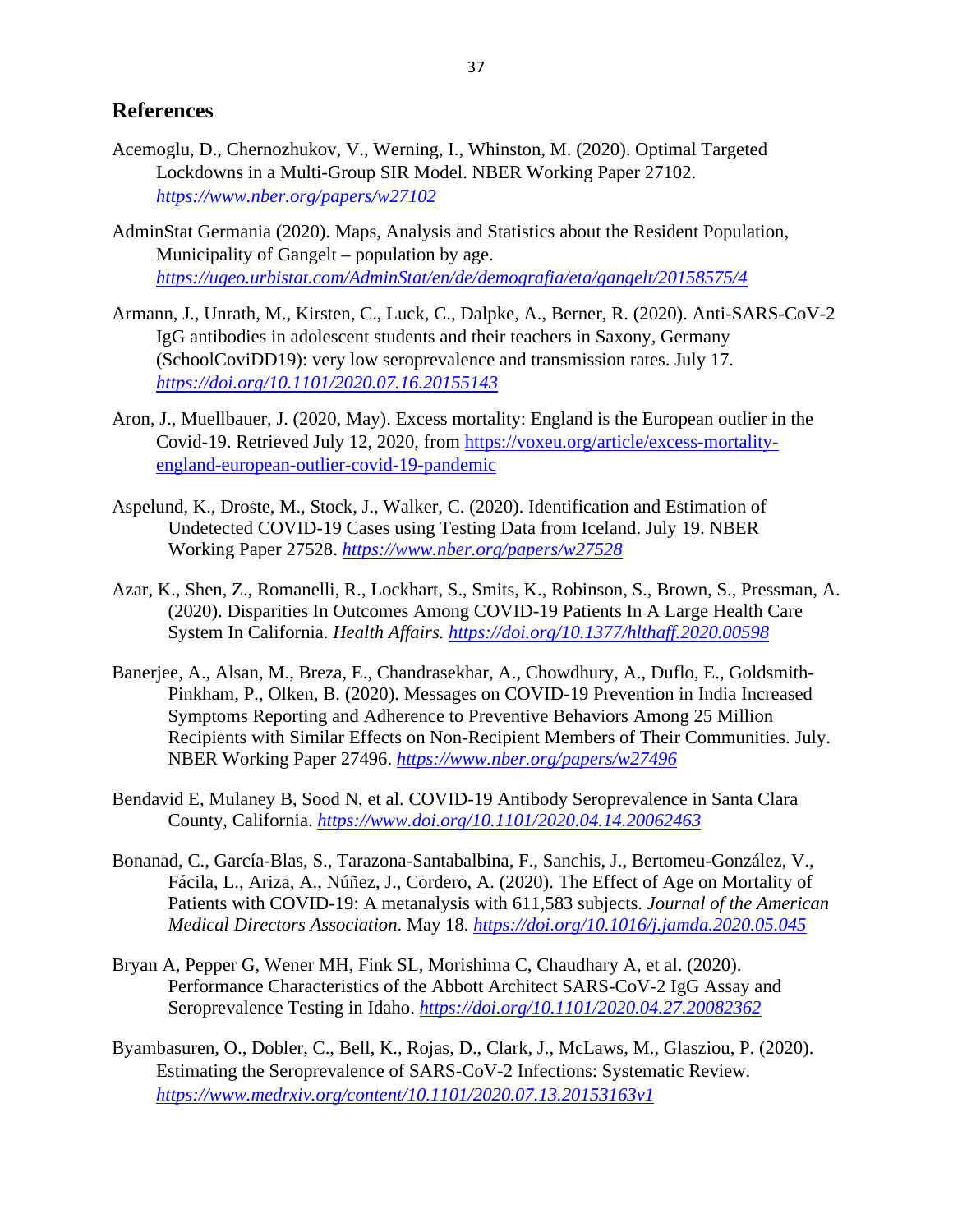## **References**

- Acemoglu, D., Chernozhukov, V., Werning, I., Whinston, M. (2020). Optimal Targeted Lockdowns in a Multi-Group SIR Model. NBER Working Paper 27102. *<https://www.nber.org/papers/w27102>*
- AdminStat Germania (2020). Maps, Analysis and Statistics about the Resident Population, Municipality of Gangelt – population by age. *<https://ugeo.urbistat.com/AdminStat/en/de/demografia/eta/gangelt/20158575/4>*
- Armann, J., Unrath, M., Kirsten, C., Luck, C., Dalpke, A., Berner, R. (2020). Anti-SARS-CoV-2 IgG antibodies in adolescent students and their teachers in Saxony, Germany (SchoolCoviDD19): very low seroprevalence and transmission rates. July 17. *<https://doi.org/10.1101/2020.07.16.20155143>*
- Aron, J., Muellbauer, J. (2020, May). Excess mortality: England is the European outlier in the Covid-19. Retrieved July 12, 2020, from [https://voxeu.org/article/excess-mortality](https://voxeu.org/article/excess-mortality-england-european-outlier-covid-19-pandemic)[england-european-outlier-covid-19-pandemic](https://voxeu.org/article/excess-mortality-england-european-outlier-covid-19-pandemic)
- Aspelund, K., Droste, M., Stock, J., Walker, C. (2020). Identification and Estimation of Undetected COVID-19 Cases using Testing Data from Iceland. July 19. NBER Working Paper 27528. *<https://www.nber.org/papers/w27528>*
- Azar, K., Shen, Z., Romanelli, R., Lockhart, S., Smits, K., Robinson, S., Brown, S., Pressman, A. (2020). Disparities In Outcomes Among COVID-19 Patients In A Large Health Care System In California. *Health Affairs. <https://doi.org/10.1377/hlthaff.2020.00598>*
- Banerjee, A., Alsan, M., Breza, E., Chandrasekhar, A., Chowdhury, A., Duflo, E., Goldsmith-Pinkham, P., Olken, B. (2020). Messages on COVID-19 Prevention in India Increased Symptoms Reporting and Adherence to Preventive Behaviors Among 25 Million Recipients with Similar Effects on Non-Recipient Members of Their Communities. July. NBER Working Paper 27496. *<https://www.nber.org/papers/w27496>*
- Bendavid E, Mulaney B, Sood N, et al. COVID-19 Antibody Seroprevalence in Santa Clara County, California. *<https://www.doi.org/10.1101/2020.04.14.20062463>*
- Bonanad, C., García-Blas, S., Tarazona-Santabalbina, F., Sanchis, J., Bertomeu-González, V., Fácila, L., Ariza, A., Núñez, J., Cordero, A. (2020). The Effect of Age on Mortality of Patients with COVID-19: A metanalysis with 611,583 subjects. *Journal of the American Medical Directors Association*. May 18. *<https://doi.org/10.1016/j.jamda.2020.05.045>*
- Bryan A, Pepper G, Wener MH, Fink SL, Morishima C, Chaudhary A, et al. (2020). Performance Characteristics of the Abbott Architect SARS-CoV-2 IgG Assay and Seroprevalence Testing in Idaho. *<https://doi.org/10.1101/2020.04.27.20082362>*
- Byambasuren, O., Dobler, C., Bell, K., Rojas, D., Clark, J., McLaws, M., Glasziou, P. (2020). Estimating the Seroprevalence of SARS-CoV-2 Infections: Systematic Review. *<https://www.medrxiv.org/content/10.1101/2020.07.13.20153163v1>*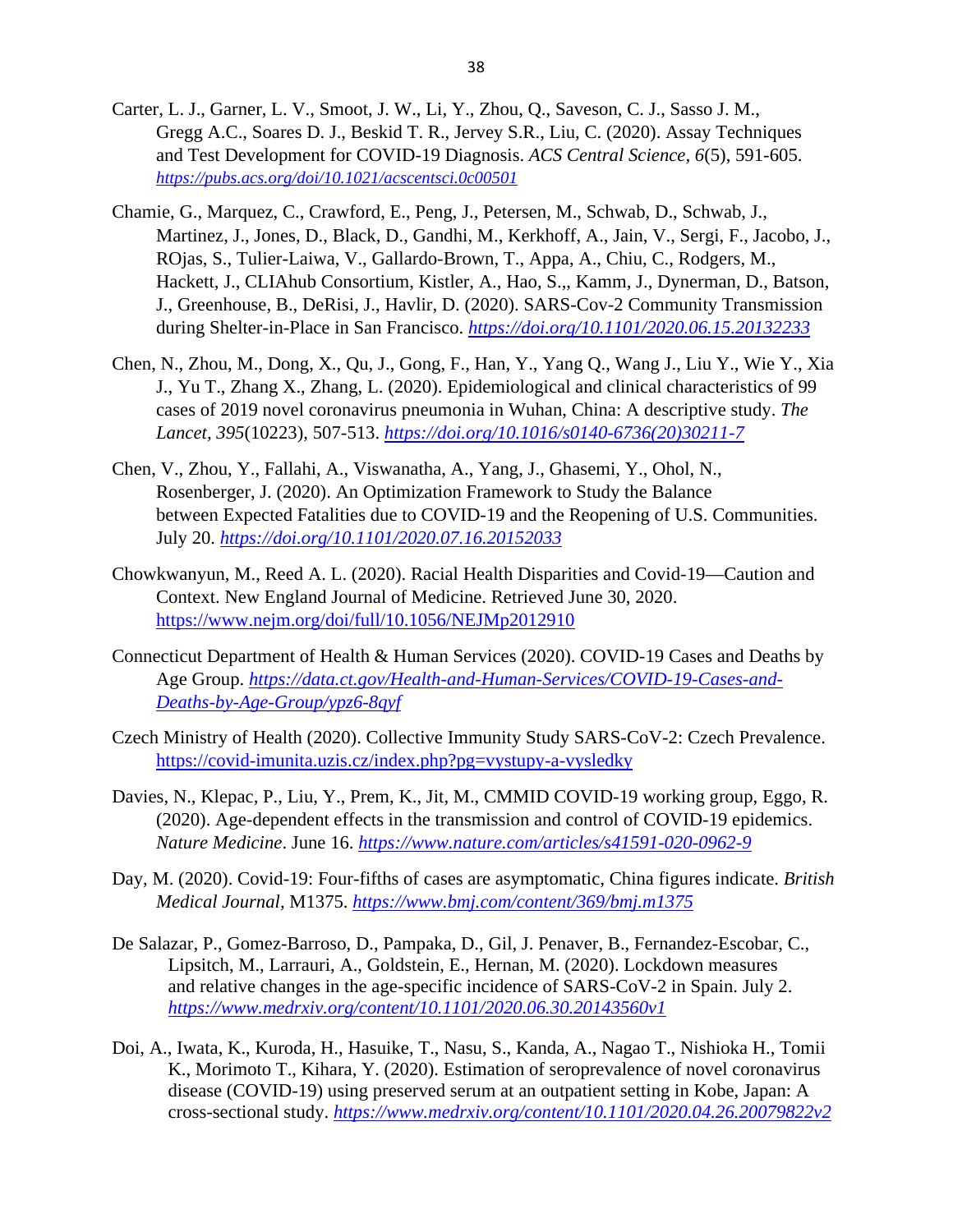- Carter, L. J., Garner, L. V., Smoot, J. W., Li, Y., Zhou, Q., Saveson, C. J., Sasso J. M., Gregg A.C., Soares D. J., Beskid T. R., Jervey S.R., Liu, C. (2020). Assay Techniques and Test Development for COVID-19 Diagnosis. *ACS Central Science, 6*(5), 591-605. *<https://pubs.acs.org/doi/10.1021/acscentsci.0c00501>*
- Chamie, G., Marquez, C., Crawford, E., Peng, J., Petersen, M., Schwab, D., Schwab, J., Martinez, J., Jones, D., Black, D., Gandhi, M., Kerkhoff, A., Jain, V., Sergi, F., Jacobo, J., ROjas, S., Tulier-Laiwa, V., Gallardo-Brown, T., Appa, A., Chiu, C., Rodgers, M., Hackett, J., CLIAhub Consortium, Kistler, A., Hao, S.,, Kamm, J., Dynerman, D., Batson, J., Greenhouse, B., DeRisi, J., Havlir, D. (2020). SARS-Cov-2 Community Transmission during Shelter-in-Place in San Francisco. *<https://doi.org/10.1101/2020.06.15.20132233>*
- Chen, N., Zhou, M., Dong, X., Qu, J., Gong, F., Han, Y., Yang Q., Wang J., Liu Y., Wie Y., Xia J., Yu T., Zhang X., Zhang, L. (2020). Epidemiological and clinical characteristics of 99 cases of 2019 novel coronavirus pneumonia in Wuhan, China: A descriptive study. *The Lancet, 395*(10223), 507-513. *[https://doi.org/10.1016/s0140-6736\(20\)30211-7](https://doi.org/10.1016/s0140-6736(20)30211-7)*
- Chen, V., Zhou, Y., Fallahi, A., Viswanatha, A., Yang, J., Ghasemi, Y., Ohol, N., Rosenberger, J. (2020). An Optimization Framework to Study the Balance between Expected Fatalities due to COVID-19 and the Reopening of U.S. Communities. July 20. *<https://doi.org/10.1101/2020.07.16.20152033>*
- Chowkwanyun, M., Reed A. L. (2020). Racial Health Disparities and Covid-19—Caution and Context. New England Journal of Medicine. Retrieved June 30, 2020. <https://www.nejm.org/doi/full/10.1056/NEJMp2012910>
- Connecticut Department of Health & Human Services (2020). COVID-19 Cases and Deaths by Age Group. *[https://data.ct.gov/Health-and-Human-Services/COVID-19-Cases-and-](https://data.ct.gov/Health-and-Human-Services/COVID-19-Cases-and-Deaths-by-Age-Group/ypz6-8qyf)[Deaths-by-Age-Group/ypz6-8qyf](https://data.ct.gov/Health-and-Human-Services/COVID-19-Cases-and-Deaths-by-Age-Group/ypz6-8qyf)*
- Czech Ministry of Health (2020). Collective Immunity Study SARS-CoV-2: Czech Prevalence. <https://covid-imunita.uzis.cz/index.php?pg=vystupy-a-vysledky>
- Davies, N., Klepac, P., Liu, Y., Prem, K., Jit, M., CMMID COVID-19 working group, Eggo, R. (2020). Age-dependent effects in the transmission and control of COVID-19 epidemics. *Nature Medicine*. June 16. *<https://www.nature.com/articles/s41591-020-0962-9>*
- Day, M. (2020). Covid-19: Four-fifths of cases are asymptomatic, China figures indicate. *British Medical Journal,* M1375. *<https://www.bmj.com/content/369/bmj.m1375>*
- De Salazar, P., Gomez-Barroso, D., Pampaka, D., Gil, J. Penaver, B., Fernandez-Escobar, C., Lipsitch, M., Larrauri, A., Goldstein, E., Hernan, M. (2020). Lockdown measures and relative changes in the age-specific incidence of SARS-CoV-2 in Spain. July 2. *<https://www.medrxiv.org/content/10.1101/2020.06.30.20143560v1>*
- Doi, A., Iwata, K., Kuroda, H., Hasuike, T., Nasu, S., Kanda, A., Nagao T., Nishioka H., Tomii K., Morimoto T., Kihara, Y. (2020). Estimation of seroprevalence of novel coronavirus disease (COVID-19) using preserved serum at an outpatient setting in Kobe, Japan: A cross-sectional study. *<https://www.medrxiv.org/content/10.1101/2020.04.26.20079822v2>*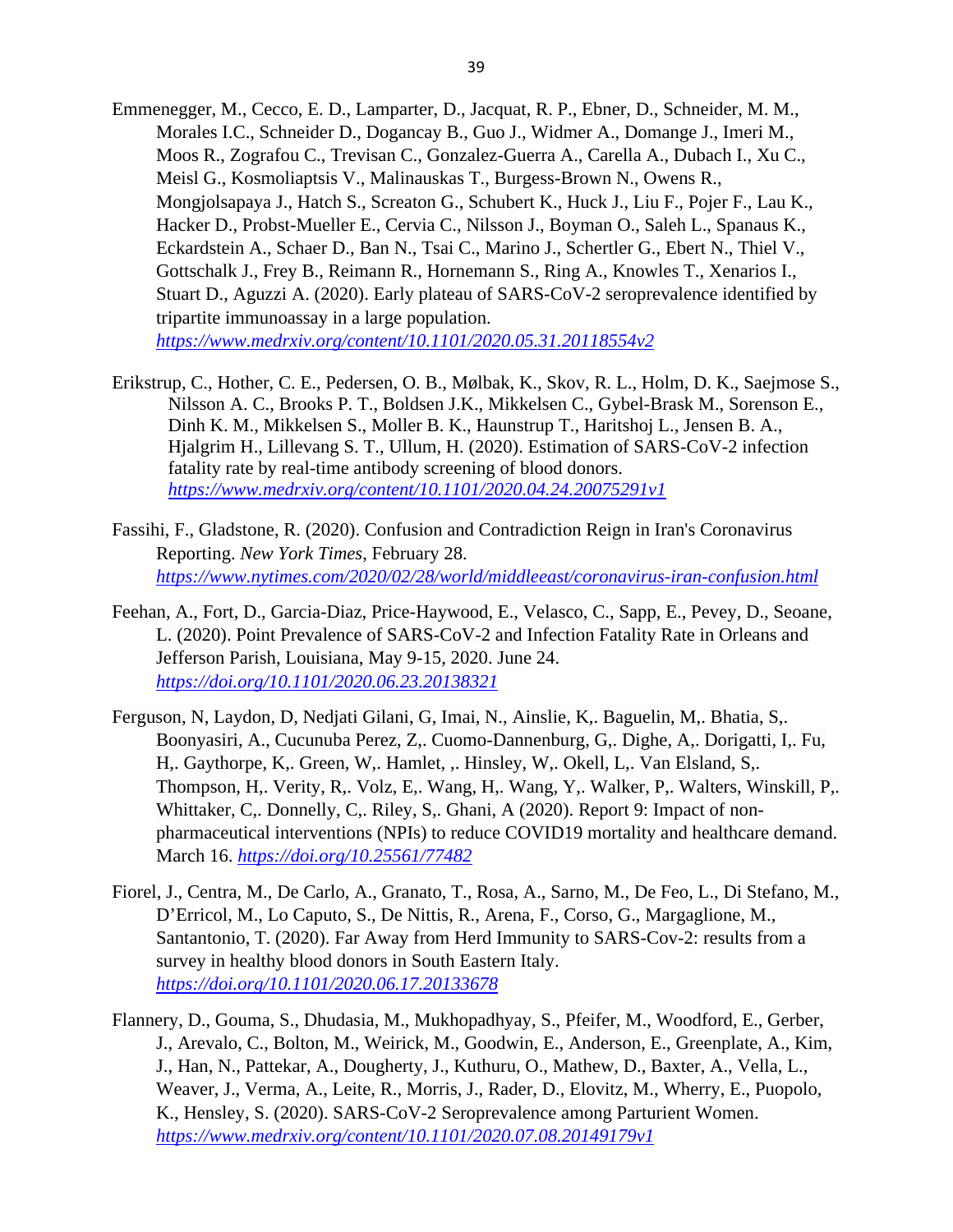- Emmenegger, M., Cecco, E. D., Lamparter, D., Jacquat, R. P., Ebner, D., Schneider, M. M., Morales I.C., Schneider D., Dogancay B., Guo J., Widmer A., Domange J., Imeri M., Moos R., Zografou C., Trevisan C., Gonzalez-Guerra A., Carella A., Dubach I., Xu C., Meisl G., Kosmoliaptsis V., Malinauskas T., Burgess-Brown N., Owens R., Mongjolsapaya J., Hatch S., Screaton G., Schubert K., Huck J., Liu F., Pojer F., Lau K., Hacker D., Probst-Mueller E., Cervia C., Nilsson J., Boyman O., Saleh L., Spanaus K., Eckardstein A., Schaer D., Ban N., Tsai C., Marino J., Schertler G., Ebert N., Thiel V., Gottschalk J., Frey B., Reimann R., Hornemann S., Ring A., Knowles T., Xenarios I., Stuart D., Aguzzi A. (2020). Early plateau of SARS-CoV-2 seroprevalence identified by tripartite immunoassay in a large population. *<https://www.medrxiv.org/content/10.1101/2020.05.31.20118554v2>*
- Erikstrup, C., Hother, C. E., Pedersen, O. B., Mølbak, K., Skov, R. L., Holm, D. K., Saejmose S., Nilsson A. C., Brooks P. T., Boldsen J.K., Mikkelsen C., Gybel-Brask M., Sorenson E., Dinh K. M., Mikkelsen S., Moller B. K., Haunstrup T., Haritshoj L., Jensen B. A., Hjalgrim H., Lillevang S. T., Ullum, H. (2020). Estimation of SARS-CoV-2 infection fatality rate by real-time antibody screening of blood donors. *<https://www.medrxiv.org/content/10.1101/2020.04.24.20075291v1>*
- Fassihi, F., Gladstone, R. (2020). Confusion and Contradiction Reign in Iran's Coronavirus Reporting. *New York Times*, February 28. *<https://www.nytimes.com/2020/02/28/world/middleeast/coronavirus-iran-confusion.html>*
- Feehan, A., Fort, D., Garcia-Diaz, Price-Haywood, E., Velasco, C., Sapp, E., Pevey, D., Seoane, L. (2020). Point Prevalence of SARS-CoV-2 and Infection Fatality Rate in Orleans and Jefferson Parish, Louisiana, May 9-15, 2020. June 24. *<https://doi.org/10.1101/2020.06.23.20138321>*
- Ferguson, N, Laydon, D, Nedjati Gilani, G, Imai, N., Ainslie, K,. Baguelin, M,. Bhatia, S,. Boonyasiri, A., Cucunuba Perez, Z,. Cuomo-Dannenburg, G,. Dighe, A,. Dorigatti, I,. Fu, H,. Gaythorpe, K,. Green, W,. Hamlet, ,. Hinsley, W,. Okell, L,. Van Elsland, S,. Thompson, H,. Verity, R,. Volz, E,. Wang, H,. Wang, Y,. Walker, P,. Walters, Winskill, P,. Whittaker, C,. Donnelly, C,. Riley, S,. Ghani, A (2020). Report 9: Impact of nonpharmaceutical interventions (NPIs) to reduce COVID19 mortality and healthcare demand. March 16. *<https://doi.org/10.25561/77482>*
- Fiorel, J., Centra, M., De Carlo, A., Granato, T., Rosa, A., Sarno, M., De Feo, L., Di Stefano, M., D'Erricol, M., Lo Caputo, S., De Nittis, R., Arena, F., Corso, G., Margaglione, M., Santantonio, T. (2020). Far Away from Herd Immunity to SARS-Cov-2: results from a survey in healthy blood donors in South Eastern Italy. *<https://doi.org/10.1101/2020.06.17.20133678>*
- Flannery, D., Gouma, S., Dhudasia, M., Mukhopadhyay, S., Pfeifer, M., Woodford, E., Gerber, J., Arevalo, C., Bolton, M., Weirick, M., Goodwin, E., Anderson, E., Greenplate, A., Kim, J., Han, N., Pattekar, A., Dougherty, J., Kuthuru, O., Mathew, D., Baxter, A., Vella, L., Weaver, J., Verma, A., Leite, R., Morris, J., Rader, D., Elovitz, M., Wherry, E., Puopolo, K., Hensley, S. (2020). SARS-CoV-2 Seroprevalence among Parturient Women. *<https://www.medrxiv.org/content/10.1101/2020.07.08.20149179v1>*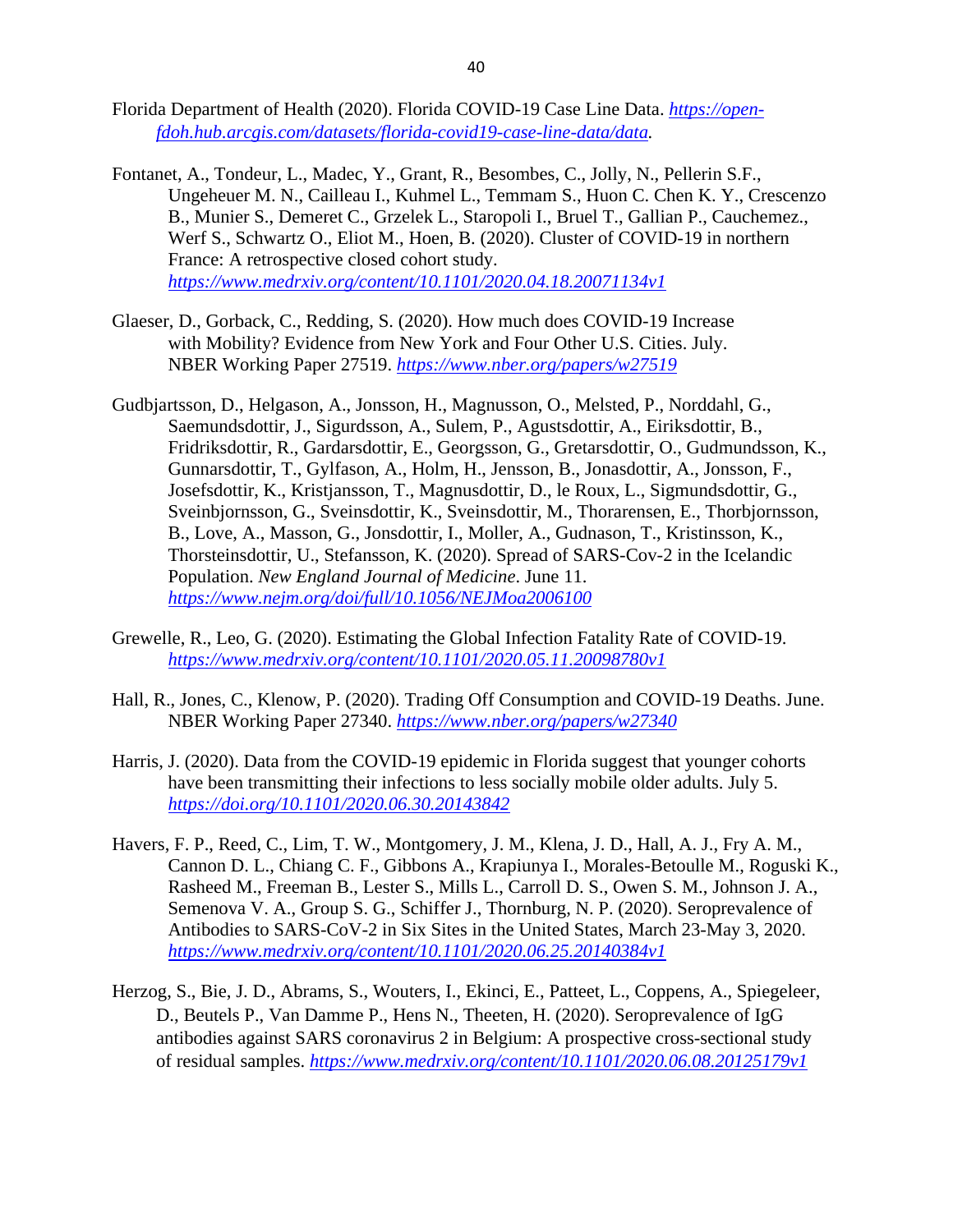- Florida Department of Health (2020). Florida COVID-19 Case Line Data. *[https://open](https://open-fdoh.hub.arcgis.com/datasets/florida-covid19-case-line-data/data)[fdoh.hub.arcgis.com/datasets/florida-covid19-case-line-data/data.](https://open-fdoh.hub.arcgis.com/datasets/florida-covid19-case-line-data/data)*
- Fontanet, A., Tondeur, L., Madec, Y., Grant, R., Besombes, C., Jolly, N., Pellerin S.F., Ungeheuer M. N., Cailleau I., Kuhmel L., Temmam S., Huon C. Chen K. Y., Crescenzo B., Munier S., Demeret C., Grzelek L., Staropoli I., Bruel T., Gallian P., Cauchemez., Werf S., Schwartz O., Eliot M., Hoen, B. (2020). Cluster of COVID-19 in northern France: A retrospective closed cohort study. *<https://www.medrxiv.org/content/10.1101/2020.04.18.20071134v1>*
- Glaeser, D., Gorback, C., Redding, S. (2020). How much does COVID-19 Increase with Mobility? Evidence from New York and Four Other U.S. Cities. July. NBER Working Paper 27519. *<https://www.nber.org/papers/w27519>*
- Gudbjartsson, D., Helgason, A., Jonsson, H., Magnusson, O., Melsted, P., Norddahl, G., Saemundsdottir, J., Sigurdsson, A., Sulem, P., Agustsdottir, A., Eiriksdottir, B., Fridriksdottir, R., Gardarsdottir, E., Georgsson, G., Gretarsdottir, O., Gudmundsson, K., Gunnarsdottir, T., Gylfason, A., Holm, H., Jensson, B., Jonasdottir, A., Jonsson, F., Josefsdottir, K., Kristjansson, T., Magnusdottir, D., le Roux, L., Sigmundsdottir, G., Sveinbjornsson, G., Sveinsdottir, K., Sveinsdottir, M., Thorarensen, E., Thorbjornsson, B., Love, A., Masson, G., Jonsdottir, I., Moller, A., Gudnason, T., Kristinsson, K., Thorsteinsdottir, U., Stefansson, K. (2020). Spread of SARS-Cov-2 in the Icelandic Population. *New England Journal of Medicine*. June 11. *<https://www.nejm.org/doi/full/10.1056/NEJMoa2006100>*
- Grewelle, R., Leo, G. (2020). Estimating the Global Infection Fatality Rate of COVID-19. *<https://www.medrxiv.org/content/10.1101/2020.05.11.20098780v1>*
- Hall, R., Jones, C., Klenow, P. (2020). Trading Off Consumption and COVID-19 Deaths. June. NBER Working Paper 27340. *<https://www.nber.org/papers/w27340>*
- Harris, J. (2020). Data from the COVID-19 epidemic in Florida suggest that younger cohorts have been transmitting their infections to less socially mobile older adults. July 5. *<https://doi.org/10.1101/2020.06.30.20143842>*
- Havers, F. P., Reed, C., Lim, T. W., Montgomery, J. M., Klena, J. D., Hall, A. J., Fry A. M., Cannon D. L., Chiang C. F., Gibbons A., Krapiunya I., Morales-Betoulle M., Roguski K., Rasheed M., Freeman B., Lester S., Mills L., Carroll D. S., Owen S. M., Johnson J. A., Semenova V. A., Group S. G., Schiffer J., Thornburg, N. P. (2020). Seroprevalence of Antibodies to SARS-CoV-2 in Six Sites in the United States, March 23-May 3, 2020. *<https://www.medrxiv.org/content/10.1101/2020.06.25.20140384v1>*
- Herzog, S., Bie, J. D., Abrams, S., Wouters, I., Ekinci, E., Patteet, L., Coppens, A., Spiegeleer, D., Beutels P., Van Damme P., Hens N., Theeten, H. (2020). Seroprevalence of IgG antibodies against SARS coronavirus 2 in Belgium: A prospective cross-sectional study of residual samples. *<https://www.medrxiv.org/content/10.1101/2020.06.08.20125179v1>*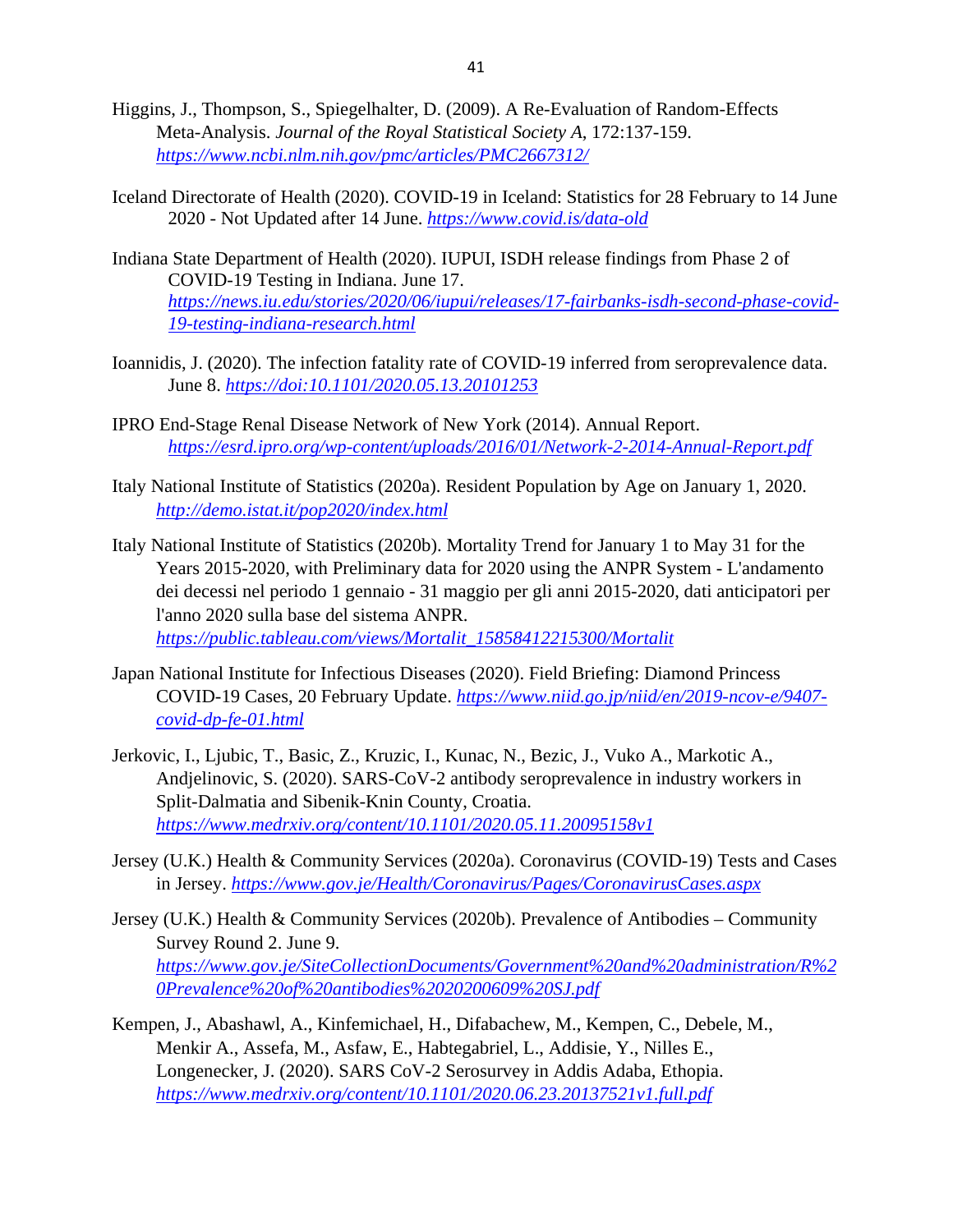- Higgins, J., Thompson, S., Spiegelhalter, D. (2009). A Re-Evaluation of Random-Effects Meta-Analysis. *Journal of the Royal Statistical Society A*, 172:137-159. *<https://www.ncbi.nlm.nih.gov/pmc/articles/PMC2667312/>*
- Iceland Directorate of Health (2020). COVID-19 in Iceland: Statistics for 28 February to 14 June 2020 - Not Updated after 14 June. *<https://www.covid.is/data-old>*
- Indiana State Department of Health (2020). IUPUI, ISDH release findings from Phase 2 of COVID-19 Testing in Indiana. June 17. *[https://news.iu.edu/stories/2020/06/iupui/releases/17-fairbanks-isdh-second-phase-covid-](https://news.iu.edu/stories/2020/06/iupui/releases/17-fairbanks-isdh-second-phase-covid-19-testing-indiana-research.html)[19-testing-indiana-research.html](https://news.iu.edu/stories/2020/06/iupui/releases/17-fairbanks-isdh-second-phase-covid-19-testing-indiana-research.html)*
- Ioannidis, J. (2020). The infection fatality rate of COVID-19 inferred from seroprevalence data. June 8. *<https://doi:10.1101/2020.05.13.20101253>*
- IPRO End-Stage Renal Disease Network of New York (2014). Annual Report. *<https://esrd.ipro.org/wp-content/uploads/2016/01/Network-2-2014-Annual-Report.pdf>*
- Italy National Institute of Statistics (2020a). Resident Population by Age on January 1, 2020. *<http://demo.istat.it/pop2020/index.html>*
- Italy National Institute of Statistics (2020b). Mortality Trend for January 1 to May 31 for the Years 2015-2020, with Preliminary data for 2020 using the ANPR System - L'andamento dei decessi nel periodo 1 gennaio - 31 maggio per gli anni 2015-2020, dati anticipatori per l'anno 2020 sulla base del sistema ANPR. *[https://public.tableau.com/views/Mortalit\\_15858412215300/Mortalit](https://public.tableau.com/views/Mortalit_15858412215300/Mortalit)*
- Japan National Institute for Infectious Diseases (2020). Field Briefing: Diamond Princess COVID-19 Cases, 20 February Update. *[https://www.niid.go.jp/niid/en/2019-ncov-e/9407](https://www.niid.go.jp/niid/en/2019-ncov-e/9407-covid-dp-fe-01.html) [covid-dp-fe-01.html](https://www.niid.go.jp/niid/en/2019-ncov-e/9407-covid-dp-fe-01.html)*
- Jerkovic, I., Ljubic, T., Basic, Z., Kruzic, I., Kunac, N., Bezic, J., Vuko A., Markotic A., Andjelinovic, S. (2020). SARS-CoV-2 antibody seroprevalence in industry workers in Split-Dalmatia and Sibenik-Knin County, Croatia. *<https://www.medrxiv.org/content/10.1101/2020.05.11.20095158v1>*
- Jersey (U.K.) Health & Community Services (2020a). Coronavirus (COVID-19) Tests and Cases in Jersey. *<https://www.gov.je/Health/Coronavirus/Pages/CoronavirusCases.aspx>*
- Jersey (U.K.) Health & Community Services (2020b). Prevalence of Antibodies Community Survey Round 2. June 9. *[https://www.gov.je/SiteCollectionDocuments/Government%20and%20administration/R%2](https://www.gov.je/SiteCollectionDocuments/Government%20and%20administration/R%20Prevalence%20of%20antibodies%2020200609%20SJ.pdf) [0Prevalence%20of%20antibodies%2020200609%20SJ.pdf](https://www.gov.je/SiteCollectionDocuments/Government%20and%20administration/R%20Prevalence%20of%20antibodies%2020200609%20SJ.pdf)*
- Kempen, J., Abashawl, A., Kinfemichael, H., Difabachew, M., Kempen, C., Debele, M., Menkir A., Assefa, M., Asfaw, E., Habtegabriel, L., Addisie, Y., Nilles E., Longenecker, J. (2020). SARS CoV-2 Serosurvey in Addis Adaba, Ethopia. *<https://www.medrxiv.org/content/10.1101/2020.06.23.20137521v1.full.pdf>*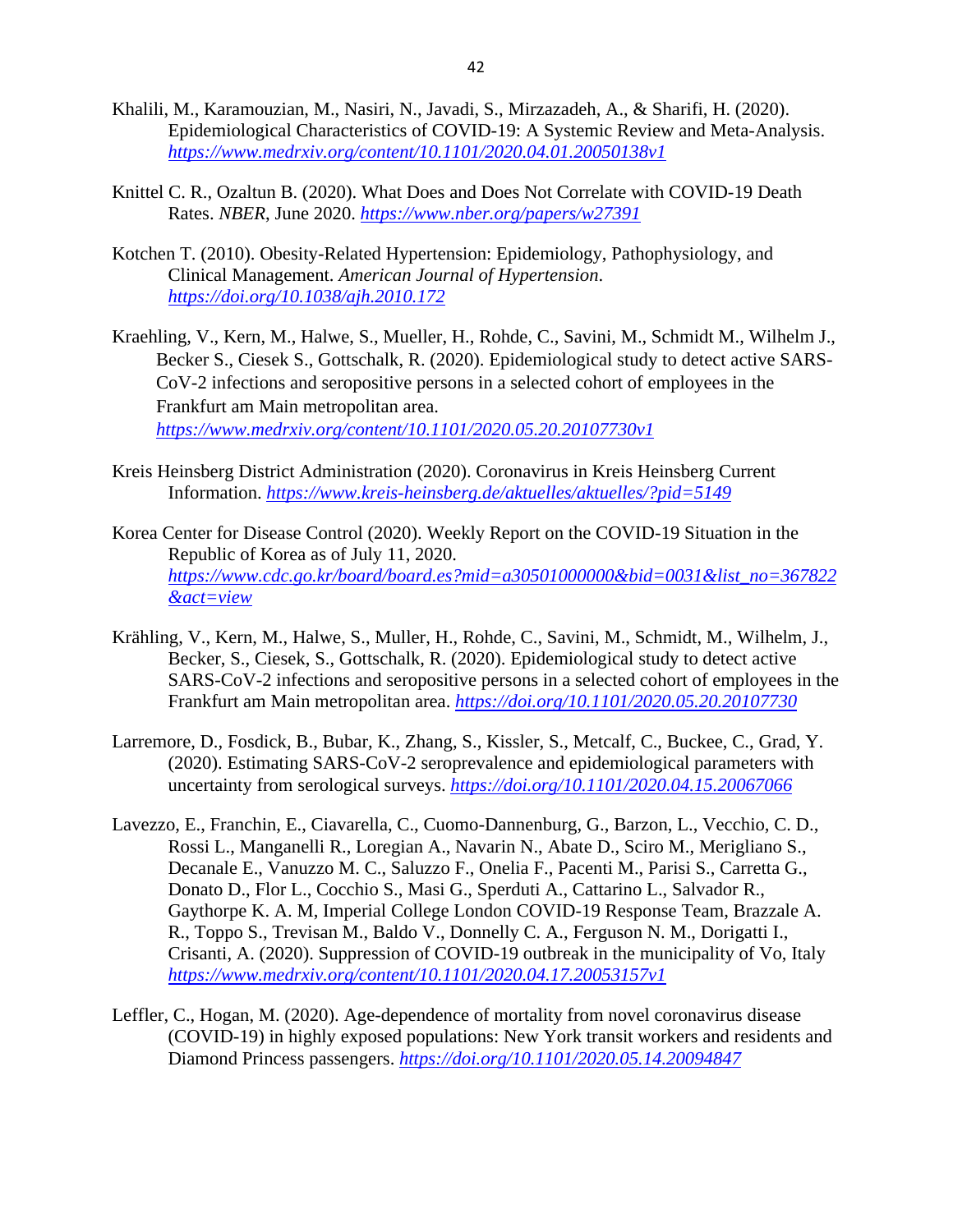- Khalili, M., Karamouzian, M., Nasiri, N., Javadi, S., Mirzazadeh, A., & Sharifi, H. (2020). Epidemiological Characteristics of COVID-19: A Systemic Review and Meta-Analysis. *<https://www.medrxiv.org/content/10.1101/2020.04.01.20050138v1>*
- Knittel C. R., Ozaltun B. (2020). What Does and Does Not Correlate with COVID-19 Death Rates. *NBER*, June 2020. *<https://www.nber.org/papers/w27391>*
- Kotchen T. (2010). Obesity-Related Hypertension: Epidemiology, Pathophysiology, and Clinical Management. *American Journal of Hypertension*. *<https://doi.org/10.1038/ajh.2010.172>*
- Kraehling, V., Kern, M., Halwe, S., Mueller, H., Rohde, C., Savini, M., Schmidt M., Wilhelm J., Becker S., Ciesek S., Gottschalk, R. (2020). Epidemiological study to detect active SARS-CoV-2 infections and seropositive persons in a selected cohort of employees in the Frankfurt am Main metropolitan area. *<https://www.medrxiv.org/content/10.1101/2020.05.20.20107730v1>*
- Kreis Heinsberg District Administration (2020). Coronavirus in Kreis Heinsberg Current Information. *<https://www.kreis-heinsberg.de/aktuelles/aktuelles/?pid=5149>*
- Korea Center for Disease Control (2020). Weekly Report on the COVID-19 Situation in the Republic of Korea as of July 11, 2020. *[https://www.cdc.go.kr/board/board.es?mid=a30501000000&bid=0031&list\\_no=367822](https://www.cdc.go.kr/board/board.es?mid=a30501000000&bid=0031&list_no=367822&act=view) [&act=view](https://www.cdc.go.kr/board/board.es?mid=a30501000000&bid=0031&list_no=367822&act=view)*
- Krähling, V., Kern, M., Halwe, S., Muller, H., Rohde, C., Savini, M., Schmidt, M., Wilhelm, J., Becker, S., Ciesek, S., Gottschalk, R. (2020). Epidemiological study to detect active SARS-CoV-2 infections and seropositive persons in a selected cohort of employees in the Frankfurt am Main metropolitan area. *<https://doi.org/10.1101/2020.05.20.20107730>*
- Larremore, D., Fosdick, B., Bubar, K., Zhang, S., Kissler, S., Metcalf, C., Buckee, C., Grad, Y. (2020). Estimating SARS-CoV-2 seroprevalence and epidemiological parameters with uncertainty from serological surveys. *<https://doi.org/10.1101/2020.04.15.20067066>*
- Lavezzo, E., Franchin, E., Ciavarella, C., Cuomo-Dannenburg, G., Barzon, L., Vecchio, C. D., Rossi L., Manganelli R., Loregian A., Navarin N., Abate D., Sciro M., Merigliano S., Decanale E., Vanuzzo M. C., Saluzzo F., Onelia F., Pacenti M., Parisi S., Carretta G., Donato D., Flor L., Cocchio S., Masi G., Sperduti A., Cattarino L., Salvador R., Gaythorpe K. A. M, Imperial College London COVID-19 Response Team, Brazzale A. R., Toppo S., Trevisan M., Baldo V., Donnelly C. A., Ferguson N. M., Dorigatti I., Crisanti, A. (2020). Suppression of COVID-19 outbreak in the municipality of Vo, Italy *<https://www.medrxiv.org/content/10.1101/2020.04.17.20053157v1>*
- Leffler, C., Hogan, M. (2020). Age-dependence of mortality from novel coronavirus disease (COVID-19) in highly exposed populations: New York transit workers and residents and Diamond Princess passengers. *<https://doi.org/10.1101/2020.05.14.20094847>*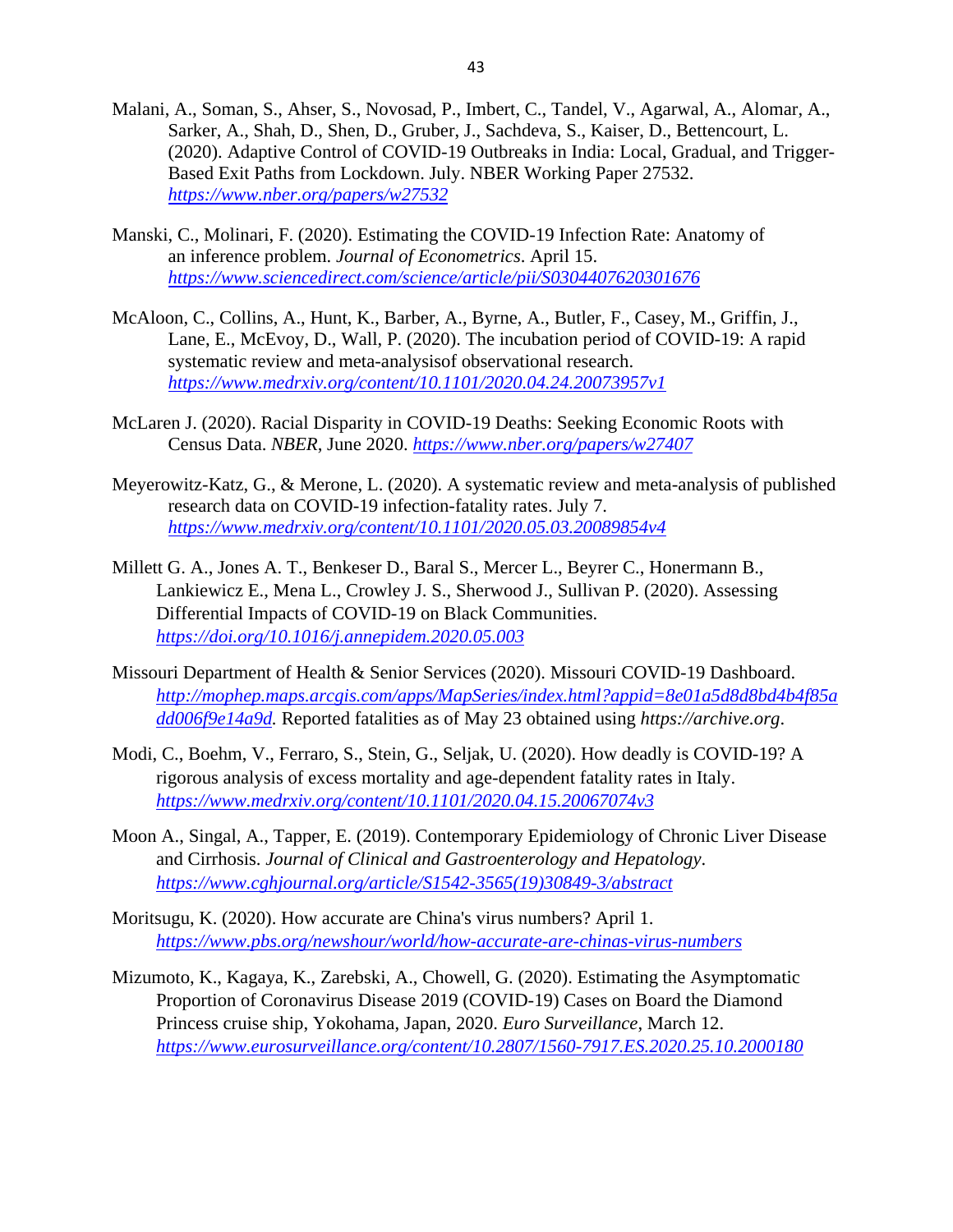- Malani, A., Soman, S., Ahser, S., Novosad, P., Imbert, C., Tandel, V., Agarwal, A., Alomar, A., Sarker, A., Shah, D., Shen, D., Gruber, J., Sachdeva, S., Kaiser, D., Bettencourt, L. (2020). Adaptive Control of COVID-19 Outbreaks in India: Local, Gradual, and Trigger-Based Exit Paths from Lockdown. July. NBER Working Paper 27532. *<https://www.nber.org/papers/w27532>*
- Manski, C., Molinari, F. (2020). Estimating the COVID-19 Infection Rate: Anatomy of an inference problem. *Journal of Econometrics*. April 15. *<https://www.sciencedirect.com/science/article/pii/S0304407620301676>*
- McAloon, C., Collins, A., Hunt, K., Barber, A., Byrne, A., Butler, F., Casey, M., Griffin, J., Lane, E., McEvoy, D., Wall, P. (2020). The incubation period of COVID-19: A rapid systematic review and meta-analysisof observational research. *<https://www.medrxiv.org/content/10.1101/2020.04.24.20073957v1>*
- McLaren J. (2020). Racial Disparity in COVID-19 Deaths: Seeking Economic Roots with Census Data. *NBER*, June 2020. *<https://www.nber.org/papers/w27407>*
- Meyerowitz-Katz, G., & Merone, L. (2020). A systematic review and meta-analysis of published research data on COVID-19 infection-fatality rates. July 7. *<https://www.medrxiv.org/content/10.1101/2020.05.03.20089854v4>*
- Millett G. A., Jones A. T., Benkeser D., Baral S., Mercer L., Beyrer C., Honermann B., Lankiewicz E., Mena L., Crowley J. S., Sherwood J., Sullivan P. (2020). Assessing Differential Impacts of COVID-19 on Black Communities. *<https://doi.org/10.1016/j.annepidem.2020.05.003>*
- Missouri Department of Health & Senior Services (2020). Missouri COVID-19 Dashboard. *[http://mophep.maps.arcgis.com/apps/MapSeries/index.html?appid=8e01a5d8d8bd4b4f85a](http://mophep.maps.arcgis.com/apps/MapSeries/index.html?appid=8e01a5d8d8bd4b4f85add006f9e14a9d) [dd006f9e14a9d.](http://mophep.maps.arcgis.com/apps/MapSeries/index.html?appid=8e01a5d8d8bd4b4f85add006f9e14a9d)* Reported fatalities as of May 23 obtained using *https://archive.org*.
- Modi, C., Boehm, V., Ferraro, S., Stein, G., Seljak, U. (2020). How deadly is COVID-19? A rigorous analysis of excess mortality and age-dependent fatality rates in Italy. *<https://www.medrxiv.org/content/10.1101/2020.04.15.20067074v3>*
- Moon A., Singal, A., Tapper, E. (2019). Contemporary Epidemiology of Chronic Liver Disease and Cirrhosis. *Journal of Clinical and Gastroenterology and Hepatology*. *[https://www.cghjournal.org/article/S1542-3565\(19\)30849-3/abstract](https://www.cghjournal.org/article/S1542-3565(19)30849-3/abstract)*
- Moritsugu, K. (2020). How accurate are China's virus numbers? April 1. *<https://www.pbs.org/newshour/world/how-accurate-are-chinas-virus-numbers>*
- Mizumoto, K., Kagaya, K., Zarebski, A., Chowell, G. (2020). Estimating the Asymptomatic Proportion of Coronavirus Disease 2019 (COVID-19) Cases on Board the Diamond Princess cruise ship, Yokohama, Japan, 2020. *Euro Surveillance*, March 12. *<https://www.eurosurveillance.org/content/10.2807/1560-7917.ES.2020.25.10.2000180>*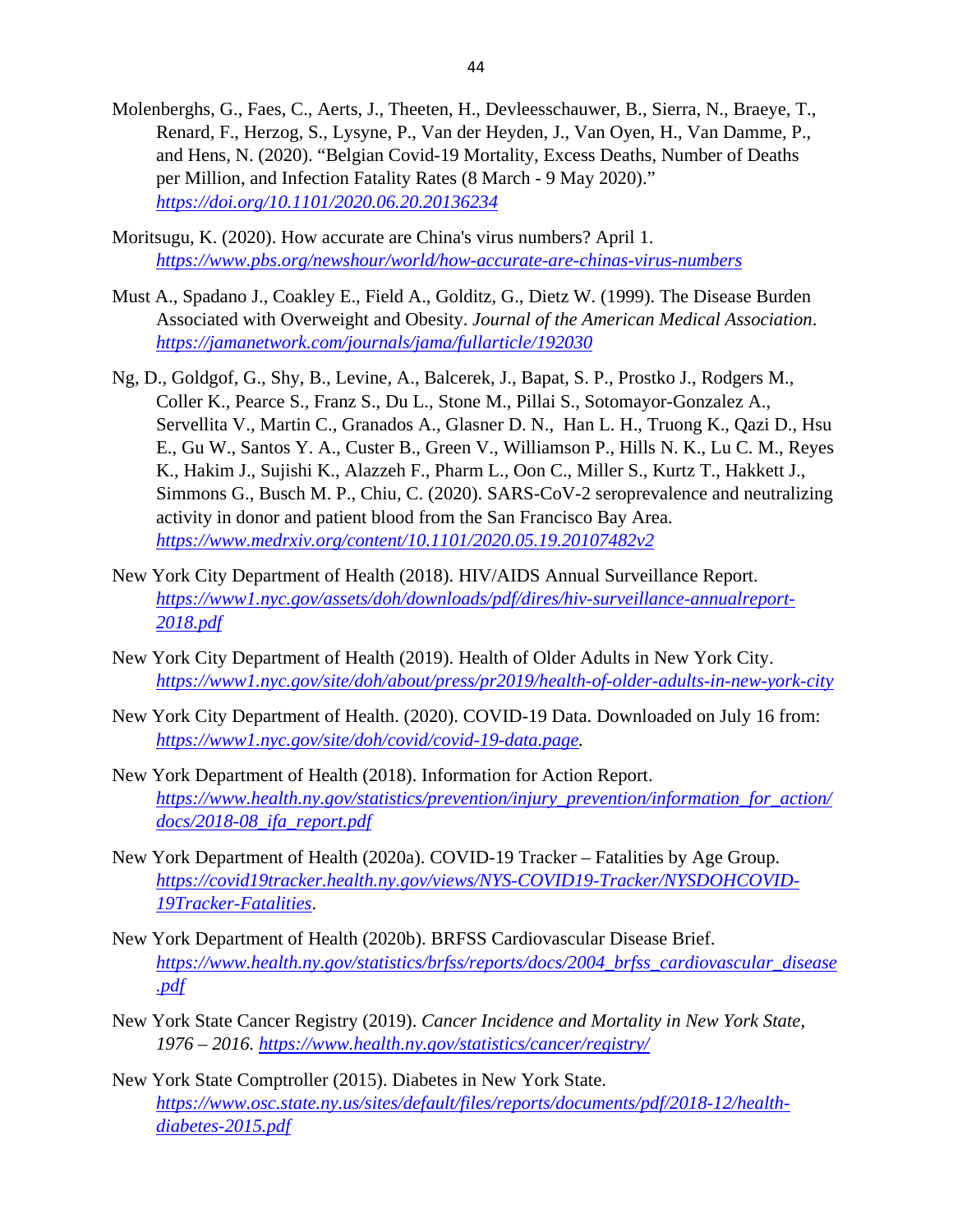- Molenberghs, G., Faes, C., Aerts, J., Theeten, H., Devleesschauwer, B., Sierra, N., Braeye, T., Renard, F., Herzog, S., Lysyne, P., Van der Heyden, J., Van Oyen, H., Van Damme, P., and Hens, N. (2020). "Belgian Covid-19 Mortality, Excess Deaths, Number of Deaths per Million, and Infection Fatality Rates (8 March - 9 May 2020)." *<https://doi.org/10.1101/2020.06.20.20136234>*
- Moritsugu, K. (2020). How accurate are China's virus numbers? April 1. *<https://www.pbs.org/newshour/world/how-accurate-are-chinas-virus-numbers>*
- Must A., Spadano J., Coakley E., Field A., Golditz, G., Dietz W. (1999). The Disease Burden Associated with Overweight and Obesity. *Journal of the American Medical Association*. *<https://jamanetwork.com/journals/jama/fullarticle/192030>*
- Ng, D., Goldgof, G., Shy, B., Levine, A., Balcerek, J., Bapat, S. P., Prostko J., Rodgers M., Coller K., Pearce S., Franz S., Du L., Stone M., Pillai S., Sotomayor-Gonzalez A., Servellita V., Martin C., Granados A., Glasner D. N., Han L. H., Truong K., Qazi D., Hsu E., Gu W., Santos Y. A., Custer B., Green V., Williamson P., Hills N. K., Lu C. M., Reyes K., Hakim J., Sujishi K., Alazzeh F., Pharm L., Oon C., Miller S., Kurtz T., Hakkett J., Simmons G., Busch M. P., Chiu, C. (2020). SARS-CoV-2 seroprevalence and neutralizing activity in donor and patient blood from the San Francisco Bay Area. *<https://www.medrxiv.org/content/10.1101/2020.05.19.20107482v2>*
- New York City Department of Health (2018). HIV/AIDS Annual Surveillance Report. *[https://www1.nyc.gov/assets/doh/downloads/pdf/dires/hiv-surveillance-annualreport-](https://www1.nyc.gov/assets/doh/downloads/pdf/dires/hiv-surveillance-annualreport-2018.pdf)[2018.pdf](https://www1.nyc.gov/assets/doh/downloads/pdf/dires/hiv-surveillance-annualreport-2018.pdf)*
- New York City Department of Health (2019). Health of Older Adults in New York City. *<https://www1.nyc.gov/site/doh/about/press/pr2019/health-of-older-adults-in-new-york-city>*
- New York City Department of Health. (2020). COVID-19 Data. Downloaded on July 16 from: *[https://www1.nyc.gov/site/doh/covid/covid-19-data.page.](https://www1.nyc.gov/site/doh/covid/covid-19-data.page)*
- New York Department of Health (2018). Information for Action Report. *[https://www.health.ny.gov/statistics/prevention/injury\\_prevention/information\\_for\\_action/](https://www.health.ny.gov/statistics/prevention/injury_prevention/information_for_action/docs/2018-08_ifa_report.pdf) [docs/2018-08\\_ifa\\_report.pdf](https://www.health.ny.gov/statistics/prevention/injury_prevention/information_for_action/docs/2018-08_ifa_report.pdf)*
- New York Department of Health (2020a). COVID-19 Tracker Fatalities by Age Group. *[https://covid19tracker.health.ny.gov/views/NYS-COVID19-Tracker/NYSDOHCOVID-](https://covid19tracker.health.ny.gov/views/NYS-COVID19-Tracker/NYSDOHCOVID-19Tracker-Fatalities)[19Tracker-Fatalities](https://covid19tracker.health.ny.gov/views/NYS-COVID19-Tracker/NYSDOHCOVID-19Tracker-Fatalities)*.
- New York Department of Health (2020b). BRFSS Cardiovascular Disease Brief. *[https://www.health.ny.gov/statistics/brfss/reports/docs/2004\\_brfss\\_cardiovascular\\_disease](https://www.health.ny.gov/statistics/brfss/reports/docs/2004_brfss_cardiovascular_disease.pdf) [.pdf](https://www.health.ny.gov/statistics/brfss/reports/docs/2004_brfss_cardiovascular_disease.pdf)*
- New York State Cancer Registry (2019). *Cancer Incidence and Mortality in New York State, 1976 – 2016.<https://www.health.ny.gov/statistics/cancer/registry/>*
- New York State Comptroller (2015). Diabetes in New York State. *[https://www.osc.state.ny.us/sites/default/files/reports/documents/pdf/2018-12/health](https://www.osc.state.ny.us/sites/default/files/reports/documents/pdf/2018-12/health-diabetes-2015.pdf)[diabetes-2015.pdf](https://www.osc.state.ny.us/sites/default/files/reports/documents/pdf/2018-12/health-diabetes-2015.pdf)*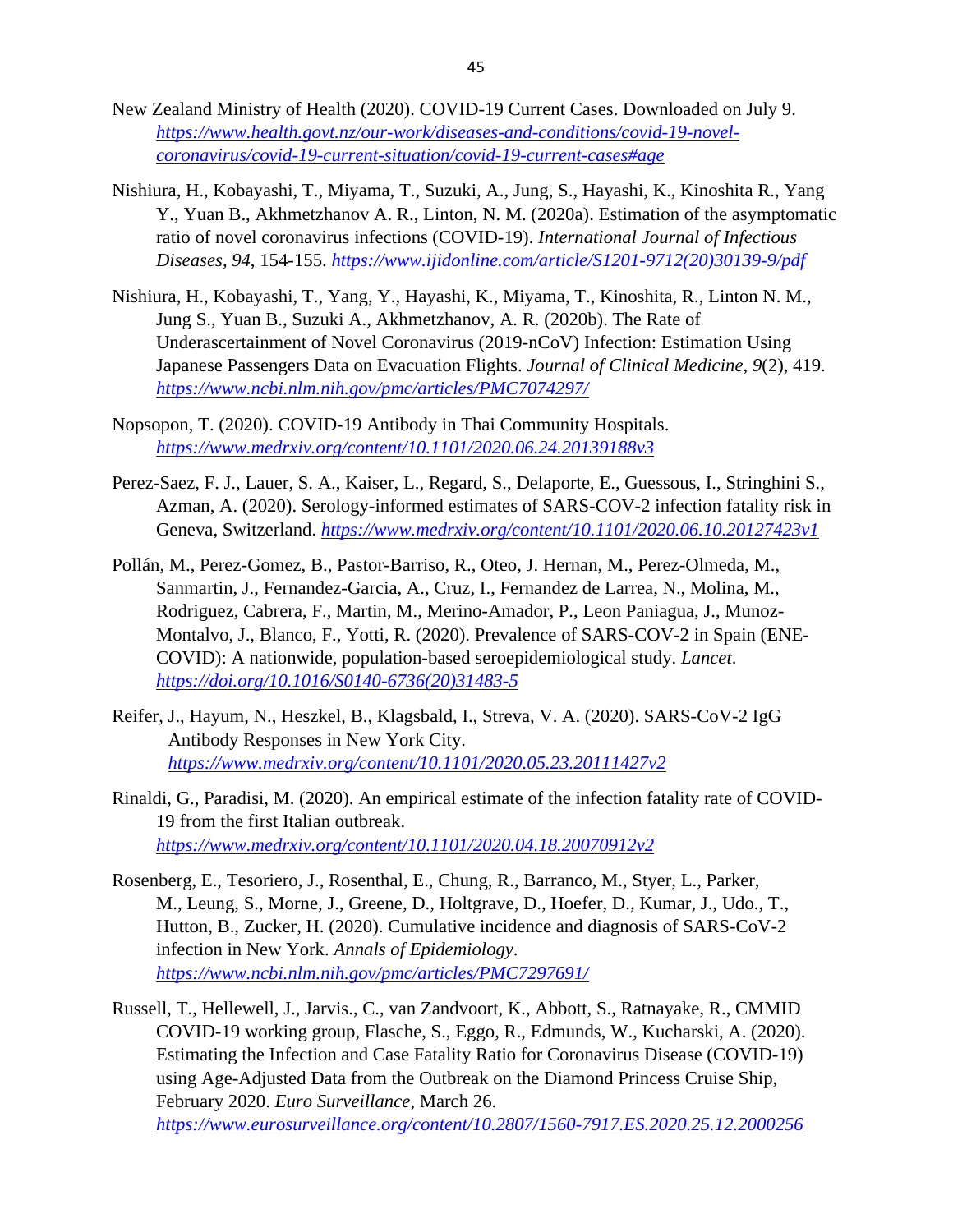- New Zealand Ministry of Health (2020). COVID-19 Current Cases. Downloaded on July 9. *[https://www.health.govt.nz/our-work/diseases-and-conditions/covid-19-novel](https://www.health.govt.nz/our-work/diseases-and-conditions/covid-19-novel-coronavirus/covid-19-current-situation/covid-19-current-cases#age)[coronavirus/covid-19-current-situation/covid-19-current-cases#age](https://www.health.govt.nz/our-work/diseases-and-conditions/covid-19-novel-coronavirus/covid-19-current-situation/covid-19-current-cases#age)*
- Nishiura, H., Kobayashi, T., Miyama, T., Suzuki, A., Jung, S., Hayashi, K., Kinoshita R., Yang Y., Yuan B., Akhmetzhanov A. R., Linton, N. M. (2020a). Estimation of the asymptomatic ratio of novel coronavirus infections (COVID-19). *International Journal of Infectious Diseases, 94*, 154-155. *[https://www.ijidonline.com/article/S1201-9712\(20\)30139-9/pdf](https://www.ijidonline.com/article/S1201-9712(20)30139-9/pdf)*
- Nishiura, H., Kobayashi, T., Yang, Y., Hayashi, K., Miyama, T., Kinoshita, R., Linton N. M., Jung S., Yuan B., Suzuki A., Akhmetzhanov, A. R. (2020b). The Rate of Underascertainment of Novel Coronavirus (2019-nCoV) Infection: Estimation Using Japanese Passengers Data on Evacuation Flights. *Journal of Clinical Medicine, 9*(2), 419. *<https://www.ncbi.nlm.nih.gov/pmc/articles/PMC7074297/>*
- Nopsopon, T. (2020). COVID-19 Antibody in Thai Community Hospitals. *<https://www.medrxiv.org/content/10.1101/2020.06.24.20139188v3>*
- Perez-Saez, F. J., Lauer, S. A., Kaiser, L., Regard, S., Delaporte, E., Guessous, I., Stringhini S., Azman, A. (2020). Serology-informed estimates of SARS-COV-2 infection fatality risk in Geneva, Switzerland. *<https://www.medrxiv.org/content/10.1101/2020.06.10.20127423v1>*
- Pollán, M., Perez-Gomez, B., Pastor-Barriso, R., Oteo, J. Hernan, M., Perez-Olmeda, M., Sanmartin, J., Fernandez-Garcia, A., Cruz, I., Fernandez de Larrea, N., Molina, M., Rodriguez, Cabrera, F., Martin, M., Merino-Amador, P., Leon Paniagua, J., Munoz-Montalvo, J., Blanco, F., Yotti, R. (2020). Prevalence of SARS-COV-2 in Spain (ENE-COVID): A nationwide, population-based seroepidemiological study. *Lancet*. *[https://doi.org/10.1016/S0140-6736\(20\)31483-5](https://doi.org/10.1016/S0140-6736(20)31483-5)*
- Reifer, J., Hayum, N., Heszkel, B., Klagsbald, I., Streva, V. A. (2020). SARS-CoV-2 IgG Antibody Responses in New York City. *<https://www.medrxiv.org/content/10.1101/2020.05.23.20111427v2>*
- Rinaldi, G., Paradisi, M. (2020). An empirical estimate of the infection fatality rate of COVID-19 from the first Italian outbreak. *<https://www.medrxiv.org/content/10.1101/2020.04.18.20070912v2>*
- Rosenberg, E., Tesoriero, J., Rosenthal, E., Chung, R., Barranco, M., Styer, L., Parker, M., Leung, S., Morne, J., Greene, D., Holtgrave, D., Hoefer, D., Kumar, J., Udo., T., Hutton, B., Zucker, H. (2020). Cumulative incidence and diagnosis of SARS-CoV-2 infection in New York. *Annals of Epidemiology*. *<https://www.ncbi.nlm.nih.gov/pmc/articles/PMC7297691/>*
- Russell, T., Hellewell, J., Jarvis., C., van Zandvoort, K., Abbott, S., Ratnayake, R., CMMID COVID-19 working group, Flasche, S., Eggo, R., Edmunds, W., Kucharski, A. (2020). Estimating the Infection and Case Fatality Ratio for Coronavirus Disease (COVID-19) using Age-Adjusted Data from the Outbreak on the Diamond Princess Cruise Ship, February 2020. *Euro Surveillance*, March 26. *<https://www.eurosurveillance.org/content/10.2807/1560-7917.ES.2020.25.12.2000256>*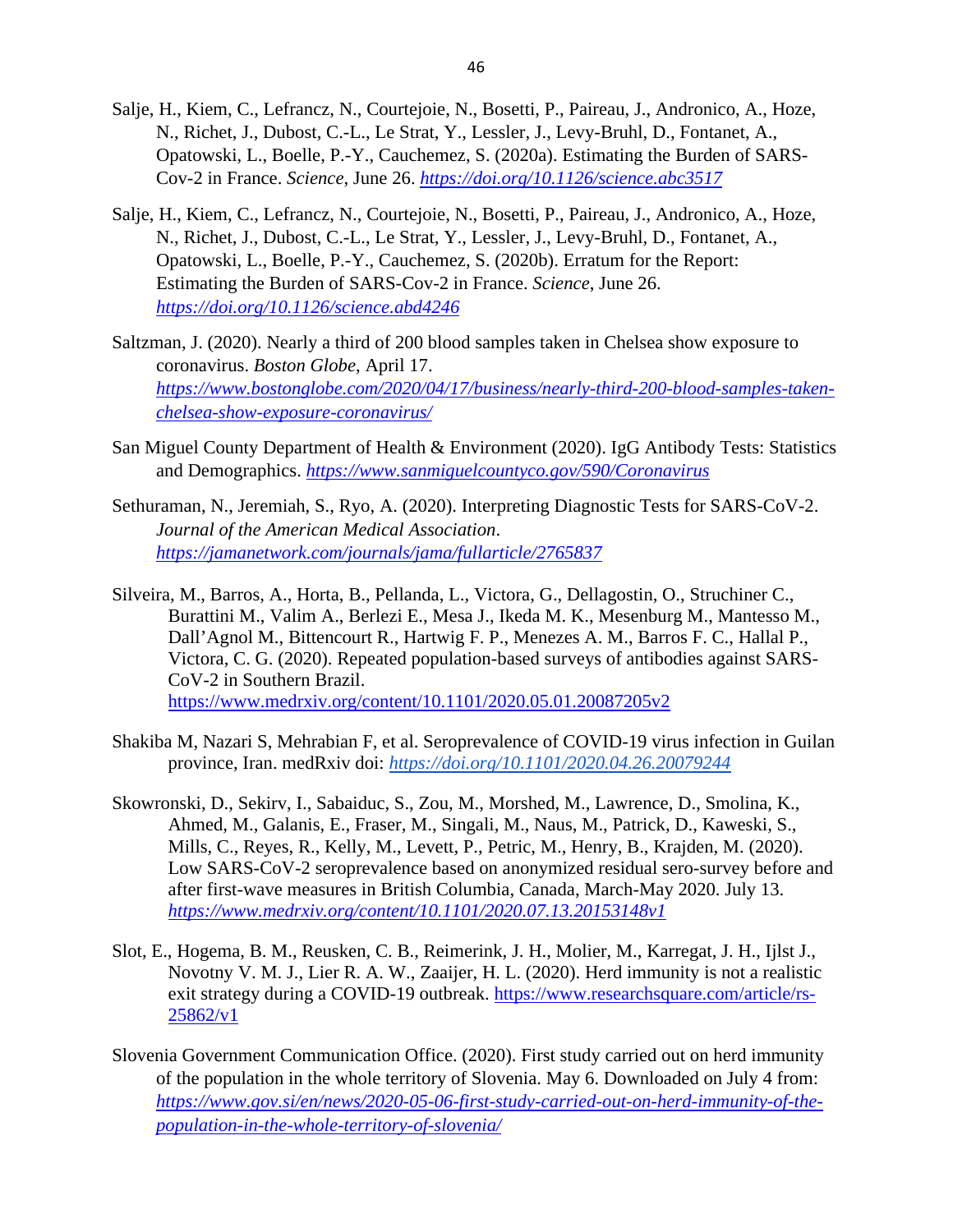- Salje, H., Kiem, C., Lefrancz, N., Courtejoie, N., Bosetti, P., Paireau, J., Andronico, A., Hoze, N., Richet, J., Dubost, C.-L., Le Strat, Y., Lessler, J., Levy-Bruhl, D., Fontanet, A., Opatowski, L., Boelle, P.-Y., Cauchemez, S. (2020a). Estimating the Burden of SARS-Cov-2 in France. *Science*, June 26. *<https://doi.org/10.1126/science.abc3517>*
- Salje, H., Kiem, C., Lefrancz, N., Courtejoie, N., Bosetti, P., Paireau, J., Andronico, A., Hoze, N., Richet, J., Dubost, C.-L., Le Strat, Y., Lessler, J., Levy-Bruhl, D., Fontanet, A., Opatowski, L., Boelle, P.-Y., Cauchemez, S. (2020b). Erratum for the Report: Estimating the Burden of SARS-Cov-2 in France. *Science*, June 26. *<https://doi.org/10.1126/science.abd4246>*
- Saltzman, J. (2020). Nearly a third of 200 blood samples taken in Chelsea show exposure to coronavirus. *Boston Globe*, April 17. *[https://www.bostonglobe.com/2020/04/17/business/nearly-third-200-blood-samples-taken](https://www.bostonglobe.com/2020/04/17/business/nearly-third-200-blood-samples-taken-chelsea-show-exposure-coronavirus/)[chelsea-show-exposure-coronavirus/](https://www.bostonglobe.com/2020/04/17/business/nearly-third-200-blood-samples-taken-chelsea-show-exposure-coronavirus/)*
- San Miguel County Department of Health & Environment (2020). IgG Antibody Tests: Statistics and Demographics. *<https://www.sanmiguelcountyco.gov/590/Coronavirus>*
- Sethuraman, N., Jeremiah, S., Ryo, A. (2020). Interpreting Diagnostic Tests for SARS-CoV-2. *Journal of the American Medical Association*. *<https://jamanetwork.com/journals/jama/fullarticle/2765837>*
- Silveira, M., Barros, A., Horta, B., Pellanda, L., Victora, G., Dellagostin, O., Struchiner C., Burattini M., Valim A., Berlezi E., Mesa J., Ikeda M. K., Mesenburg M., Mantesso M., Dall'Agnol M., Bittencourt R., Hartwig F. P., Menezes A. M., Barros F. C., Hallal P., Victora, C. G. (2020). Repeated population-based surveys of antibodies against SARS-CoV-2 in Southern Brazil. <https://www.medrxiv.org/content/10.1101/2020.05.01.20087205v2>
- Shakiba M, Nazari S, Mehrabian F, et al. Seroprevalence of COVID-19 virus infection in Guilan province, Iran. medRxiv doi: *<https://doi.org/10.1101/2020.04.26.20079244>*
- Skowronski, D., Sekirv, I., Sabaiduc, S., Zou, M., Morshed, M., Lawrence, D., Smolina, K., Ahmed, M., Galanis, E., Fraser, M., Singali, M., Naus, M., Patrick, D., Kaweski, S., Mills, C., Reyes, R., Kelly, M., Levett, P., Petric, M., Henry, B., Krajden, M. (2020). Low SARS-CoV-2 seroprevalence based on anonymized residual sero-survey before and after first-wave measures in British Columbia, Canada, March-May 2020. July 13. *<https://www.medrxiv.org/content/10.1101/2020.07.13.20153148v1>*
- Slot, E., Hogema, B. M., Reusken, C. B., Reimerink, J. H., Molier, M., Karregat, J. H., Ijlst J., Novotny V. M. J., Lier R. A. W., Zaaijer, H. L. (2020). Herd immunity is not a realistic exit strategy during a COVID-19 outbreak. [https://www.researchsquare.com/article/rs-](https://www.researchsquare.com/article/rs-25862/v1)[25862/v1](https://www.researchsquare.com/article/rs-25862/v1)
- Slovenia Government Communication Office. (2020). First study carried out on herd immunity of the population in the whole territory of Slovenia. May 6. Downloaded on July 4 from: *[https://www.gov.si/en/news/2020-05-06-first-study-carried-out-on-herd-immunity-of-the](https://www.gov.si/en/news/2020-05-06-first-study-carried-out-on-herd-immunity-of-the-population-in-the-whole-territory-of-slovenia/)[population-in-the-whole-territory-of-slovenia/](https://www.gov.si/en/news/2020-05-06-first-study-carried-out-on-herd-immunity-of-the-population-in-the-whole-territory-of-slovenia/)*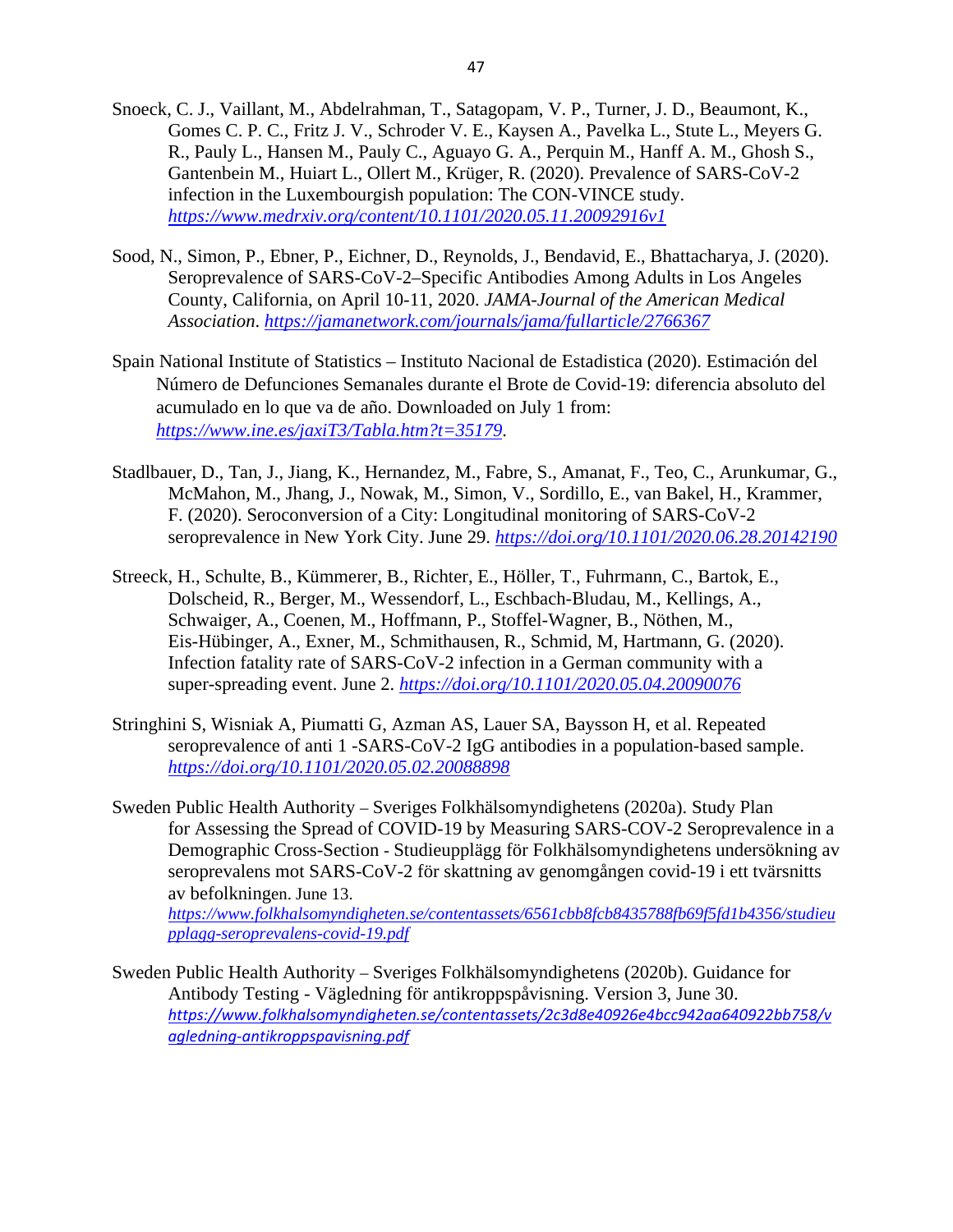- Snoeck, C. J., Vaillant, M., Abdelrahman, T., Satagopam, V. P., Turner, J. D., Beaumont, K., Gomes C. P. C., Fritz J. V., Schroder V. E., Kaysen A., Pavelka L., Stute L., Meyers G. R., Pauly L., Hansen M., Pauly C., Aguayo G. A., Perquin M., Hanff A. M., Ghosh S., Gantenbein M., Huiart L., Ollert M., Krüger, R. (2020). Prevalence of SARS-CoV-2 infection in the Luxembourgish population: The CON-VINCE study. *<https://www.medrxiv.org/content/10.1101/2020.05.11.20092916v1>*
- Sood, N., Simon, P., Ebner, P., Eichner, D., Reynolds, J., Bendavid, E., Bhattacharya, J. (2020). Seroprevalence of SARS-CoV-2–Specific Antibodies Among Adults in Los Angeles County, California, on April 10-11, 2020. *JAMA-Journal of the American Medical Association*. *<https://jamanetwork.com/journals/jama/fullarticle/2766367>*
- Spain National Institute of Statistics Instituto Nacional de Estadistica (2020). Estimación del Número de Defunciones Semanales durante el Brote de Covid-19: diferencia absoluto del acumulado en lo que va de año. Downloaded on July 1 from: *<https://www.ine.es/jaxiT3/Tabla.htm?t=35179>*.
- Stadlbauer, D., Tan, J., Jiang, K., Hernandez, M., Fabre, S., Amanat, F., Teo, C., Arunkumar, G., McMahon, M., Jhang, J., Nowak, M., Simon, V., Sordillo, E., van Bakel, H., Krammer, F. (2020). Seroconversion of a City: Longitudinal monitoring of SARS-CoV-2 seroprevalence in New York City. June 29. *<https://doi.org/10.1101/2020.06.28.20142190>*
- Streeck, H., Schulte, B., Kümmerer, B., Richter, E., Höller, T., Fuhrmann, C., Bartok, E., Dolscheid, R., Berger, M., Wessendorf, L., Eschbach-Bludau, M., Kellings, A., Schwaiger, A., Coenen, M., Hoffmann, P., Stoffel-Wagner, B., Nöthen, M., Eis-Hübinger, A., Exner, M., Schmithausen, R., Schmid, M, Hartmann, G. (2020). Infection fatality rate of SARS-CoV-2 infection in a German community with a super-spreading event. June 2. *<https://doi.org/10.1101/2020.05.04.20090076>*
- Stringhini S, Wisniak A, Piumatti G, Azman AS, Lauer SA, Baysson H, et al. Repeated seroprevalence of anti 1 -SARS-CoV-2 IgG antibodies in a population-based sample. *<https://doi.org/10.1101/2020.05.02.20088898>*
- Sweden Public Health Authority Sveriges Folkhälsomyndighetens (2020a). Study Plan for Assessing the Spread of COVID-19 by Measuring SARS-COV-2 Seroprevalence in a Demographic Cross-Section - Studieupplägg för Folkhälsomyndighetens undersökning av seroprevalens mot SARS-CoV-2 för skattning av genomgången covid-19 i ett tvärsnitts av befolkningen. June 13.

*[https://www.folkhalsomyndigheten.se/contentassets/6561cbb8fcb8435788fb69f5fd1b4356/studieu](https://www.folkhalsomyndigheten.se/contentassets/6561cbb8fcb8435788fb69f5fd1b4356/studieupplagg-seroprevalens-covid-19.pdf) [pplagg-seroprevalens-covid-19.pdf](https://www.folkhalsomyndigheten.se/contentassets/6561cbb8fcb8435788fb69f5fd1b4356/studieupplagg-seroprevalens-covid-19.pdf)*

Sweden Public Health Authority – Sveriges Folkhälsomyndighetens (2020b). Guidance for Antibody Testing - Vägledning för antikroppspåvisning. Version 3, June 30. *[https://www.folkhalsomyndigheten.se/contentassets/2c3d8e40926e4bcc942aa640922bb758/v](https://www.folkhalsomyndigheten.se/contentassets/2c3d8e40926e4bcc942aa640922bb758/vagledning-antikroppspavisning.pdf) [agledning-antikroppspavisning.pdf](https://www.folkhalsomyndigheten.se/contentassets/2c3d8e40926e4bcc942aa640922bb758/vagledning-antikroppspavisning.pdf)*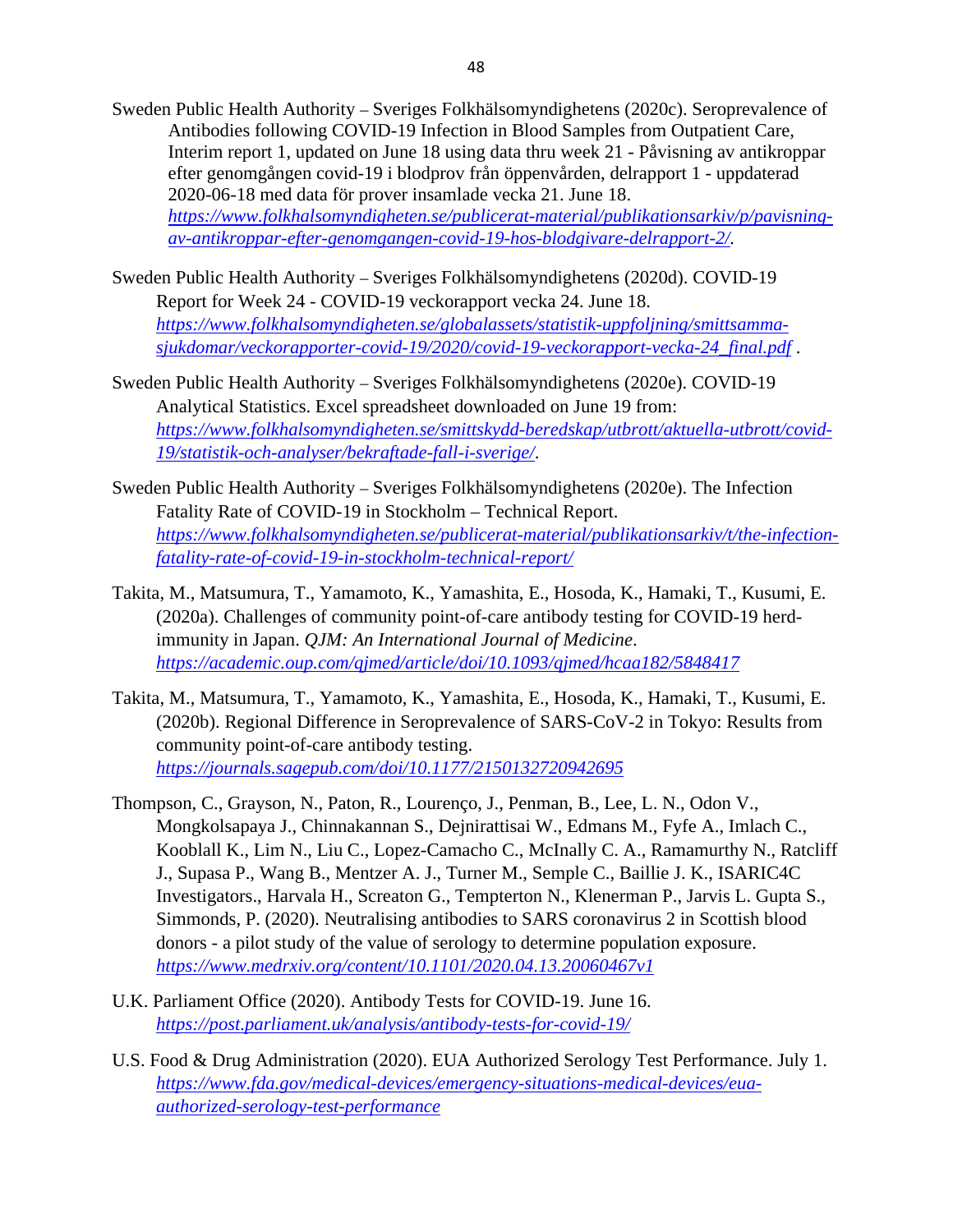Sweden Public Health Authority – Sveriges Folkhälsomyndighetens (2020c). Seroprevalence of Antibodies following COVID-19 Infection in Blood Samples from Outpatient Care, Interim report 1, updated on June 18 using data thru week 21 - Påvisning av antikroppar efter genomgången covid-19 i blodprov från öppenvården, delrapport 1 - uppdaterad 2020-06-18 med data för prover insamlade vecka 21. June 18. *[https://www.folkhalsomyndigheten.se/publicerat-material/publikationsarkiv/p/pavisning](https://www.folkhalsomyndigheten.se/publicerat-material/publikationsarkiv/p/pavisning-av-antikroppar-efter-genomgangen-covid-19-hos-blodgivare-delrapport-2/)[av-antikroppar-efter-genomgangen-covid-19-hos-blodgivare-delrapport-2/.](https://www.folkhalsomyndigheten.se/publicerat-material/publikationsarkiv/p/pavisning-av-antikroppar-efter-genomgangen-covid-19-hos-blodgivare-delrapport-2/)*

- Sweden Public Health Authority Sveriges Folkhälsomyndighetens (2020d). COVID-19 Report for Week 24 - COVID-19 veckorapport vecka 24. June 18. *[https://www.folkhalsomyndigheten.se/globalassets/statistik-uppfoljning/smittsamma](https://www.folkhalsomyndigheten.se/globalassets/statistik-uppfoljning/smittsamma-sjukdomar/veckorapporter-covid-19/2020/covid-19-veckorapport-vecka-24_final.pdf)[sjukdomar/veckorapporter-covid-19/2020/covid-19-veckorapport-vecka-24\\_final.pdf](https://www.folkhalsomyndigheten.se/globalassets/statistik-uppfoljning/smittsamma-sjukdomar/veckorapporter-covid-19/2020/covid-19-veckorapport-vecka-24_final.pdf)* .
- Sweden Public Health Authority Sveriges Folkhälsomyndighetens (2020e). COVID-19 Analytical Statistics. Excel spreadsheet downloaded on June 19 from: *[https://www.folkhalsomyndigheten.se/smittskydd-beredskap/utbrott/aktuella-utbrott/covid-](https://www.folkhalsomyndigheten.se/smittskydd-beredskap/utbrott/aktuella-utbrott/covid-19/statistik-och-analyser/bekraftade-fall-i-sverige/)[19/statistik-och-analyser/bekraftade-fall-i-sverige/](https://www.folkhalsomyndigheten.se/smittskydd-beredskap/utbrott/aktuella-utbrott/covid-19/statistik-och-analyser/bekraftade-fall-i-sverige/)*.
- Sweden Public Health Authority Sveriges Folkhälsomyndighetens (2020e). The Infection Fatality Rate of COVID-19 in Stockholm – Technical Report. *[https://www.folkhalsomyndigheten.se/publicerat-material/publikationsarkiv/t/the-infection](https://www.folkhalsomyndigheten.se/publicerat-material/publikationsarkiv/t/the-infection-fatality-rate-of-covid-19-in-stockholm-technical-report/)[fatality-rate-of-covid-19-in-stockholm-technical-report/](https://www.folkhalsomyndigheten.se/publicerat-material/publikationsarkiv/t/the-infection-fatality-rate-of-covid-19-in-stockholm-technical-report/)*
- Takita, M., Matsumura, T., Yamamoto, K., Yamashita, E., Hosoda, K., Hamaki, T., Kusumi, E. (2020a). Challenges of community point-of-care antibody testing for COVID-19 herdimmunity in Japan. *QJM: An International Journal of Medicine*. *<https://academic.oup.com/qjmed/article/doi/10.1093/qjmed/hcaa182/5848417>*
- Takita, M., Matsumura, T., Yamamoto, K., Yamashita, E., Hosoda, K., Hamaki, T., Kusumi, E. (2020b). Regional Difference in Seroprevalence of SARS-CoV-2 in Tokyo: Results from community point-of-care antibody testing. *<https://journals.sagepub.com/doi/10.1177/2150132720942695>*
- Thompson, C., Grayson, N., Paton, R., Lourenço, J., Penman, B., Lee, L. N., Odon V., Mongkolsapaya J., Chinnakannan S., Dejnirattisai W., Edmans M., Fyfe A., Imlach C., Kooblall K., Lim N., Liu C., Lopez-Camacho C., McInally C. A., Ramamurthy N., Ratcliff J., Supasa P., Wang B., Mentzer A. J., Turner M., Semple C., Baillie J. K., ISARIC4C Investigators., Harvala H., Screaton G., Tempterton N., Klenerman P., Jarvis L. Gupta S., Simmonds, P. (2020). Neutralising antibodies to SARS coronavirus 2 in Scottish blood donors - a pilot study of the value of serology to determine population exposure. *<https://www.medrxiv.org/content/10.1101/2020.04.13.20060467v1>*
- U.K. Parliament Office (2020). Antibody Tests for COVID-19. June 16. *<https://post.parliament.uk/analysis/antibody-tests-for-covid-19/>*
- U.S. Food & Drug Administration (2020). EUA Authorized Serology Test Performance. July 1. *[https://www.fda.gov/medical-devices/emergency-situations-medical-devices/eua](https://www.fda.gov/medical-devices/emergency-situations-medical-devices/eua-authorized-serology-test-performance)[authorized-serology-test-performance](https://www.fda.gov/medical-devices/emergency-situations-medical-devices/eua-authorized-serology-test-performance)*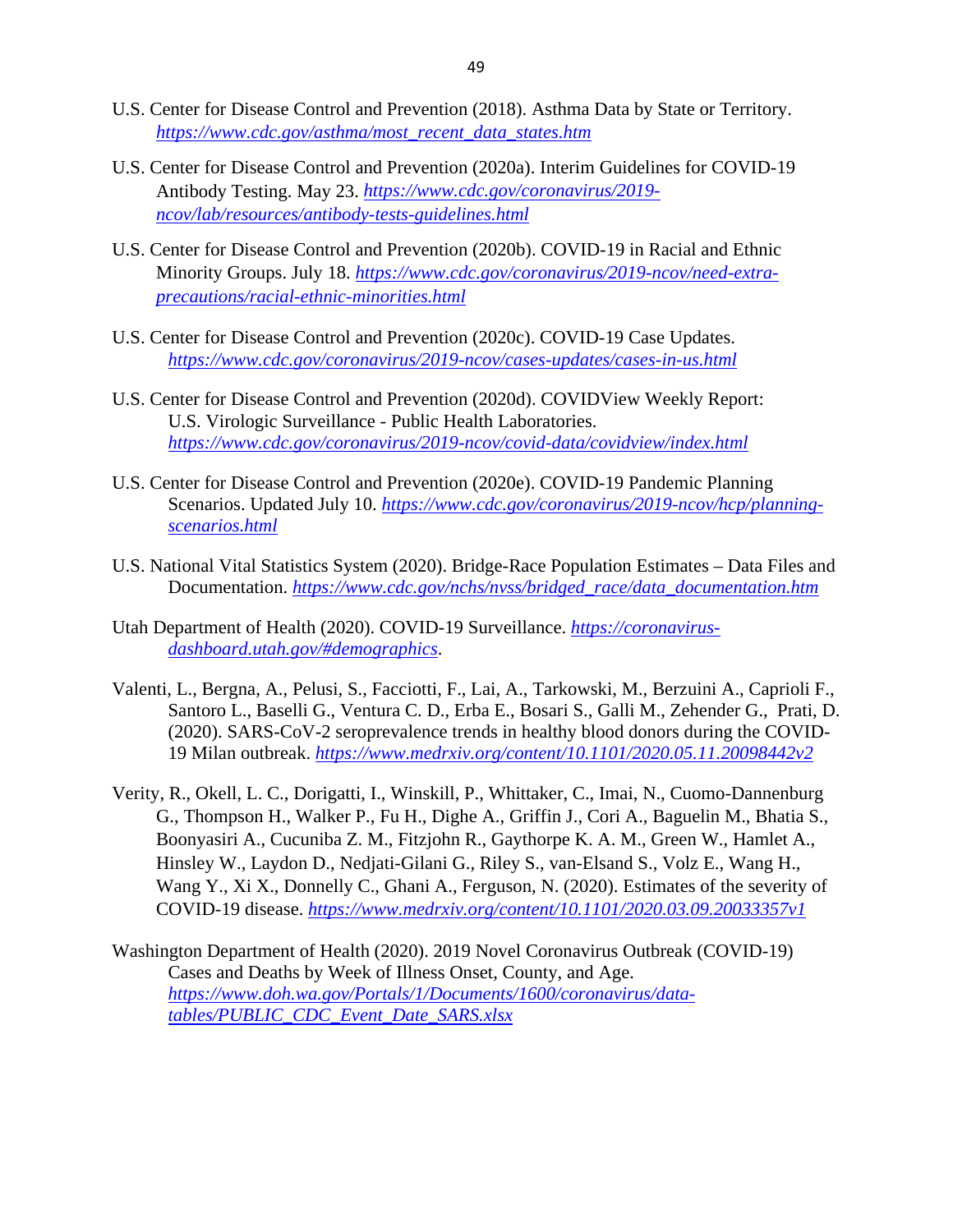- U.S. Center for Disease Control and Prevention (2018). Asthma Data by State or Territory. *[https://www.cdc.gov/asthma/most\\_recent\\_data\\_states.htm](https://www.cdc.gov/asthma/most_recent_data_states.htm)*
- U.S. Center for Disease Control and Prevention (2020a). Interim Guidelines for COVID-19 Antibody Testing. May 23. *[https://www.cdc.gov/coronavirus/2019](https://www.cdc.gov/coronavirus/2019-ncov/lab/resources/antibody-tests-guidelines.html) [ncov/lab/resources/antibody-tests-guidelines.html](https://www.cdc.gov/coronavirus/2019-ncov/lab/resources/antibody-tests-guidelines.html)*
- U.S. Center for Disease Control and Prevention (2020b). COVID-19 in Racial and Ethnic Minority Groups. July 18. *[https://www.cdc.gov/coronavirus/2019-ncov/need-extra](https://www.cdc.gov/coronavirus/2019-ncov/need-extra-precautions/racial-ethnic-minorities.html)[precautions/racial-ethnic-minorities.html](https://www.cdc.gov/coronavirus/2019-ncov/need-extra-precautions/racial-ethnic-minorities.html)*
- U.S. Center for Disease Control and Prevention (2020c). COVID-19 Case Updates. *<https://www.cdc.gov/coronavirus/2019-ncov/cases-updates/cases-in-us.html>*
- U.S. Center for Disease Control and Prevention (2020d). COVIDView Weekly Report: U.S. Virologic Surveillance - Public Health Laboratories. *<https://www.cdc.gov/coronavirus/2019-ncov/covid-data/covidview/index.html>*
- U.S. Center for Disease Control and Prevention (2020e). COVID-19 Pandemic Planning Scenarios. Updated July 10. *[https://www.cdc.gov/coronavirus/2019-ncov/hcp/planning](https://www.cdc.gov/coronavirus/2019-ncov/hcp/planning-scenarios.html)[scenarios.html](https://www.cdc.gov/coronavirus/2019-ncov/hcp/planning-scenarios.html)*
- U.S. National Vital Statistics System (2020). Bridge-Race Population Estimates Data Files and Documentation. *[https://www.cdc.gov/nchs/nvss/bridged\\_race/data\\_documentation.htm](https://www.cdc.gov/nchs/nvss/bridged_race/data_documentation.htm)*
- Utah Department of Health (2020). COVID-19 Surveillance. *[https://coronavirus](https://coronavirus-dashboard.utah.gov/#demographics)[dashboard.utah.gov/#demographics](https://coronavirus-dashboard.utah.gov/#demographics)*.
- Valenti, L., Bergna, A., Pelusi, S., Facciotti, F., Lai, A., Tarkowski, M., Berzuini A., Caprioli F., Santoro L., Baselli G., Ventura C. D., Erba E., Bosari S., Galli M., Zehender G., Prati, D. (2020). SARS-CoV-2 seroprevalence trends in healthy blood donors during the COVID-19 Milan outbreak. *<https://www.medrxiv.org/content/10.1101/2020.05.11.20098442v2>*
- Verity, R., Okell, L. C., Dorigatti, I., Winskill, P., Whittaker, C., Imai, N., Cuomo-Dannenburg G., Thompson H., Walker P., Fu H., Dighe A., Griffin J., Cori A., Baguelin M., Bhatia S., Boonyasiri A., Cucuniba Z. M., Fitzjohn R., Gaythorpe K. A. M., Green W., Hamlet A., Hinsley W., Laydon D., Nedjati-Gilani G., Riley S., van-Elsand S., Volz E., Wang H., Wang Y., Xi X., Donnelly C., Ghani A., Ferguson, N. (2020). Estimates of the severity of COVID-19 disease. *<https://www.medrxiv.org/content/10.1101/2020.03.09.20033357v1>*
- Washington Department of Health (2020). 2019 Novel Coronavirus Outbreak (COVID-19) Cases and Deaths by Week of Illness Onset, County, and Age. *[https://www.doh.wa.gov/Portals/1/Documents/1600/coronavirus/data](https://www.doh.wa.gov/Portals/1/Documents/1600/coronavirus/data-tables/PUBLIC_CDC_Event_Date_SARS.xlsx?ver=20200719021459)[tables/PUBLIC\\_CDC\\_Event\\_Date\\_SARS.xlsx](https://www.doh.wa.gov/Portals/1/Documents/1600/coronavirus/data-tables/PUBLIC_CDC_Event_Date_SARS.xlsx?ver=20200719021459)*